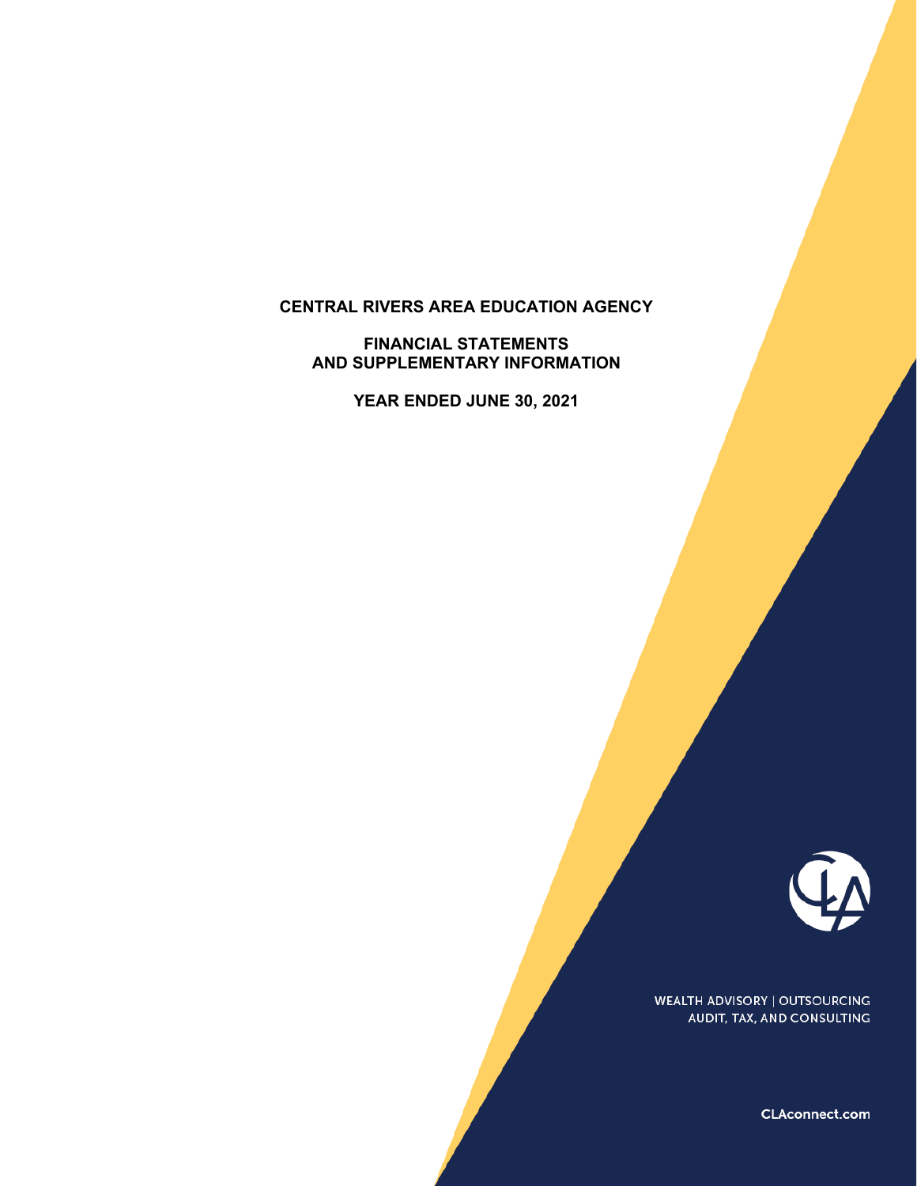# **CENTRAL RIVERS AREA EDUCATION AGENCY**

**FINANCIAL STATEMENTS AND SUPPLEMENTARY INFORMATION**

**YEAR ENDED JUNE 30, 2021**



**WEALTH ADVISORY | OUTSOURCING** AUDIT, TAX, AND CONSULTING

CLAconnect.com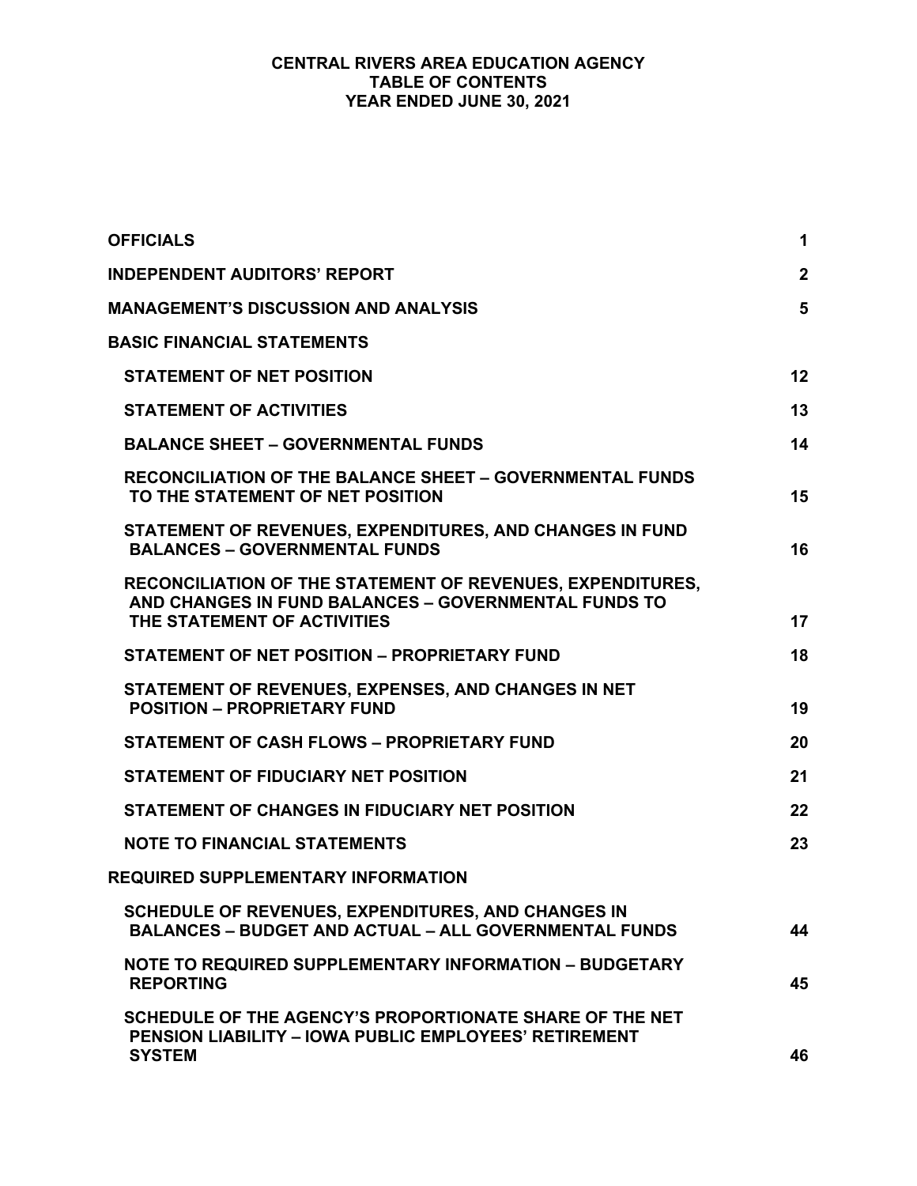# **CENTRAL RIVERS AREA EDUCATION AGENCY TABLE OF CONTENTS YEAR ENDED JUNE 30, 2021**

| <b>OFFICIALS</b>                                                                                                                                         | $\mathbf 1$  |
|----------------------------------------------------------------------------------------------------------------------------------------------------------|--------------|
| <b>INDEPENDENT AUDITORS' REPORT</b>                                                                                                                      | $\mathbf{2}$ |
| <b>MANAGEMENT'S DISCUSSION AND ANALYSIS</b>                                                                                                              | 5            |
| <b>BASIC FINANCIAL STATEMENTS</b>                                                                                                                        |              |
| <b>STATEMENT OF NET POSITION</b>                                                                                                                         | 12           |
| <b>STATEMENT OF ACTIVITIES</b>                                                                                                                           | 13           |
| <b>BALANCE SHEET - GOVERNMENTAL FUNDS</b>                                                                                                                | 14           |
| <b>RECONCILIATION OF THE BALANCE SHEET - GOVERNMENTAL FUNDS</b><br>TO THE STATEMENT OF NET POSITION                                                      | 15           |
| STATEMENT OF REVENUES, EXPENDITURES, AND CHANGES IN FUND<br><b>BALANCES - GOVERNMENTAL FUNDS</b>                                                         | 16           |
| <b>RECONCILIATION OF THE STATEMENT OF REVENUES, EXPENDITURES,</b><br>AND CHANGES IN FUND BALANCES - GOVERNMENTAL FUNDS TO<br>THE STATEMENT OF ACTIVITIES | 17           |
| <b>STATEMENT OF NET POSITION - PROPRIETARY FUND</b>                                                                                                      | 18           |
| STATEMENT OF REVENUES, EXPENSES, AND CHANGES IN NET<br><b>POSITION - PROPRIETARY FUND</b>                                                                | 19           |
| STATEMENT OF CASH FLOWS - PROPRIETARY FUND                                                                                                               | 20           |
| <b>STATEMENT OF FIDUCIARY NET POSITION</b>                                                                                                               | 21           |
| STATEMENT OF CHANGES IN FIDUCIARY NET POSITION                                                                                                           | 22           |
| <b>NOTE TO FINANCIAL STATEMENTS</b>                                                                                                                      | 23           |
| <b>REQUIRED SUPPLEMENTARY INFORMATION</b>                                                                                                                |              |
| SCHEDULE OF REVENUES, EXPENDITURES, AND CHANGES IN<br><b>BALANCES - BUDGET AND ACTUAL - ALL GOVERNMENTAL FUNDS</b>                                       | 44           |
| NOTE TO REQUIRED SUPPLEMENTARY INFORMATION - BUDGETARY<br><b>REPORTING</b>                                                                               | 45           |
| SCHEDULE OF THE AGENCY'S PROPORTIONATE SHARE OF THE NET<br><b>PENSION LIABILITY - IOWA PUBLIC EMPLOYEES' RETIREMENT</b><br><b>SYSTEM</b>                 | 46           |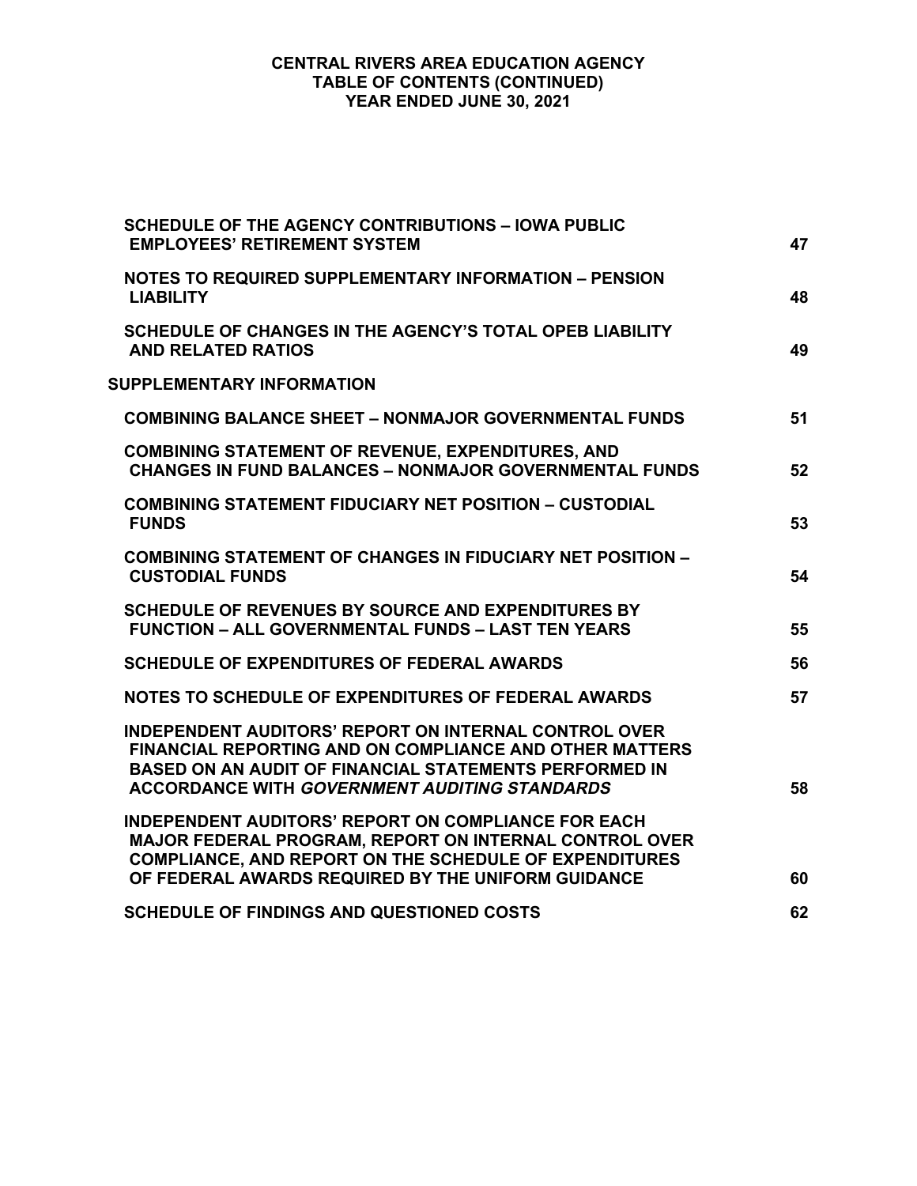# **CENTRAL RIVERS AREA EDUCATION AGENCY TABLE OF CONTENTS (CONTINUED) YEAR ENDED JUNE 30, 2021**

| <b>SCHEDULE OF THE AGENCY CONTRIBUTIONS - IOWA PUBLIC</b><br><b>EMPLOYEES' RETIREMENT SYSTEM</b>                                                                                                                                                   | 47 |
|----------------------------------------------------------------------------------------------------------------------------------------------------------------------------------------------------------------------------------------------------|----|
| NOTES TO REQUIRED SUPPLEMENTARY INFORMATION - PENSION<br><b>LIABILITY</b>                                                                                                                                                                          | 48 |
| SCHEDULE OF CHANGES IN THE AGENCY'S TOTAL OPEB LIABILITY<br><b>AND RELATED RATIOS</b>                                                                                                                                                              | 49 |
| <b>SUPPLEMENTARY INFORMATION</b>                                                                                                                                                                                                                   |    |
| <b>COMBINING BALANCE SHEET - NONMAJOR GOVERNMENTAL FUNDS</b>                                                                                                                                                                                       | 51 |
| <b>COMBINING STATEMENT OF REVENUE, EXPENDITURES, AND</b><br><b>CHANGES IN FUND BALANCES - NONMAJOR GOVERNMENTAL FUNDS</b>                                                                                                                          | 52 |
| <b>COMBINING STATEMENT FIDUCIARY NET POSITION - CUSTODIAL</b><br><b>FUNDS</b>                                                                                                                                                                      | 53 |
| <b>COMBINING STATEMENT OF CHANGES IN FIDUCIARY NET POSITION -</b><br><b>CUSTODIAL FUNDS</b>                                                                                                                                                        | 54 |
| SCHEDULE OF REVENUES BY SOURCE AND EXPENDITURES BY<br><b>FUNCTION – ALL GOVERNMENTAL FUNDS – LAST TEN YEARS</b>                                                                                                                                    | 55 |
| <b>SCHEDULE OF EXPENDITURES OF FEDERAL AWARDS</b>                                                                                                                                                                                                  | 56 |
| NOTES TO SCHEDULE OF EXPENDITURES OF FEDERAL AWARDS                                                                                                                                                                                                | 57 |
| <b>INDEPENDENT AUDITORS' REPORT ON INTERNAL CONTROL OVER</b><br><b>FINANCIAL REPORTING AND ON COMPLIANCE AND OTHER MATTERS</b><br>BASED ON AN AUDIT OF FINANCIAL STATEMENTS PERFORMED IN<br><b>ACCORDANCE WITH GOVERNMENT AUDITING STANDARDS</b>   | 58 |
| <b>INDEPENDENT AUDITORS' REPORT ON COMPLIANCE FOR EACH</b><br><b>MAJOR FEDERAL PROGRAM, REPORT ON INTERNAL CONTROL OVER</b><br><b>COMPLIANCE, AND REPORT ON THE SCHEDULE OF EXPENDITURES</b><br>OF FEDERAL AWARDS REQUIRED BY THE UNIFORM GUIDANCE | 60 |
| <b>SCHEDULE OF FINDINGS AND QUESTIONED COSTS</b>                                                                                                                                                                                                   | 62 |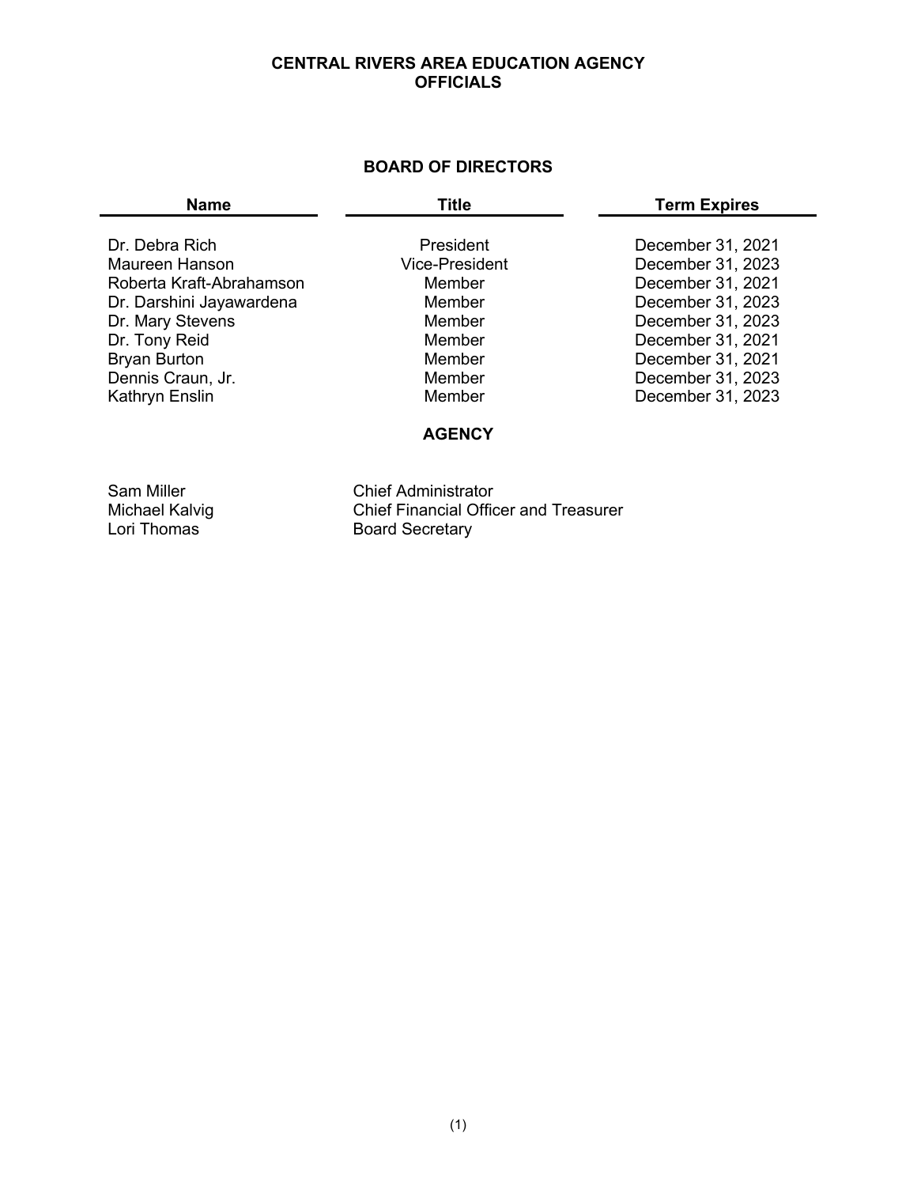#### **CENTRAL RIVERS AREA EDUCATION AGENCY OFFICIALS**

#### **BOARD OF DIRECTORS**

**Name Title Title Term Expires** 

Dr. Debra Rich President December 31, 2021 Roberta Kraft-Abrahamson Member December 31, 2021 Dr. Darshini Jayawardena Member December 31, 2023 Dr. Mary Stevens Dr. Tony Reid Bryan Burton Dennis Craun, Jr. Kathryn Enslin

Member **Member** Member Member Member

# December 31, 2023 December 31, 2023 December 31, 2021 December 31, 2021 December 31, 2023 December 31, 2023

# **AGENCY**

Sam Miller **Chief Administrator** Michael Kalvig Chief Financial Officer and Treasurer<br>
Lori Thomas Chief Board Secretary **Board Secretary**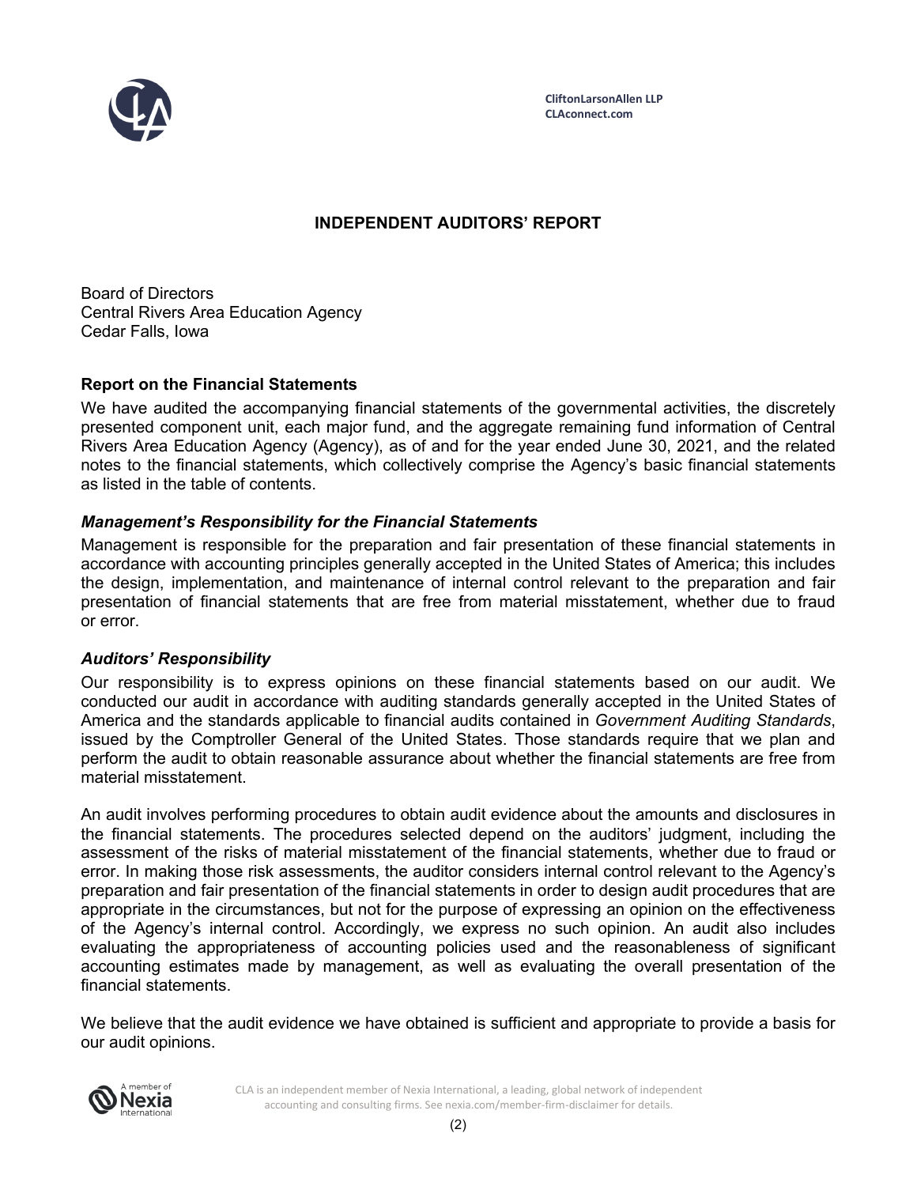

**CliftonLarsonAllen LLP CLAconnect.com**

# **INDEPENDENT AUDITORS' REPORT**

Board of Directors Central Rivers Area Education Agency Cedar Falls, Iowa

#### **Report on the Financial Statements**

We have audited the accompanying financial statements of the governmental activities, the discretely presented component unit, each major fund, and the aggregate remaining fund information of Central Rivers Area Education Agency (Agency), as of and for the year ended June 30, 2021, and the related notes to the financial statements, which collectively comprise the Agency's basic financial statements as listed in the table of contents.

#### *Management's Responsibility for the Financial Statements*

Management is responsible for the preparation and fair presentation of these financial statements in accordance with accounting principles generally accepted in the United States of America; this includes the design, implementation, and maintenance of internal control relevant to the preparation and fair presentation of financial statements that are free from material misstatement, whether due to fraud or error.

#### *Auditors' Responsibility*

Our responsibility is to express opinions on these financial statements based on our audit. We conducted our audit in accordance with auditing standards generally accepted in the United States of America and the standards applicable to financial audits contained in *Government Auditing Standards*, issued by the Comptroller General of the United States. Those standards require that we plan and perform the audit to obtain reasonable assurance about whether the financial statements are free from material misstatement.

An audit involves performing procedures to obtain audit evidence about the amounts and disclosures in the financial statements. The procedures selected depend on the auditors' judgment, including the assessment of the risks of material misstatement of the financial statements, whether due to fraud or error. In making those risk assessments, the auditor considers internal control relevant to the Agency's preparation and fair presentation of the financial statements in order to design audit procedures that are appropriate in the circumstances, but not for the purpose of expressing an opinion on the effectiveness of the Agency's internal control. Accordingly, we express no such opinion. An audit also includes evaluating the appropriateness of accounting policies used and the reasonableness of significant accounting estimates made by management, as well as evaluating the overall presentation of the financial statements.

We believe that the audit evidence we have obtained is sufficient and appropriate to provide a basis for our audit opinions.



CLA is an independent member of Nexia International, a leading, global network of independent accounting and consulting firms. See nexia.com/member-firm-disclaimer for details.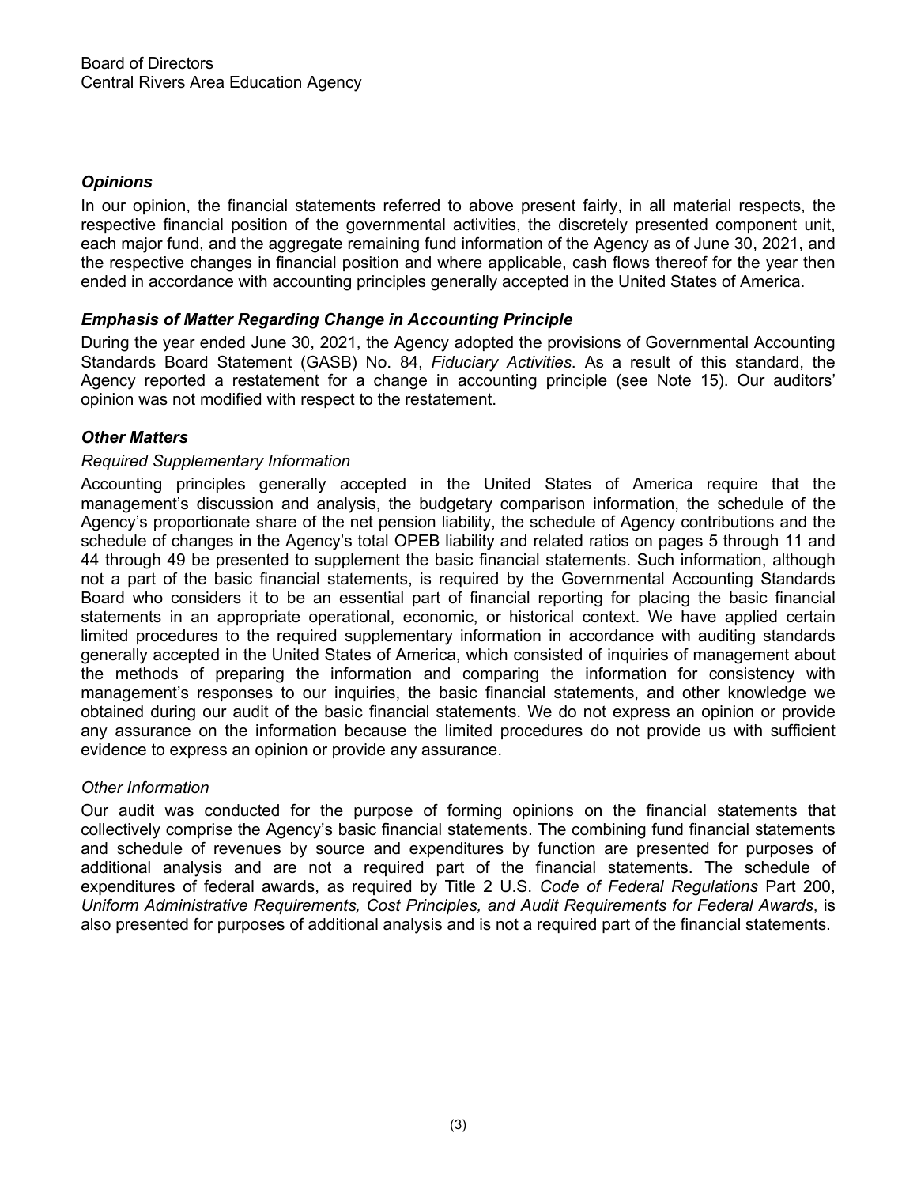# *Opinions*

In our opinion, the financial statements referred to above present fairly, in all material respects, the respective financial position of the governmental activities, the discretely presented component unit, each major fund, and the aggregate remaining fund information of the Agency as of June 30, 2021, and the respective changes in financial position and where applicable, cash flows thereof for the year then ended in accordance with accounting principles generally accepted in the United States of America.

# *Emphasis of Matter Regarding Change in Accounting Principle*

During the year ended June 30, 2021, the Agency adopted the provisions of Governmental Accounting Standards Board Statement (GASB) No. 84, *Fiduciary Activities*. As a result of this standard, the Agency reported a restatement for a change in accounting principle (see Note 15). Our auditors' opinion was not modified with respect to the restatement.

# *Other Matters*

# *Required Supplementary Information*

Accounting principles generally accepted in the United States of America require that the management's discussion and analysis, the budgetary comparison information, the schedule of the Agency's proportionate share of the net pension liability, the schedule of Agency contributions and the schedule of changes in the Agency's total OPEB liability and related ratios on pages 5 through 11 and 44 through 49 be presented to supplement the basic financial statements. Such information, although not a part of the basic financial statements, is required by the Governmental Accounting Standards Board who considers it to be an essential part of financial reporting for placing the basic financial statements in an appropriate operational, economic, or historical context. We have applied certain limited procedures to the required supplementary information in accordance with auditing standards generally accepted in the United States of America, which consisted of inquiries of management about the methods of preparing the information and comparing the information for consistency with management's responses to our inquiries, the basic financial statements, and other knowledge we obtained during our audit of the basic financial statements. We do not express an opinion or provide any assurance on the information because the limited procedures do not provide us with sufficient evidence to express an opinion or provide any assurance.

# *Other Information*

Our audit was conducted for the purpose of forming opinions on the financial statements that collectively comprise the Agency's basic financial statements. The combining fund financial statements and schedule of revenues by source and expenditures by function are presented for purposes of additional analysis and are not a required part of the financial statements. The schedule of expenditures of federal awards, as required by Title 2 U.S. *Code of Federal Regulations* Part 200, *Uniform Administrative Requirements, Cost Principles, and Audit Requirements for Federal Awards*, is also presented for purposes of additional analysis and is not a required part of the financial statements.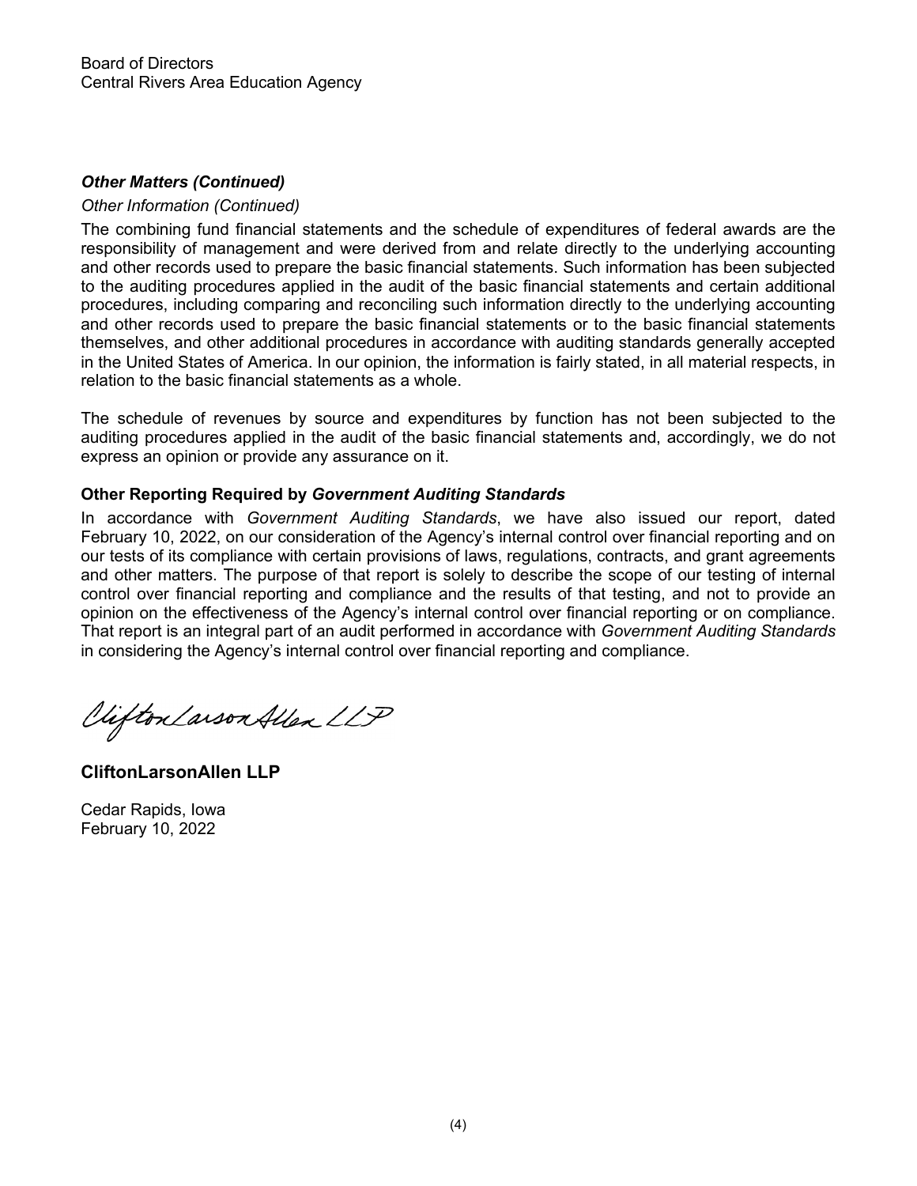# *Other Matters (Continued)*

#### *Other Information (Continued)*

The combining fund financial statements and the schedule of expenditures of federal awards are the responsibility of management and were derived from and relate directly to the underlying accounting and other records used to prepare the basic financial statements. Such information has been subjected to the auditing procedures applied in the audit of the basic financial statements and certain additional procedures, including comparing and reconciling such information directly to the underlying accounting and other records used to prepare the basic financial statements or to the basic financial statements themselves, and other additional procedures in accordance with auditing standards generally accepted in the United States of America. In our opinion, the information is fairly stated, in all material respects, in relation to the basic financial statements as a whole.

The schedule of revenues by source and expenditures by function has not been subjected to the auditing procedures applied in the audit of the basic financial statements and, accordingly, we do not express an opinion or provide any assurance on it.

#### **Other Reporting Required by** *Government Auditing Standards*

In accordance with *Government Auditing Standards*, we have also issued our report, dated February 10, 2022, on our consideration of the Agency's internal control over financial reporting and on our tests of its compliance with certain provisions of laws, regulations, contracts, and grant agreements and other matters. The purpose of that report is solely to describe the scope of our testing of internal control over financial reporting and compliance and the results of that testing, and not to provide an opinion on the effectiveness of the Agency's internal control over financial reporting or on compliance. That report is an integral part of an audit performed in accordance with *Government Auditing Standards* in considering the Agency's internal control over financial reporting and compliance.

Viifton Larson Allen LLP

**CliftonLarsonAllen LLP**

Cedar Rapids, Iowa February 10, 2022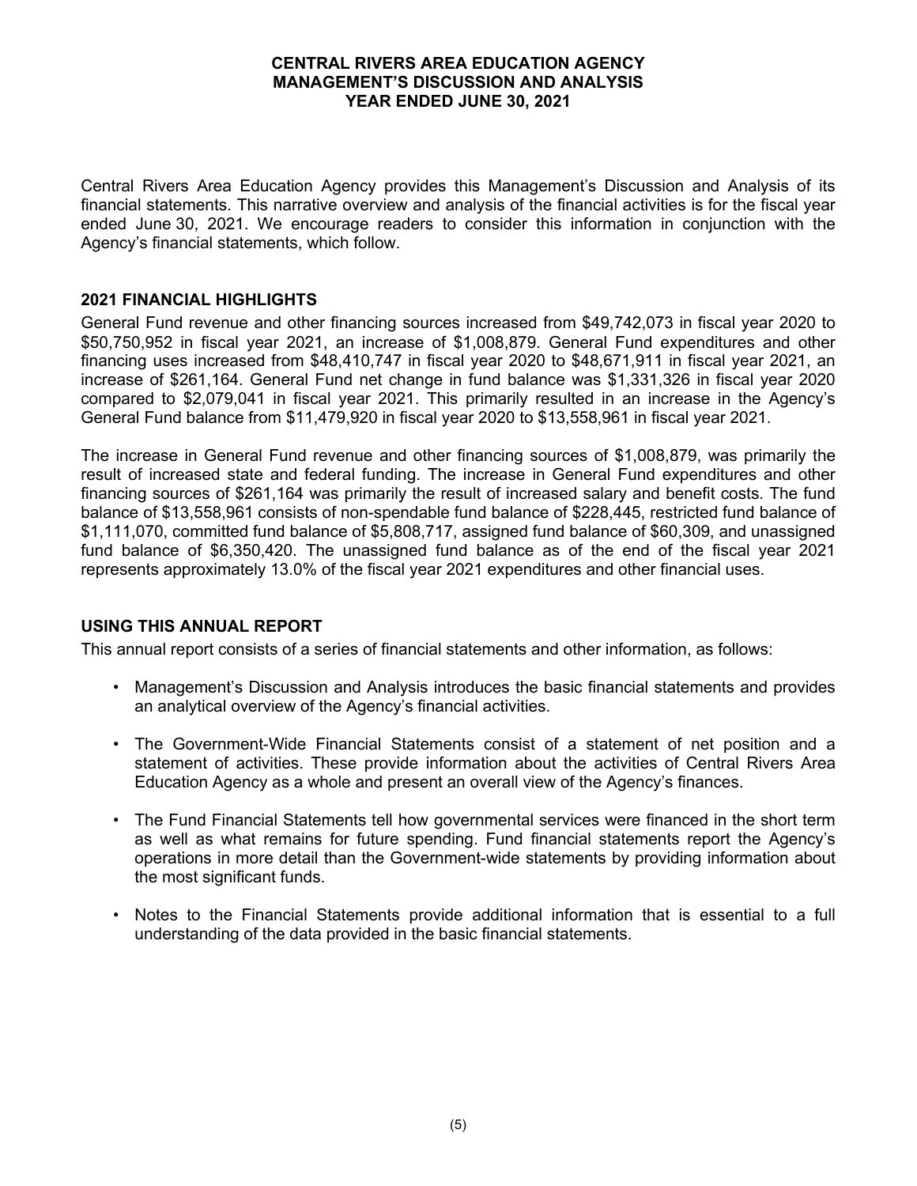Central Rivers Area Education Agency provides this Management's Discussion and Analysis of its financial statements. This narrative overview and analysis of the financial activities is for the fiscal year ended June 30, 2021. We encourage readers to consider this information in conjunction with the Agency's financial statements, which follow.

# **2021 FINANCIAL HIGHLIGHTS**

General Fund revenue and other financing sources increased from \$49,742,073 in fiscal year 2020 to \$50,750,952 in fiscal year 2021, an increase of \$1,008,879. General Fund expenditures and other financing uses increased from \$48,410,747 in fiscal year 2020 to \$48,671,911 in fiscal year 2021, an increase of \$261,164. General Fund net change in fund balance was \$1,331,326 in fiscal year 2020 compared to \$2,079,041 in fiscal year 2021. This primarily resulted in an increase in the Agency's General Fund balance from \$11,479,920 in fiscal year 2020 to \$13,558,961 in fiscal year 2021.

The increase in General Fund revenue and other financing sources of \$1,008,879, was primarily the result of increased state and federal funding. The increase in General Fund expenditures and other financing sources of \$261,164 was primarily the result of increased salary and benefit costs. The fund balance of \$13,558,961 consists of non-spendable fund balance of \$228,445, restricted fund balance of \$1,111,070, committed fund balance of \$5,808,717, assigned fund balance of \$60,309, and unassigned fund balance of \$6,350,420. The unassigned fund balance as of the end of the fiscal year 2021 represents approximately 13.0% of the fiscal year 2021 expenditures and other financial uses.

# **USING THIS ANNUAL REPORT**

This annual report consists of a series of financial statements and other information, as follows:

- Management's Discussion and Analysis introduces the basic financial statements and provides an analytical overview of the Agency's financial activities.
- The Government-Wide Financial Statements consist of a statement of net position and a statement of activities. These provide information about the activities of Central Rivers Area Education Agency as a whole and present an overall view of the Agency's finances.
- The Fund Financial Statements tell how governmental services were financed in the short term as well as what remains for future spending. Fund financial statements report the Agency's operations in more detail than the Government-wide statements by providing information about the most significant funds.
- Notes to the Financial Statements provide additional information that is essential to a full understanding of the data provided in the basic financial statements.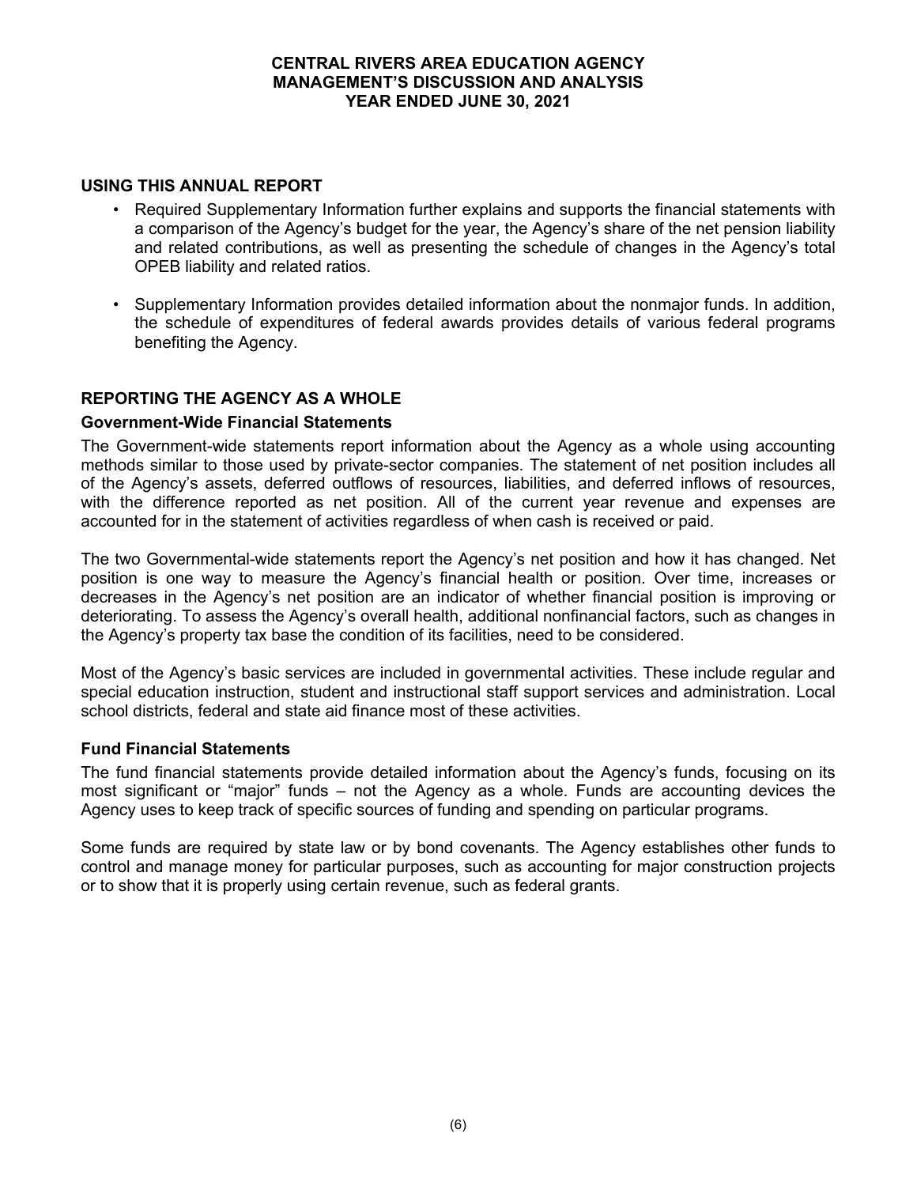#### **USING THIS ANNUAL REPORT**

- Required Supplementary Information further explains and supports the financial statements with a comparison of the Agency's budget for the year, the Agency's share of the net pension liability and related contributions, as well as presenting the schedule of changes in the Agency's total OPEB liability and related ratios.
- Supplementary Information provides detailed information about the nonmajor funds. In addition, the schedule of expenditures of federal awards provides details of various federal programs benefiting the Agency.

# **REPORTING THE AGENCY AS A WHOLE**

# **Government-Wide Financial Statements**

The Government-wide statements report information about the Agency as a whole using accounting methods similar to those used by private-sector companies. The statement of net position includes all of the Agency's assets, deferred outflows of resources, liabilities, and deferred inflows of resources, with the difference reported as net position. All of the current year revenue and expenses are accounted for in the statement of activities regardless of when cash is received or paid.

The two Governmental-wide statements report the Agency's net position and how it has changed. Net position is one way to measure the Agency's financial health or position. Over time, increases or decreases in the Agency's net position are an indicator of whether financial position is improving or deteriorating. To assess the Agency's overall health, additional nonfinancial factors, such as changes in the Agency's property tax base the condition of its facilities, need to be considered.

Most of the Agency's basic services are included in governmental activities. These include regular and special education instruction, student and instructional staff support services and administration. Local school districts, federal and state aid finance most of these activities.

# **Fund Financial Statements**

The fund financial statements provide detailed information about the Agency's funds, focusing on its most significant or "major" funds – not the Agency as a whole. Funds are accounting devices the Agency uses to keep track of specific sources of funding and spending on particular programs.

Some funds are required by state law or by bond covenants. The Agency establishes other funds to control and manage money for particular purposes, such as accounting for major construction projects or to show that it is properly using certain revenue, such as federal grants.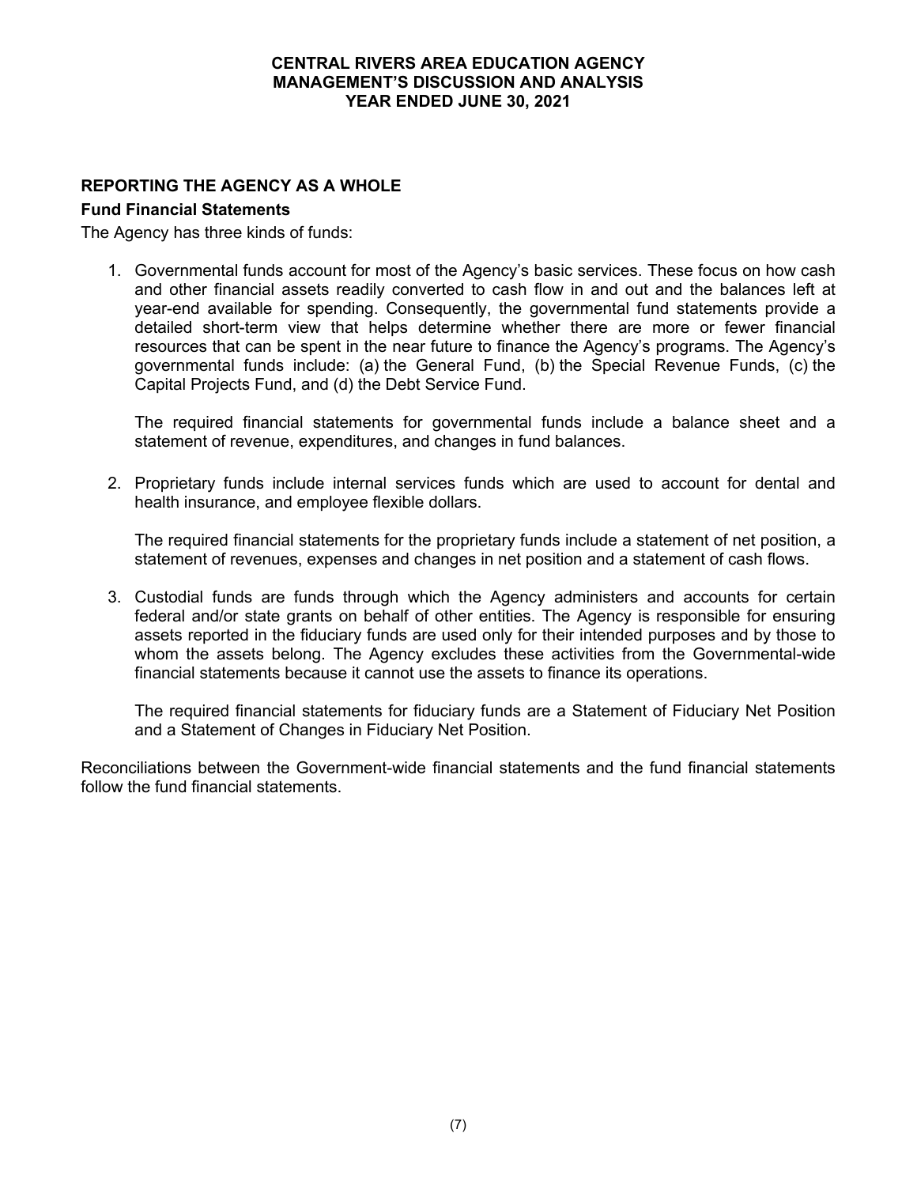# **REPORTING THE AGENCY AS A WHOLE**

#### **Fund Financial Statements**

The Agency has three kinds of funds:

1. Governmental funds account for most of the Agency's basic services. These focus on how cash and other financial assets readily converted to cash flow in and out and the balances left at year-end available for spending. Consequently, the governmental fund statements provide a detailed short-term view that helps determine whether there are more or fewer financial resources that can be spent in the near future to finance the Agency's programs. The Agency's governmental funds include: (a) the General Fund, (b) the Special Revenue Funds, (c) the Capital Projects Fund, and (d) the Debt Service Fund.

The required financial statements for governmental funds include a balance sheet and a statement of revenue, expenditures, and changes in fund balances.

2. Proprietary funds include internal services funds which are used to account for dental and health insurance, and employee flexible dollars.

The required financial statements for the proprietary funds include a statement of net position, a statement of revenues, expenses and changes in net position and a statement of cash flows.

3. Custodial funds are funds through which the Agency administers and accounts for certain federal and/or state grants on behalf of other entities. The Agency is responsible for ensuring assets reported in the fiduciary funds are used only for their intended purposes and by those to whom the assets belong. The Agency excludes these activities from the Governmental-wide financial statements because it cannot use the assets to finance its operations.

The required financial statements for fiduciary funds are a Statement of Fiduciary Net Position and a Statement of Changes in Fiduciary Net Position.

Reconciliations between the Government-wide financial statements and the fund financial statements follow the fund financial statements.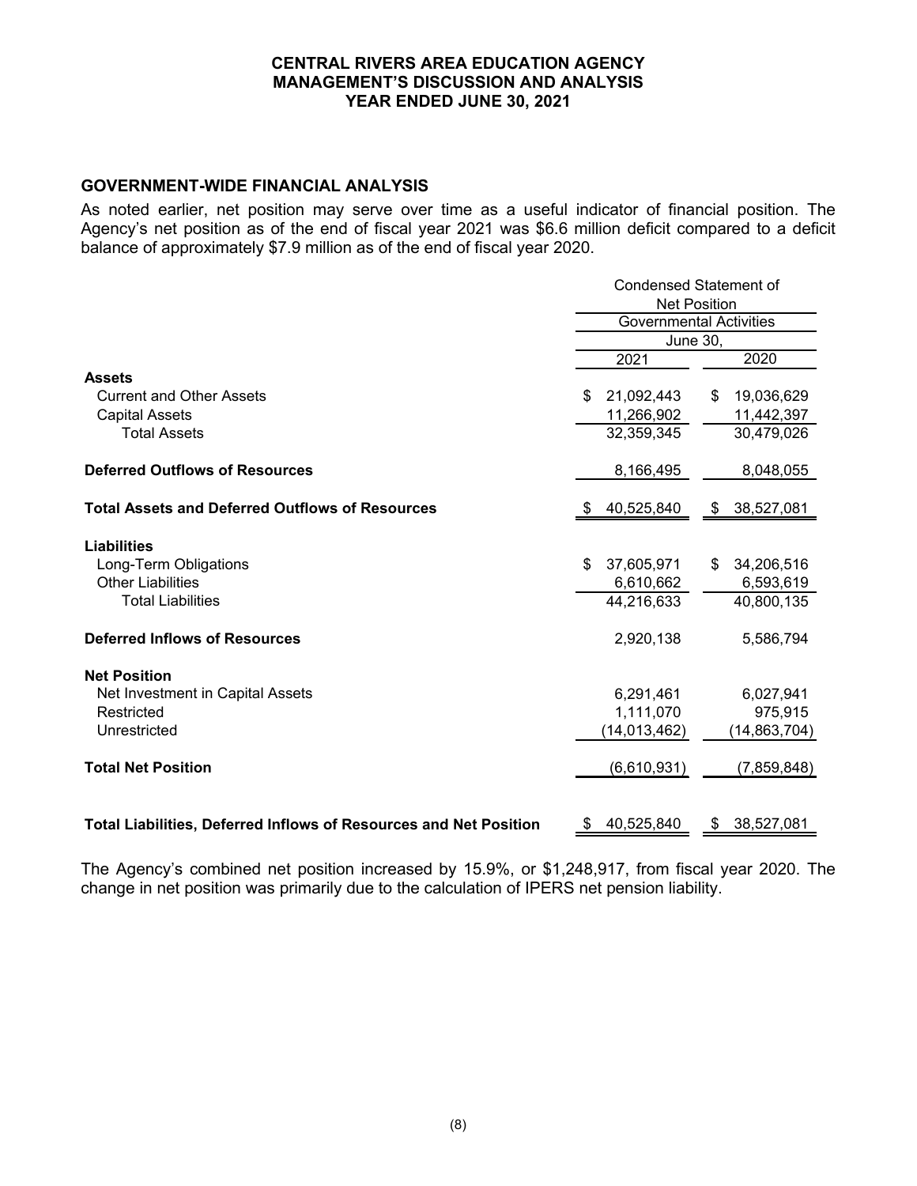# **GOVERNMENT-WIDE FINANCIAL ANALYSIS**

As noted earlier, net position may serve over time as a useful indicator of financial position. The Agency's net position as of the end of fiscal year 2021 was \$6.6 million deficit compared to a deficit balance of approximately \$7.9 million as of the end of fiscal year 2020.

|                                                                          | <b>Condensed Statement of</b>  |                  |  |  |  |  |
|--------------------------------------------------------------------------|--------------------------------|------------------|--|--|--|--|
|                                                                          | <b>Net Position</b>            |                  |  |  |  |  |
|                                                                          | <b>Governmental Activities</b> |                  |  |  |  |  |
|                                                                          | <b>June 30,</b>                |                  |  |  |  |  |
|                                                                          | 2021                           | 2020             |  |  |  |  |
| <b>Assets</b>                                                            |                                |                  |  |  |  |  |
| <b>Current and Other Assets</b>                                          | 21,092,443<br>\$.              | 19,036,629<br>\$ |  |  |  |  |
| <b>Capital Assets</b>                                                    | 11,266,902                     | 11,442,397       |  |  |  |  |
| <b>Total Assets</b>                                                      | 32,359,345                     | 30,479,026       |  |  |  |  |
| <b>Deferred Outflows of Resources</b>                                    | 8,166,495                      | 8,048,055        |  |  |  |  |
| <b>Total Assets and Deferred Outflows of Resources</b>                   | 40,525,840                     | 38,527,081<br>\$ |  |  |  |  |
| Liabilities                                                              |                                |                  |  |  |  |  |
| Long-Term Obligations                                                    | \$<br>37,605,971               | \$<br>34,206,516 |  |  |  |  |
| <b>Other Liabilities</b>                                                 | 6,610,662                      | 6,593,619        |  |  |  |  |
| <b>Total Liabilities</b>                                                 | 44,216,633                     | 40,800,135       |  |  |  |  |
| <b>Deferred Inflows of Resources</b>                                     | 2,920,138                      | 5,586,794        |  |  |  |  |
| <b>Net Position</b>                                                      |                                |                  |  |  |  |  |
| Net Investment in Capital Assets                                         | 6,291,461                      | 6,027,941        |  |  |  |  |
| Restricted                                                               | 1,111,070                      | 975,915          |  |  |  |  |
| Unrestricted                                                             | (14, 013, 462)                 | (14, 863, 704)   |  |  |  |  |
| <b>Total Net Position</b>                                                | (6,610,931)                    | (7,859,848)      |  |  |  |  |
| <b>Total Liabilities, Deferred Inflows of Resources and Net Position</b> | 40,525,840<br>S.               | 38,527,081<br>\$ |  |  |  |  |

The Agency's combined net position increased by 15.9%, or \$1,248,917, from fiscal year 2020. The change in net position was primarily due to the calculation of IPERS net pension liability.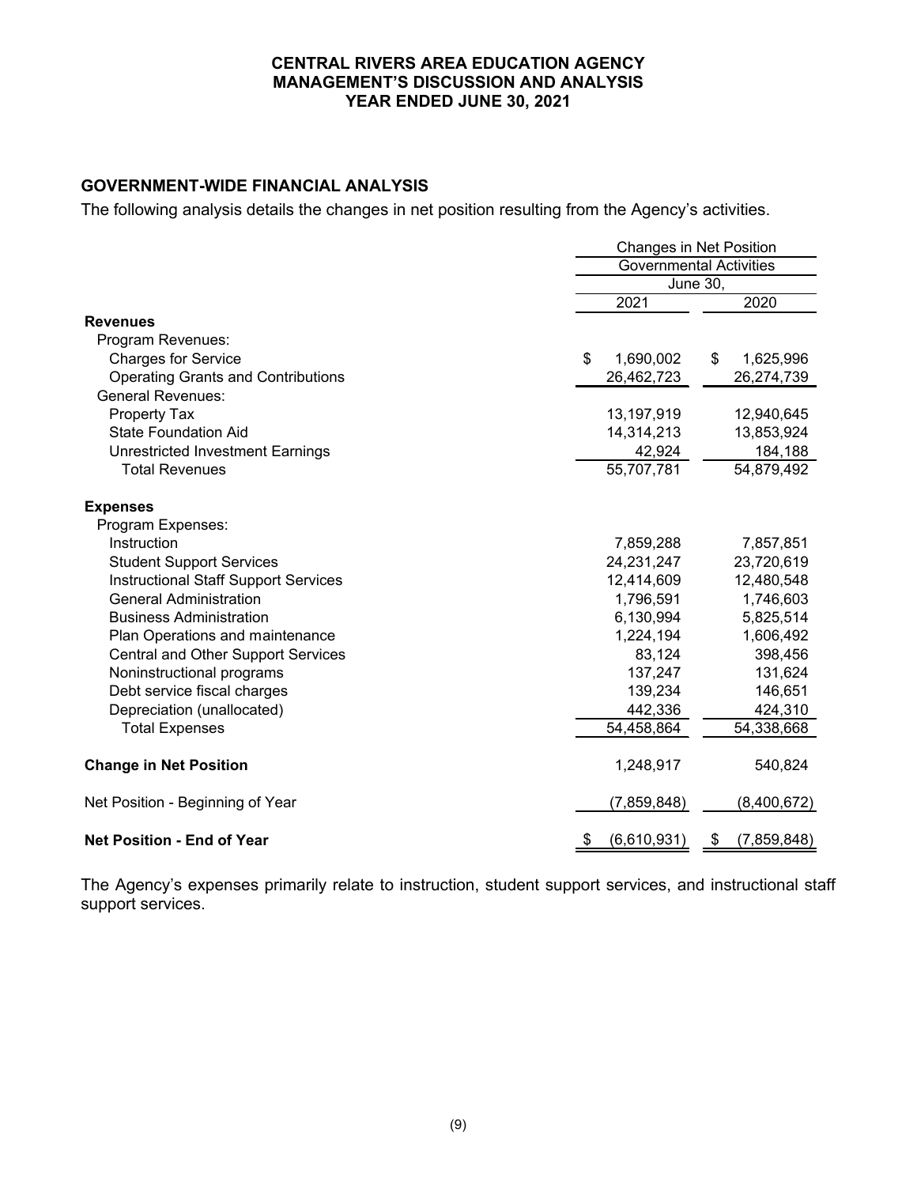# **GOVERNMENT-WIDE FINANCIAL ANALYSIS**

The following analysis details the changes in net position resulting from the Agency's activities.

|                                             |                   | <b>Changes in Net Position</b> |  |  |  |  |
|---------------------------------------------|-------------------|--------------------------------|--|--|--|--|
|                                             |                   | <b>Governmental Activities</b> |  |  |  |  |
|                                             |                   | June 30,                       |  |  |  |  |
|                                             | 2021              | 2020                           |  |  |  |  |
| <b>Revenues</b>                             |                   |                                |  |  |  |  |
| Program Revenues:                           |                   |                                |  |  |  |  |
| <b>Charges for Service</b>                  | \$<br>1,690,002   | \$<br>1,625,996                |  |  |  |  |
| <b>Operating Grants and Contributions</b>   | 26,462,723        | 26,274,739                     |  |  |  |  |
| <b>General Revenues:</b>                    |                   |                                |  |  |  |  |
| <b>Property Tax</b>                         | 13,197,919        | 12,940,645                     |  |  |  |  |
| <b>State Foundation Aid</b>                 | 14,314,213        | 13,853,924                     |  |  |  |  |
| Unrestricted Investment Earnings            | 42,924            | 184,188                        |  |  |  |  |
| <b>Total Revenues</b>                       | 55,707,781        | 54,879,492                     |  |  |  |  |
| <b>Expenses</b>                             |                   |                                |  |  |  |  |
| Program Expenses:                           |                   |                                |  |  |  |  |
| Instruction                                 | 7,859,288         | 7,857,851                      |  |  |  |  |
| <b>Student Support Services</b>             | 24, 231, 247      | 23,720,619                     |  |  |  |  |
| <b>Instructional Staff Support Services</b> | 12,414,609        | 12,480,548                     |  |  |  |  |
| <b>General Administration</b>               | 1,796,591         | 1,746,603                      |  |  |  |  |
| <b>Business Administration</b>              | 6,130,994         | 5,825,514                      |  |  |  |  |
| Plan Operations and maintenance             | 1,224,194         | 1,606,492                      |  |  |  |  |
| <b>Central and Other Support Services</b>   | 83,124            | 398,456                        |  |  |  |  |
| Noninstructional programs                   | 137,247           | 131,624                        |  |  |  |  |
| Debt service fiscal charges                 | 139,234           | 146,651                        |  |  |  |  |
| Depreciation (unallocated)                  | 442,336           | 424,310                        |  |  |  |  |
| <b>Total Expenses</b>                       | 54,458,864        | 54,338,668                     |  |  |  |  |
| <b>Change in Net Position</b>               | 1,248,917         | 540,824                        |  |  |  |  |
| Net Position - Beginning of Year            | (7,859,848)       | (8,400,672)                    |  |  |  |  |
| <b>Net Position - End of Year</b>           | \$<br>(6,610,931) | \$<br>(7,859,848)              |  |  |  |  |

The Agency's expenses primarily relate to instruction, student support services, and instructional staff support services.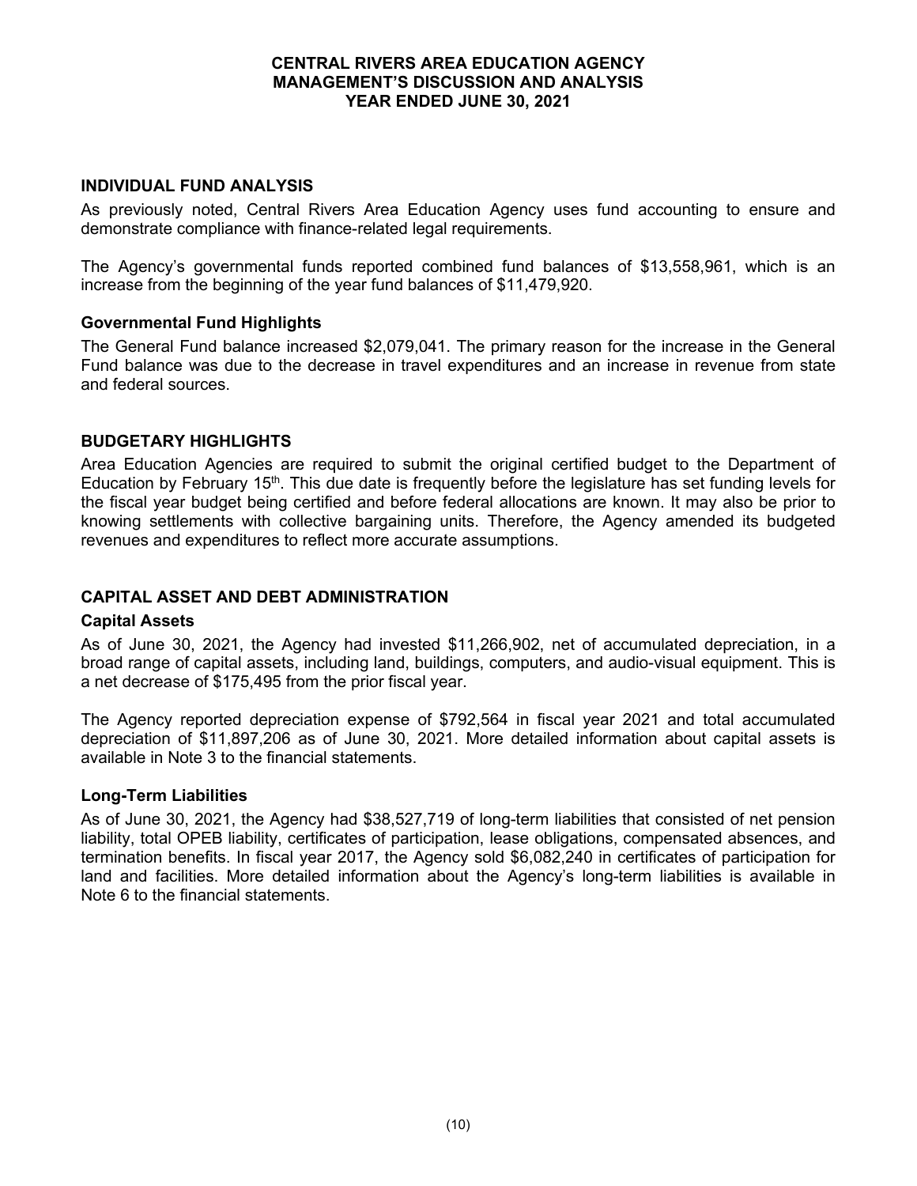#### **INDIVIDUAL FUND ANALYSIS**

As previously noted, Central Rivers Area Education Agency uses fund accounting to ensure and demonstrate compliance with finance-related legal requirements.

The Agency's governmental funds reported combined fund balances of \$13,558,961, which is an increase from the beginning of the year fund balances of \$11,479,920.

#### **Governmental Fund Highlights**

The General Fund balance increased \$2,079,041. The primary reason for the increase in the General Fund balance was due to the decrease in travel expenditures and an increase in revenue from state and federal sources.

# **BUDGETARY HIGHLIGHTS**

Area Education Agencies are required to submit the original certified budget to the Department of Education by February 15<sup>th</sup>. This due date is frequently before the legislature has set funding levels for the fiscal year budget being certified and before federal allocations are known. It may also be prior to knowing settlements with collective bargaining units. Therefore, the Agency amended its budgeted revenues and expenditures to reflect more accurate assumptions.

# **CAPITAL ASSET AND DEBT ADMINISTRATION**

#### **Capital Assets**

As of June 30, 2021, the Agency had invested \$11,266,902, net of accumulated depreciation, in a broad range of capital assets, including land, buildings, computers, and audio-visual equipment. This is a net decrease of \$175,495 from the prior fiscal year.

The Agency reported depreciation expense of \$792,564 in fiscal year 2021 and total accumulated depreciation of \$11,897,206 as of June 30, 2021. More detailed information about capital assets is available in Note 3 to the financial statements.

#### **Long-Term Liabilities**

As of June 30, 2021, the Agency had \$38,527,719 of long-term liabilities that consisted of net pension liability, total OPEB liability, certificates of participation, lease obligations, compensated absences, and termination benefits. In fiscal year 2017, the Agency sold \$6,082,240 in certificates of participation for land and facilities. More detailed information about the Agency's long-term liabilities is available in Note 6 to the financial statements.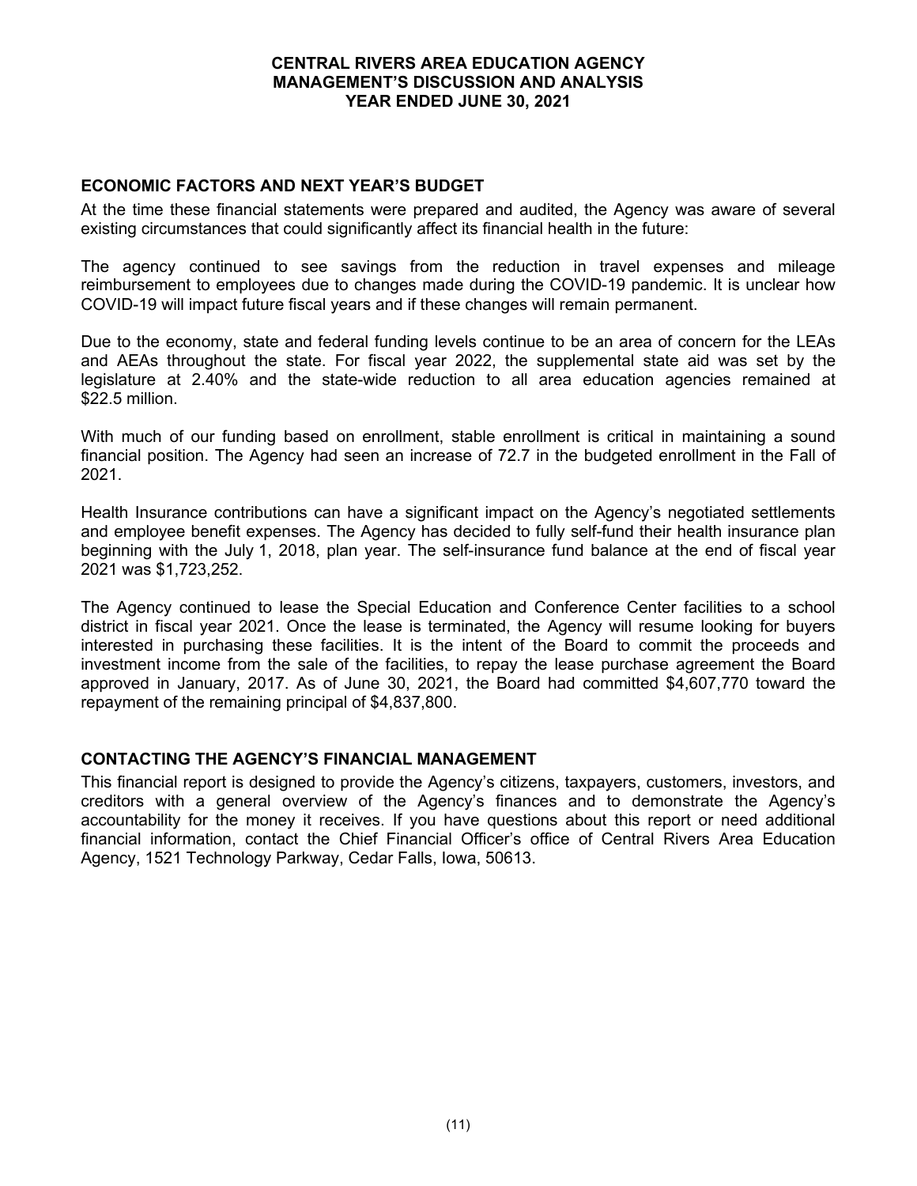# **ECONOMIC FACTORS AND NEXT YEAR'S BUDGET**

At the time these financial statements were prepared and audited, the Agency was aware of several existing circumstances that could significantly affect its financial health in the future:

The agency continued to see savings from the reduction in travel expenses and mileage reimbursement to employees due to changes made during the COVID-19 pandemic. It is unclear how COVID-19 will impact future fiscal years and if these changes will remain permanent.

Due to the economy, state and federal funding levels continue to be an area of concern for the LEAs and AEAs throughout the state. For fiscal year 2022, the supplemental state aid was set by the legislature at 2.40% and the state-wide reduction to all area education agencies remained at \$22.5 million.

With much of our funding based on enrollment, stable enrollment is critical in maintaining a sound financial position. The Agency had seen an increase of 72.7 in the budgeted enrollment in the Fall of 2021.

Health Insurance contributions can have a significant impact on the Agency's negotiated settlements and employee benefit expenses. The Agency has decided to fully self-fund their health insurance plan beginning with the July 1, 2018, plan year. The self-insurance fund balance at the end of fiscal year 2021 was \$1,723,252.

The Agency continued to lease the Special Education and Conference Center facilities to a school district in fiscal year 2021. Once the lease is terminated, the Agency will resume looking for buyers interested in purchasing these facilities. It is the intent of the Board to commit the proceeds and investment income from the sale of the facilities, to repay the lease purchase agreement the Board approved in January, 2017. As of June 30, 2021, the Board had committed \$4,607,770 toward the repayment of the remaining principal of \$4,837,800.

#### **CONTACTING THE AGENCY'S FINANCIAL MANAGEMENT**

This financial report is designed to provide the Agency's citizens, taxpayers, customers, investors, and creditors with a general overview of the Agency's finances and to demonstrate the Agency's accountability for the money it receives. If you have questions about this report or need additional financial information, contact the Chief Financial Officer's office of Central Rivers Area Education Agency, 1521 Technology Parkway, Cedar Falls, Iowa, 50613.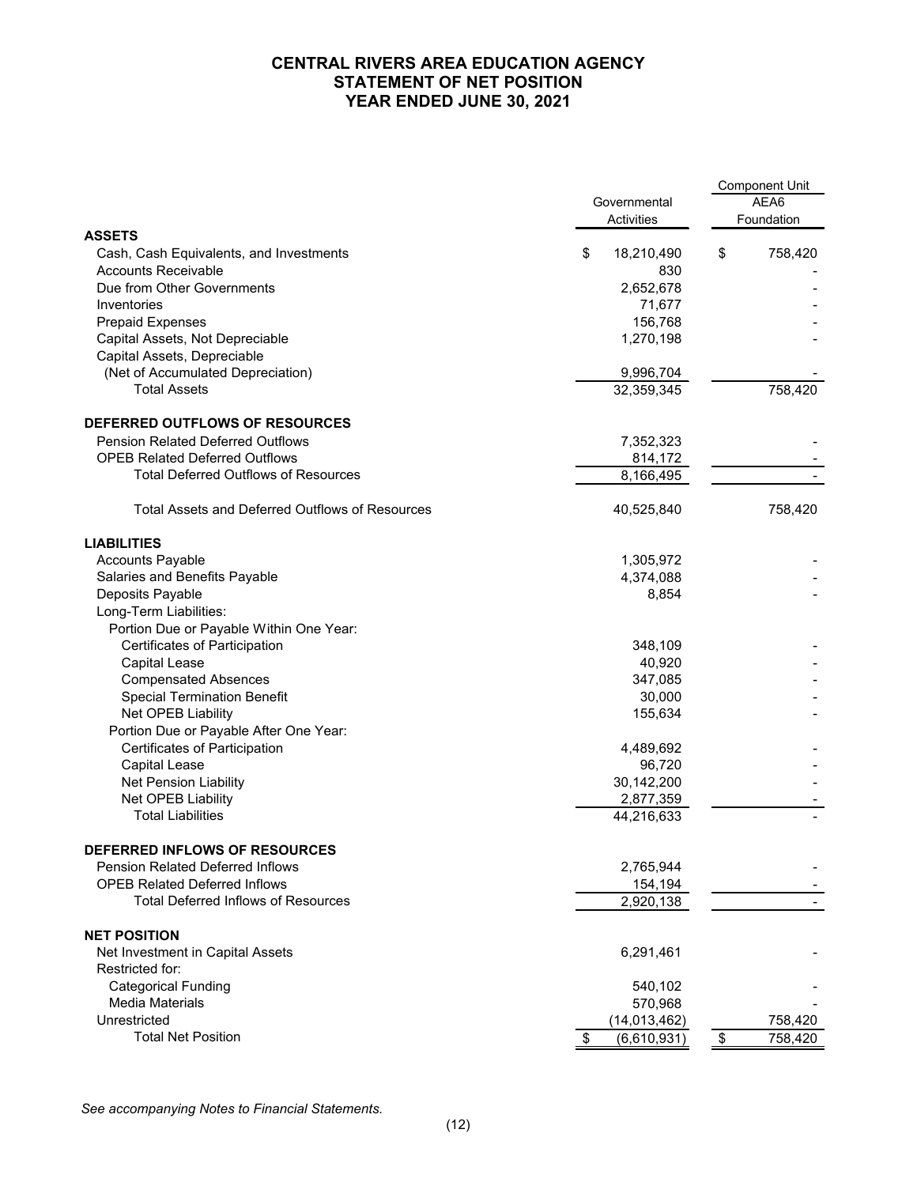# **CENTRAL RIVERS AREA EDUCATION AGENCY STATEMENT OF NET POSITION YEAR ENDED JUNE 30, 2021**

|                                                        |                   | <b>Component Unit</b> |  |  |
|--------------------------------------------------------|-------------------|-----------------------|--|--|
|                                                        | Governmental      | AEA6<br>Foundation    |  |  |
|                                                        | Activities        |                       |  |  |
| <b>ASSETS</b>                                          |                   |                       |  |  |
| Cash, Cash Equivalents, and Investments                | \$<br>18,210,490  | \$<br>758,420         |  |  |
| <b>Accounts Receivable</b>                             | 830               |                       |  |  |
| Due from Other Governments                             | 2,652,678         |                       |  |  |
| Inventories                                            | 71,677            |                       |  |  |
| <b>Prepaid Expenses</b>                                | 156,768           |                       |  |  |
| Capital Assets, Not Depreciable                        | 1,270,198         |                       |  |  |
| Capital Assets, Depreciable                            |                   |                       |  |  |
| (Net of Accumulated Depreciation)                      | 9,996,704         |                       |  |  |
| <b>Total Assets</b>                                    | 32,359,345        | 758,420               |  |  |
| <b>DEFERRED OUTFLOWS OF RESOURCES</b>                  |                   |                       |  |  |
| <b>Pension Related Deferred Outflows</b>               | 7,352,323         |                       |  |  |
| <b>OPEB Related Deferred Outflows</b>                  | 814,172           |                       |  |  |
| <b>Total Deferred Outflows of Resources</b>            | 8,166,495         |                       |  |  |
| <b>Total Assets and Deferred Outflows of Resources</b> | 40,525,840        | 758,420               |  |  |
| <b>LIABILITIES</b>                                     |                   |                       |  |  |
| <b>Accounts Payable</b>                                | 1,305,972         |                       |  |  |
| Salaries and Benefits Payable                          | 4,374,088         |                       |  |  |
| Deposits Payable                                       | 8,854             |                       |  |  |
| Long-Term Liabilities:                                 |                   |                       |  |  |
| Portion Due or Payable Within One Year:                |                   |                       |  |  |
| Certificates of Participation                          | 348,109           |                       |  |  |
| <b>Capital Lease</b>                                   | 40,920            |                       |  |  |
| <b>Compensated Absences</b>                            | 347,085           |                       |  |  |
| <b>Special Termination Benefit</b>                     | 30,000            |                       |  |  |
| Net OPEB Liability                                     | 155,634           |                       |  |  |
| Portion Due or Payable After One Year:                 |                   |                       |  |  |
| Certificates of Participation                          | 4,489,692         |                       |  |  |
| <b>Capital Lease</b>                                   | 96,720            |                       |  |  |
| Net Pension Liability                                  | 30,142,200        |                       |  |  |
| Net OPEB Liability                                     | 2,877,359         |                       |  |  |
| <b>Total Liabilities</b>                               | 44,216,633        |                       |  |  |
| DEFERRED INFLOWS OF RESOURCES                          |                   |                       |  |  |
| Pension Related Deferred Inflows                       | 2,765,944         |                       |  |  |
| <b>OPEB Related Deferred Inflows</b>                   | 154,194           |                       |  |  |
| <b>Total Deferred Inflows of Resources</b>             | 2,920,138         |                       |  |  |
|                                                        |                   |                       |  |  |
| <b>NET POSITION</b>                                    |                   |                       |  |  |
| Net Investment in Capital Assets                       | 6,291,461         |                       |  |  |
| Restricted for:                                        |                   |                       |  |  |
| <b>Categorical Funding</b>                             | 540,102           |                       |  |  |
| Media Materials                                        | 570,968           |                       |  |  |
| Unrestricted                                           | (14, 013, 462)    | 758,420               |  |  |
| <b>Total Net Position</b>                              | \$<br>(6,610,931) | \$<br>758,420         |  |  |

*See accompanying Notes to Financial Statements.*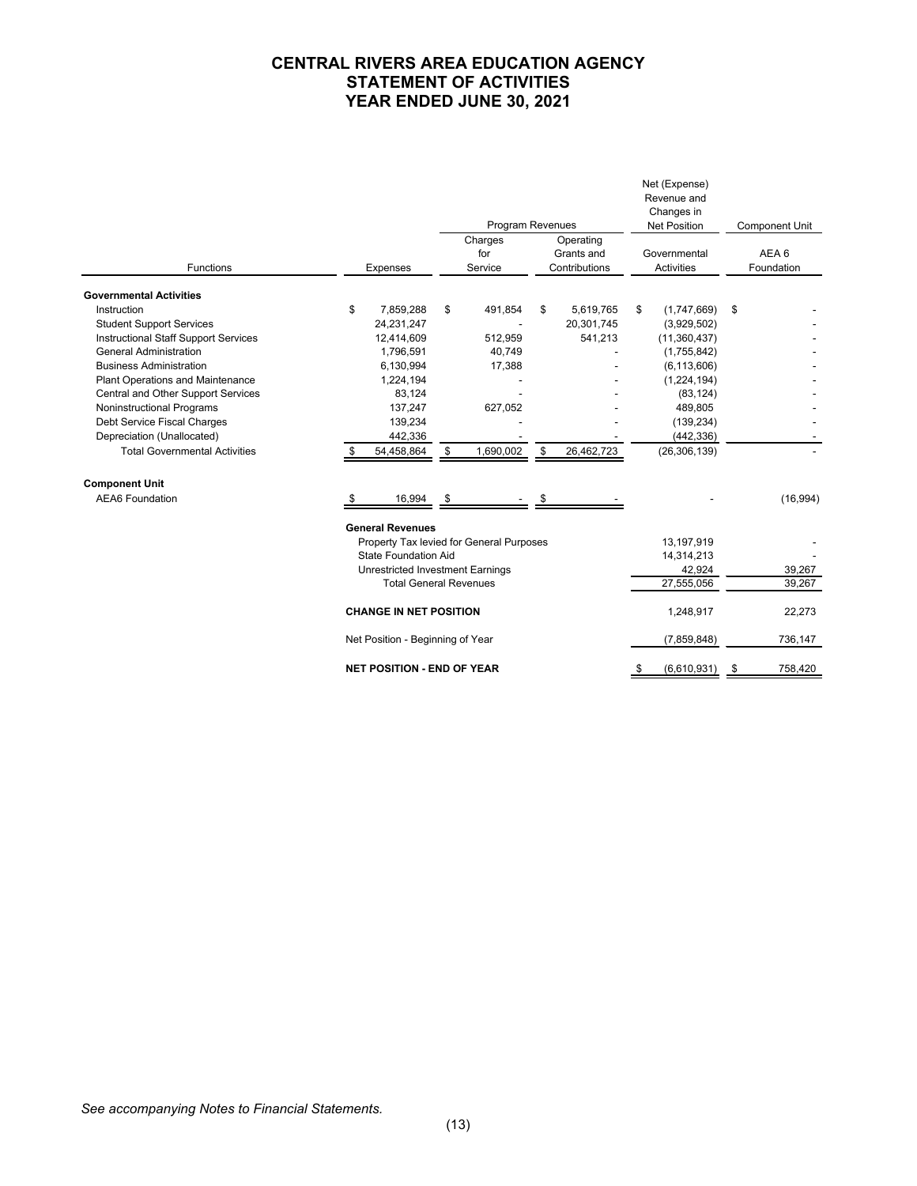# **CENTRAL RIVERS AREA EDUCATION AGENCY STATEMENT OF ACTIVITIES YEAR ENDED JUNE 30, 2021**

|                                      |                                  |                                          |     |           |            |                     |                | Net (Expense)<br>Revenue and |                  |
|--------------------------------------|----------------------------------|------------------------------------------|-----|-----------|------------|---------------------|----------------|------------------------------|------------------|
|                                      |                                  |                                          |     |           |            |                     |                | Changes in                   |                  |
|                                      | Program Revenues                 |                                          |     |           |            | <b>Net Position</b> | Component Unit |                              |                  |
|                                      |                                  |                                          |     | Charges   |            | Operating           |                |                              |                  |
|                                      |                                  |                                          |     | for       | Grants and |                     |                | Governmental                 | AEA <sub>6</sub> |
| <b>Functions</b>                     |                                  | <b>Expenses</b>                          |     | Service   |            | Contributions       |                | <b>Activities</b>            | Foundation       |
| <b>Governmental Activities</b>       |                                  |                                          |     |           |            |                     |                |                              |                  |
| Instruction                          | \$                               | 7,859,288                                | \$  | 491,854   | \$         | 5,619,765           | \$             | (1,747,669)                  | \$               |
| <b>Student Support Services</b>      |                                  | 24, 231, 247                             |     |           |            | 20,301,745          |                | (3,929,502)                  |                  |
| Instructional Staff Support Services |                                  | 12,414,609                               |     | 512,959   |            | 541,213             |                | (11,360,437)                 |                  |
| <b>General Administration</b>        |                                  | 1,796,591                                |     | 40,749    |            |                     |                | (1,755,842)                  |                  |
| <b>Business Administration</b>       |                                  | 6,130,994                                |     | 17,388    |            |                     |                | (6, 113, 606)                |                  |
| Plant Operations and Maintenance     |                                  | 1,224,194                                |     |           |            |                     |                | (1,224,194)                  |                  |
| Central and Other Support Services   |                                  | 83,124                                   |     |           |            |                     |                | (83, 124)                    |                  |
| Noninstructional Programs            |                                  | 137,247                                  |     | 627,052   |            |                     |                | 489,805                      |                  |
| Debt Service Fiscal Charges          |                                  | 139,234                                  |     |           |            |                     |                | (139, 234)                   |                  |
| Depreciation (Unallocated)           |                                  | 442,336                                  |     |           |            |                     |                | (442, 336)                   |                  |
| <b>Total Governmental Activities</b> |                                  | 54,458,864                               | \$  | 1,690,002 | \$         | 26,462,723          |                | (26, 306, 139)               |                  |
| <b>Component Unit</b>                |                                  |                                          |     |           |            |                     |                |                              |                  |
| <b>AEA6 Foundation</b>               |                                  | 16,994                                   | -\$ |           |            |                     |                |                              | (16, 994)        |
|                                      |                                  | <b>General Revenues</b>                  |     |           |            |                     |                |                              |                  |
|                                      |                                  | Property Tax levied for General Purposes |     |           |            |                     |                | 13,197,919                   |                  |
| <b>State Foundation Aid</b>          |                                  |                                          |     |           |            | 14,314,213          |                |                              |                  |
|                                      | Unrestricted Investment Earnings |                                          |     |           |            | 42,924              | 39,267         |                              |                  |
|                                      |                                  | <b>Total General Revenues</b>            |     |           |            |                     |                | 27,555,056                   | 39,267           |
| <b>CHANGE IN NET POSITION</b>        |                                  |                                          |     |           |            |                     |                | 1,248,917                    | 22,273           |
|                                      | Net Position - Beginning of Year |                                          |     |           |            |                     | (7,859,848)    | 736,147                      |                  |
|                                      |                                  | <b>NET POSITION - END OF YEAR</b>        |     |           |            |                     | S              | (6,610,931)                  | 758,420          |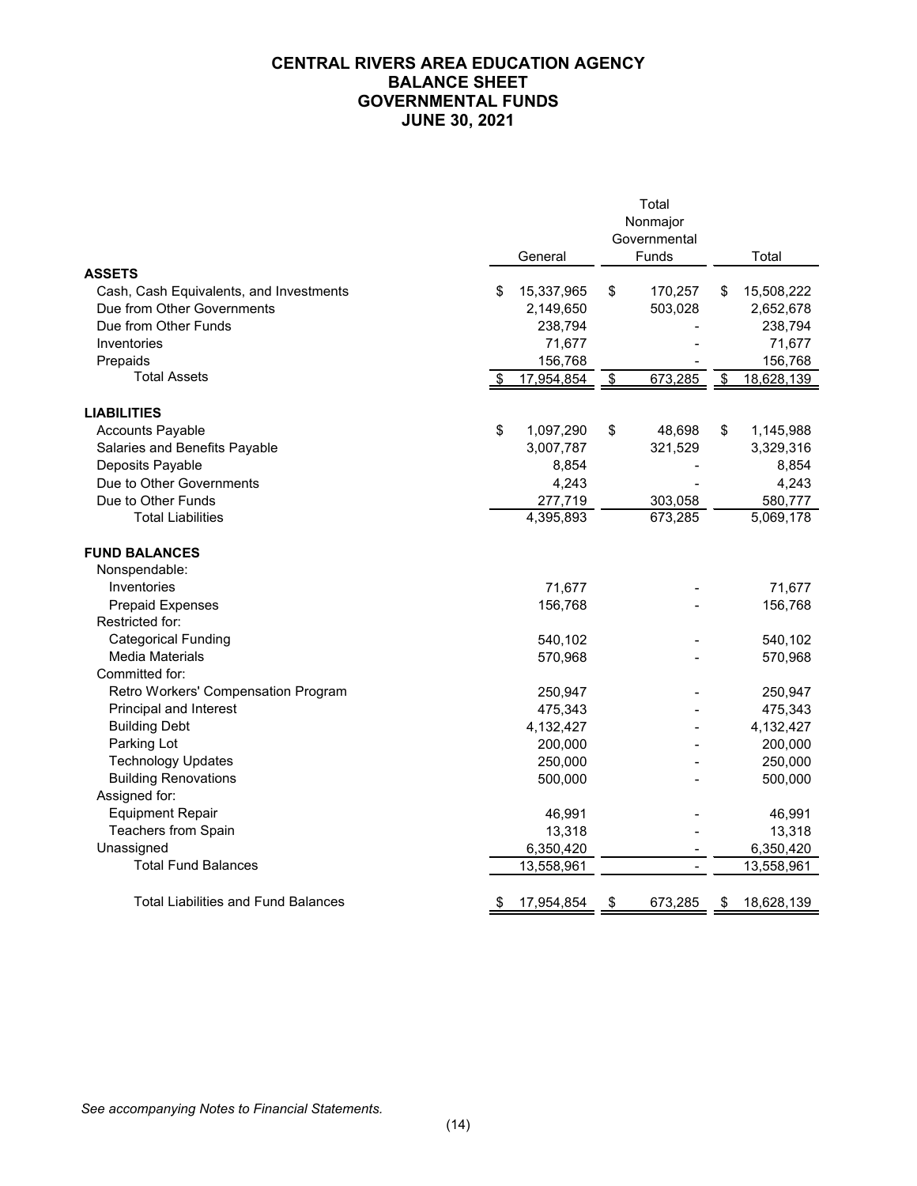# **CENTRAL RIVERS AREA EDUCATION AGENCY BALANCE SHEET GOVERNMENTAL FUNDS JUNE 30, 2021**

|                                            | General          |               | Total<br>Nonmajor<br>Governmental<br>Funds |    | Total      |
|--------------------------------------------|------------------|---------------|--------------------------------------------|----|------------|
| <b>ASSETS</b>                              |                  |               |                                            |    |            |
| Cash, Cash Equivalents, and Investments    | \$<br>15,337,965 | \$            | 170,257                                    | S  | 15,508,222 |
| Due from Other Governments                 | 2,149,650        |               | 503,028                                    |    | 2,652,678  |
| Due from Other Funds                       | 238,794          |               |                                            |    | 238,794    |
| Inventories                                | 71,677           |               |                                            |    | 71,677     |
| Prepaids                                   | 156,768          |               |                                            |    | 156,768    |
| <b>Total Assets</b>                        | \$<br>17,954,854 | $\frac{1}{2}$ | 673,285                                    | \$ | 18,628,139 |
| <b>LIABILITIES</b>                         |                  |               |                                            |    |            |
| <b>Accounts Payable</b>                    | \$<br>1,097,290  | \$            | 48,698                                     | \$ | 1,145,988  |
| Salaries and Benefits Payable              | 3,007,787        |               | 321,529                                    |    | 3,329,316  |
| Deposits Payable                           | 8,854            |               |                                            |    | 8,854      |
| Due to Other Governments                   | 4,243            |               |                                            |    | 4,243      |
| Due to Other Funds                         | 277,719          |               | 303,058                                    |    | 580,777    |
| <b>Total Liabilities</b>                   | 4,395,893        |               | 673,285                                    |    | 5,069,178  |
| <b>FUND BALANCES</b>                       |                  |               |                                            |    |            |
| Nonspendable:                              |                  |               |                                            |    |            |
| Inventories                                | 71,677           |               |                                            |    | 71,677     |
| <b>Prepaid Expenses</b>                    | 156,768          |               |                                            |    | 156,768    |
| Restricted for:                            |                  |               |                                            |    |            |
| <b>Categorical Funding</b>                 | 540,102          |               |                                            |    | 540,102    |
| <b>Media Materials</b>                     | 570,968          |               |                                            |    | 570,968    |
| Committed for:                             |                  |               |                                            |    |            |
| Retro Workers' Compensation Program        | 250,947          |               |                                            |    | 250,947    |
| Principal and Interest                     | 475,343          |               |                                            |    | 475,343    |
| <b>Building Debt</b>                       | 4,132,427        |               |                                            |    | 4,132,427  |
| Parking Lot                                | 200,000          |               |                                            |    | 200,000    |
| <b>Technology Updates</b>                  | 250,000          |               |                                            |    | 250,000    |
| <b>Building Renovations</b>                | 500,000          |               |                                            |    | 500,000    |
| Assigned for:                              |                  |               |                                            |    |            |
| <b>Equipment Repair</b>                    | 46,991           |               |                                            |    | 46,991     |
| Teachers from Spain                        | 13,318           |               |                                            |    | 13,318     |
| Unassigned                                 | 6,350,420        |               |                                            |    | 6,350,420  |
| <b>Total Fund Balances</b>                 | 13,558,961       |               |                                            |    | 13,558,961 |
| <b>Total Liabilities and Fund Balances</b> | \$<br>17,954,854 | \$            | 673,285                                    | \$ | 18,628,139 |

*See accompanying Notes to Financial Statements.*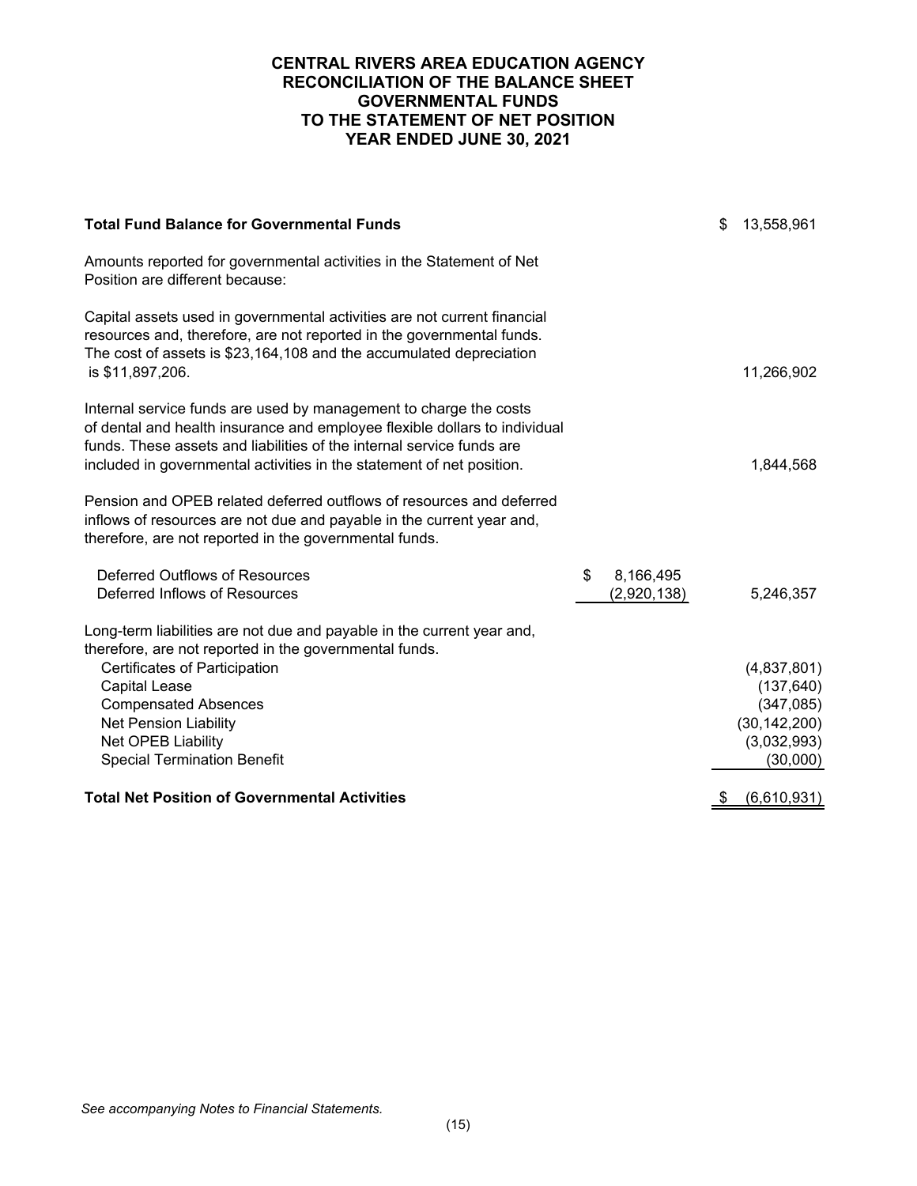#### **CENTRAL RIVERS AREA EDUCATION AGENCY RECONCILIATION OF THE BALANCE SHEET GOVERNMENTAL FUNDS TO THE STATEMENT OF NET POSITION YEAR ENDED JUNE 30, 2021**

| <b>Total Fund Balance for Governmental Funds</b>                                                                                                                                                                                                                                                                     |                                | \$<br>13,558,961                                                                    |
|----------------------------------------------------------------------------------------------------------------------------------------------------------------------------------------------------------------------------------------------------------------------------------------------------------------------|--------------------------------|-------------------------------------------------------------------------------------|
| Amounts reported for governmental activities in the Statement of Net<br>Position are different because:                                                                                                                                                                                                              |                                |                                                                                     |
| Capital assets used in governmental activities are not current financial<br>resources and, therefore, are not reported in the governmental funds.<br>The cost of assets is \$23,164,108 and the accumulated depreciation<br>is \$11,897,206.                                                                         |                                | 11,266,902                                                                          |
| Internal service funds are used by management to charge the costs<br>of dental and health insurance and employee flexible dollars to individual<br>funds. These assets and liabilities of the internal service funds are<br>included in governmental activities in the statement of net position.                    |                                | 1,844,568                                                                           |
| Pension and OPEB related deferred outflows of resources and deferred<br>inflows of resources are not due and payable in the current year and,<br>therefore, are not reported in the governmental funds.                                                                                                              |                                |                                                                                     |
| Deferred Outflows of Resources<br>Deferred Inflows of Resources                                                                                                                                                                                                                                                      | \$<br>8,166,495<br>(2,920,138) | 5,246,357                                                                           |
| Long-term liabilities are not due and payable in the current year and,<br>therefore, are not reported in the governmental funds.<br>Certificates of Participation<br><b>Capital Lease</b><br><b>Compensated Absences</b><br><b>Net Pension Liability</b><br>Net OPEB Liability<br><b>Special Termination Benefit</b> |                                | (4,837,801)<br>(137, 640)<br>(347,085)<br>(30, 142, 200)<br>(3,032,993)<br>(30,000) |
| <b>Total Net Position of Governmental Activities</b>                                                                                                                                                                                                                                                                 |                                | (6,610,931)                                                                         |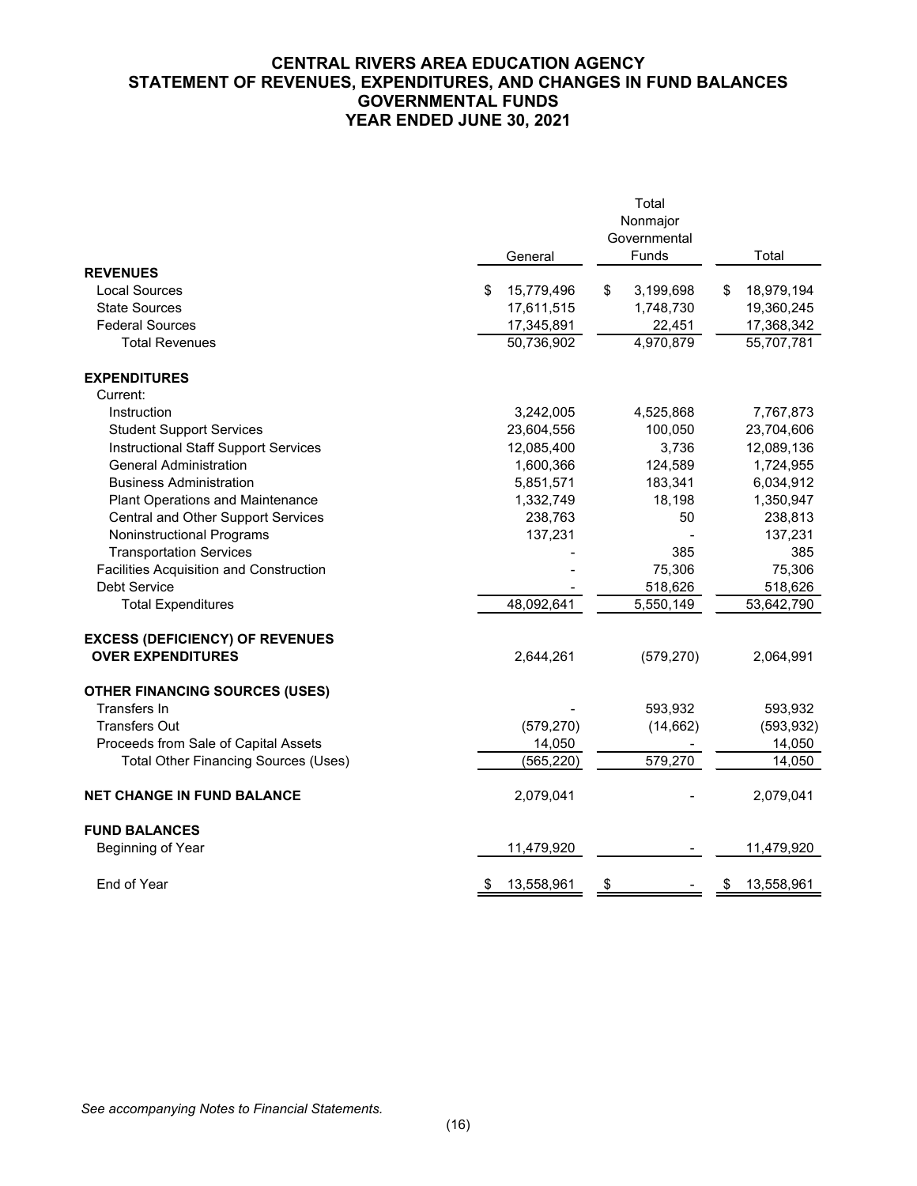#### **CENTRAL RIVERS AREA EDUCATION AGENCY STATEMENT OF REVENUES, EXPENDITURES, AND CHANGES IN FUND BALANCES GOVERNMENTAL FUNDS YEAR ENDED JUNE 30, 2021**

|                                             | General          | Total<br>Nonmajor<br>Governmental<br>Funds |    | Total      |
|---------------------------------------------|------------------|--------------------------------------------|----|------------|
| <b>REVENUES</b>                             |                  |                                            |    |            |
| Local Sources                               | \$<br>15,779,496 | \$<br>3,199,698                            | S  | 18,979,194 |
| <b>State Sources</b>                        | 17,611,515       | 1,748,730                                  |    | 19,360,245 |
| <b>Federal Sources</b>                      | 17,345,891       | 22,451                                     |    | 17,368,342 |
| <b>Total Revenues</b>                       | 50,736,902       | 4,970,879                                  |    | 55,707,781 |
| <b>EXPENDITURES</b>                         |                  |                                            |    |            |
| Current:                                    |                  |                                            |    |            |
| Instruction                                 | 3,242,005        | 4,525,868                                  |    | 7,767,873  |
| <b>Student Support Services</b>             | 23,604,556       | 100,050                                    |    | 23,704,606 |
| Instructional Staff Support Services        | 12,085,400       | 3,736                                      |    | 12,089,136 |
| <b>General Administration</b>               | 1,600,366        | 124,589                                    |    | 1,724,955  |
| <b>Business Administration</b>              | 5,851,571        | 183,341                                    |    | 6,034,912  |
| <b>Plant Operations and Maintenance</b>     | 1,332,749        | 18,198                                     |    | 1,350,947  |
| Central and Other Support Services          | 238,763          | 50                                         |    | 238,813    |
| Noninstructional Programs                   | 137,231          |                                            |    | 137,231    |
| <b>Transportation Services</b>              |                  | 385                                        |    | 385        |
| Facilities Acquisition and Construction     |                  | 75,306                                     |    | 75,306     |
| Debt Service                                |                  | 518,626                                    |    | 518,626    |
| <b>Total Expenditures</b>                   | 48,092,641       | 5,550,149                                  |    | 53,642,790 |
| <b>EXCESS (DEFICIENCY) OF REVENUES</b>      |                  |                                            |    |            |
| <b>OVER EXPENDITURES</b>                    | 2,644,261        | (579, 270)                                 |    | 2,064,991  |
| <b>OTHER FINANCING SOURCES (USES)</b>       |                  |                                            |    |            |
| Transfers In                                |                  | 593,932                                    |    | 593,932    |
| <b>Transfers Out</b>                        | (579, 270)       | (14, 662)                                  |    | (593, 932) |
| Proceeds from Sale of Capital Assets        | 14,050           |                                            |    | 14,050     |
| <b>Total Other Financing Sources (Uses)</b> | (565, 220)       | 579,270                                    |    | 14,050     |
| <b>NET CHANGE IN FUND BALANCE</b>           | 2,079,041        |                                            |    | 2,079,041  |
| <b>FUND BALANCES</b>                        |                  |                                            |    |            |
| Beginning of Year                           | 11,479,920       |                                            |    | 11,479,920 |
| End of Year                                 | \$<br>13,558,961 | \$                                         | \$ | 13,558,961 |

*See accompanying Notes to Financial Statements.*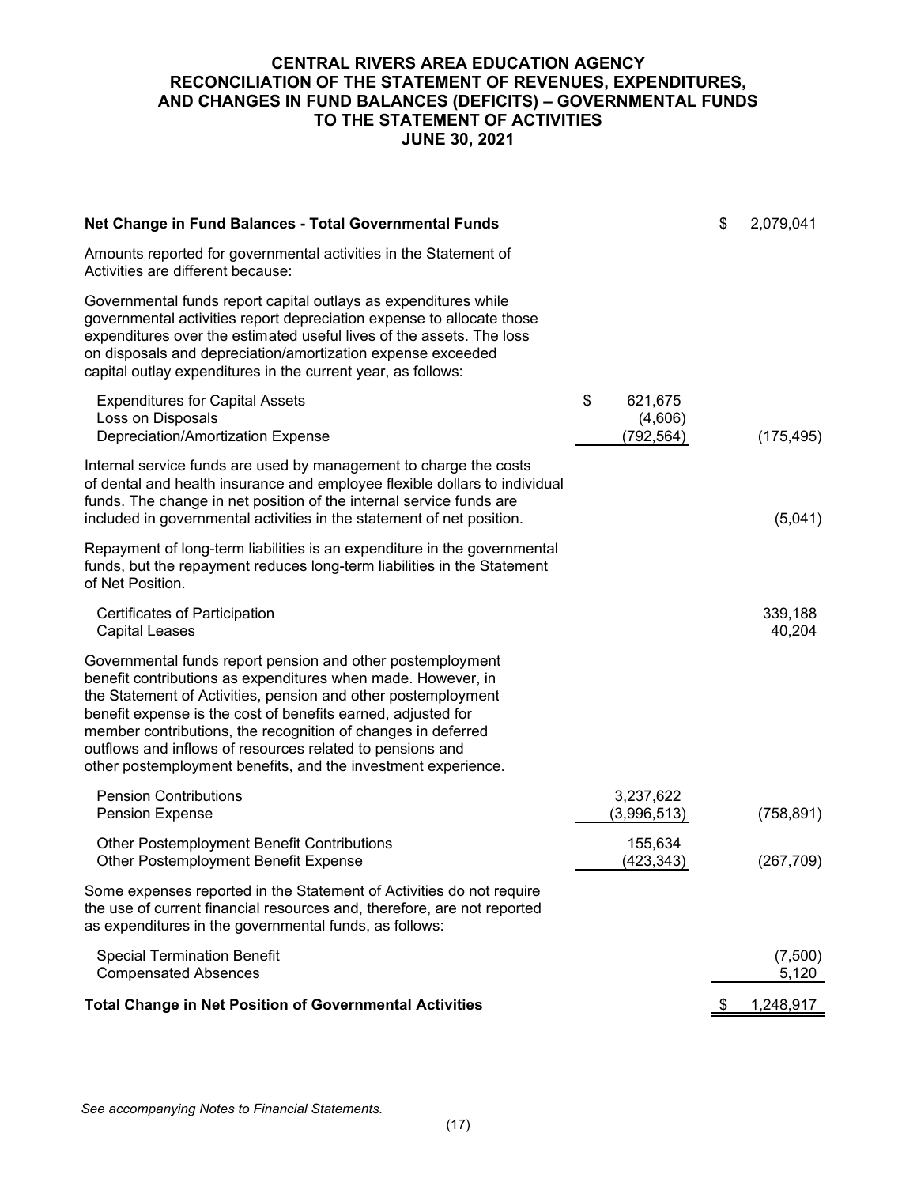#### **CENTRAL RIVERS AREA EDUCATION AGENCY RECONCILIATION OF THE STATEMENT OF REVENUES, EXPENDITURES, AND CHANGES IN FUND BALANCES (DEFICITS) – GOVERNMENTAL FUNDS TO THE STATEMENT OF ACTIVITIES JUNE 30, 2021**

| Net Change in Fund Balances - Total Governmental Funds                                                                                                                                                                                                                                                                                                                                                                                                    |                                        | \$<br>2,079,041   |
|-----------------------------------------------------------------------------------------------------------------------------------------------------------------------------------------------------------------------------------------------------------------------------------------------------------------------------------------------------------------------------------------------------------------------------------------------------------|----------------------------------------|-------------------|
| Amounts reported for governmental activities in the Statement of<br>Activities are different because:                                                                                                                                                                                                                                                                                                                                                     |                                        |                   |
| Governmental funds report capital outlays as expenditures while<br>governmental activities report depreciation expense to allocate those<br>expenditures over the estimated useful lives of the assets. The loss<br>on disposals and depreciation/amortization expense exceeded<br>capital outlay expenditures in the current year, as follows:                                                                                                           |                                        |                   |
| <b>Expenditures for Capital Assets</b><br>Loss on Disposals<br>Depreciation/Amortization Expense                                                                                                                                                                                                                                                                                                                                                          | \$<br>621,675<br>(4,606)<br>(792, 564) | (175, 495)        |
| Internal service funds are used by management to charge the costs<br>of dental and health insurance and employee flexible dollars to individual<br>funds. The change in net position of the internal service funds are<br>included in governmental activities in the statement of net position.                                                                                                                                                           |                                        | (5,041)           |
| Repayment of long-term liabilities is an expenditure in the governmental<br>funds, but the repayment reduces long-term liabilities in the Statement<br>of Net Position.                                                                                                                                                                                                                                                                                   |                                        |                   |
| <b>Certificates of Participation</b><br><b>Capital Leases</b>                                                                                                                                                                                                                                                                                                                                                                                             |                                        | 339,188<br>40,204 |
| Governmental funds report pension and other postemployment<br>benefit contributions as expenditures when made. However, in<br>the Statement of Activities, pension and other postemployment<br>benefit expense is the cost of benefits earned, adjusted for<br>member contributions, the recognition of changes in deferred<br>outflows and inflows of resources related to pensions and<br>other postemployment benefits, and the investment experience. |                                        |                   |
| <b>Pension Contributions</b><br><b>Pension Expense</b>                                                                                                                                                                                                                                                                                                                                                                                                    | 3,237,622<br>(3,996,513)               | (758, 891)        |
| <b>Other Postemployment Benefit Contributions</b><br>Other Postemployment Benefit Expense                                                                                                                                                                                                                                                                                                                                                                 | 155,634<br>(423,343)                   | (267, 709)        |
| Some expenses reported in the Statement of Activities do not require<br>the use of current financial resources and, therefore, are not reported<br>as expenditures in the governmental funds, as follows:                                                                                                                                                                                                                                                 |                                        |                   |
| <b>Special Termination Benefit</b><br><b>Compensated Absences</b>                                                                                                                                                                                                                                                                                                                                                                                         |                                        | (7,500)<br>5,120  |
| <b>Total Change in Net Position of Governmental Activities</b>                                                                                                                                                                                                                                                                                                                                                                                            |                                        | \$<br>1,248,917   |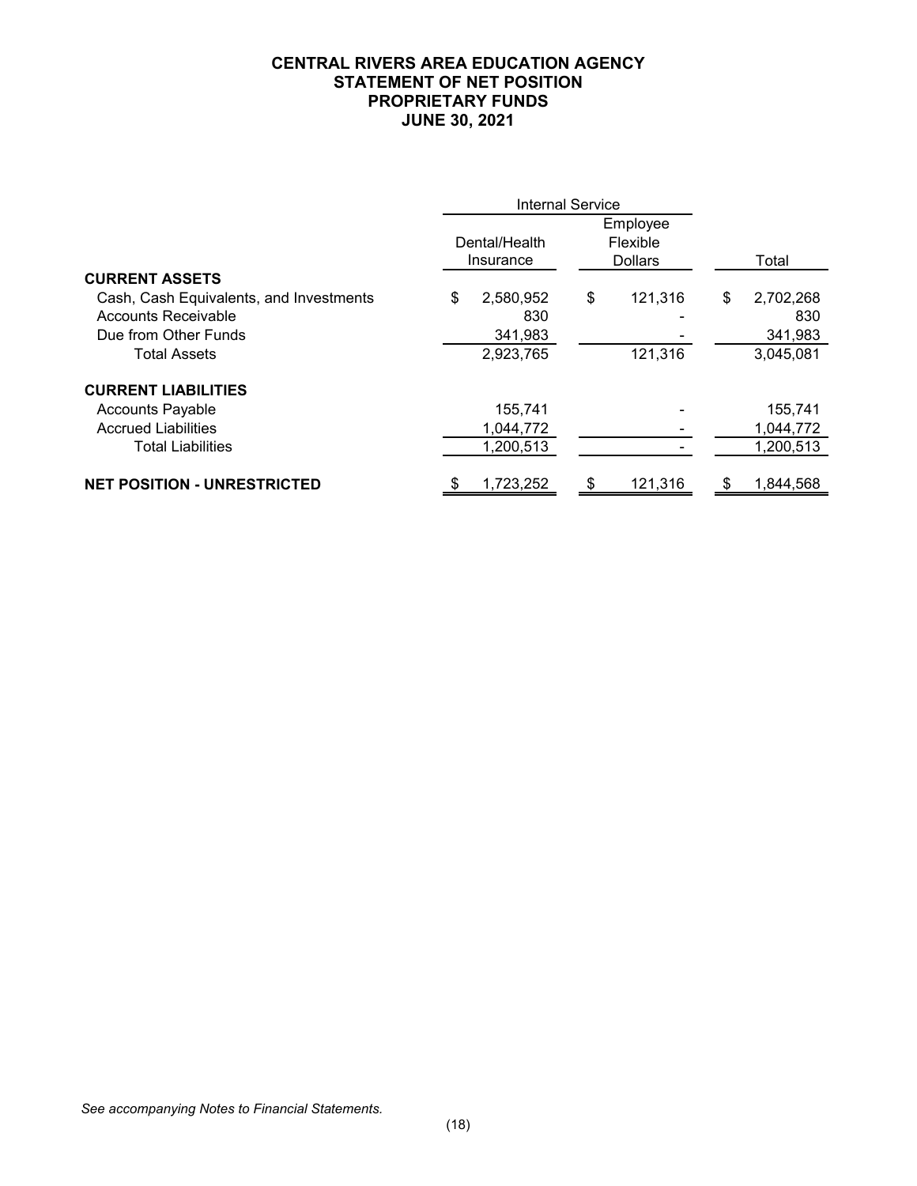# **CENTRAL RIVERS AREA EDUCATION AGENCY STATEMENT OF NET POSITION PROPRIETARY FUNDS JUNE 30, 2021**

|                                         | <b>Internal Service</b> |    |                |    |           |
|-----------------------------------------|-------------------------|----|----------------|----|-----------|
|                                         |                         |    | Employee       |    |           |
|                                         | Dental/Health           |    | Flexible       |    |           |
|                                         | Insurance               |    | <b>Dollars</b> |    | Total     |
| <b>CURRENT ASSETS</b>                   |                         |    |                |    |           |
| Cash, Cash Equivalents, and Investments | \$<br>2,580,952         | \$ | 121,316        | \$ | 2,702,268 |
| <b>Accounts Receivable</b>              | 830                     |    |                |    | 830       |
| Due from Other Funds                    | 341,983                 |    |                |    | 341,983   |
| <b>Total Assets</b>                     | 2,923,765               |    | 121,316        |    | 3,045,081 |
| <b>CURRENT LIABILITIES</b>              |                         |    |                |    |           |
| <b>Accounts Payable</b>                 | 155,741                 |    |                |    | 155,741   |
| <b>Accrued Liabilities</b>              | 1,044,772               |    |                |    | 1,044,772 |
| <b>Total Liabilities</b>                | 1,200,513               |    |                |    | 1,200,513 |
| <b>NET POSITION - UNRESTRICTED</b>      | 1,723,252               | \$ | 121,316        | S  | 1,844,568 |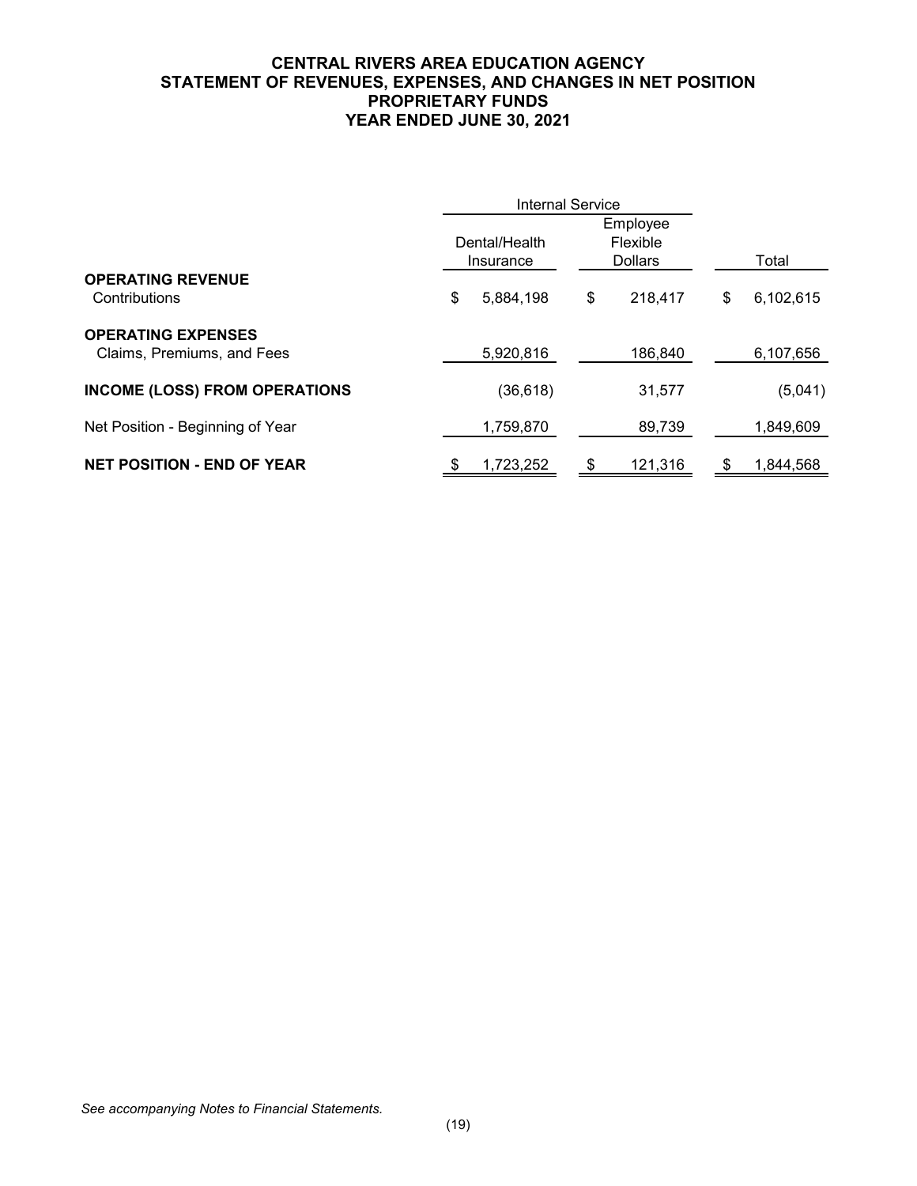#### **CENTRAL RIVERS AREA EDUCATION AGENCY STATEMENT OF REVENUES, EXPENSES, AND CHANGES IN NET POSITION PROPRIETARY FUNDS YEAR ENDED JUNE 30, 2021**

|                                                         |  | <b>Internal Service</b>    |               |                 |
|---------------------------------------------------------|--|----------------------------|---------------|-----------------|
|                                                         |  | Dental/Health<br>Insurance | Total         |                 |
| <b>OPERATING REVENUE</b><br>Contributions               |  | 5,884,198                  | \$<br>218,417 | \$<br>6,102,615 |
| <b>OPERATING EXPENSES</b><br>Claims, Premiums, and Fees |  | 5,920,816                  | 186,840       | 6,107,656       |
| <b>INCOME (LOSS) FROM OPERATIONS</b>                    |  | (36, 618)                  | 31,577        | (5,041)         |
| Net Position - Beginning of Year                        |  | 1,759,870                  | 89,739        | 1,849,609       |
| <b>NET POSITION - END OF YEAR</b>                       |  | 1,723,252                  | \$<br>121.316 | \$<br>1.844.568 |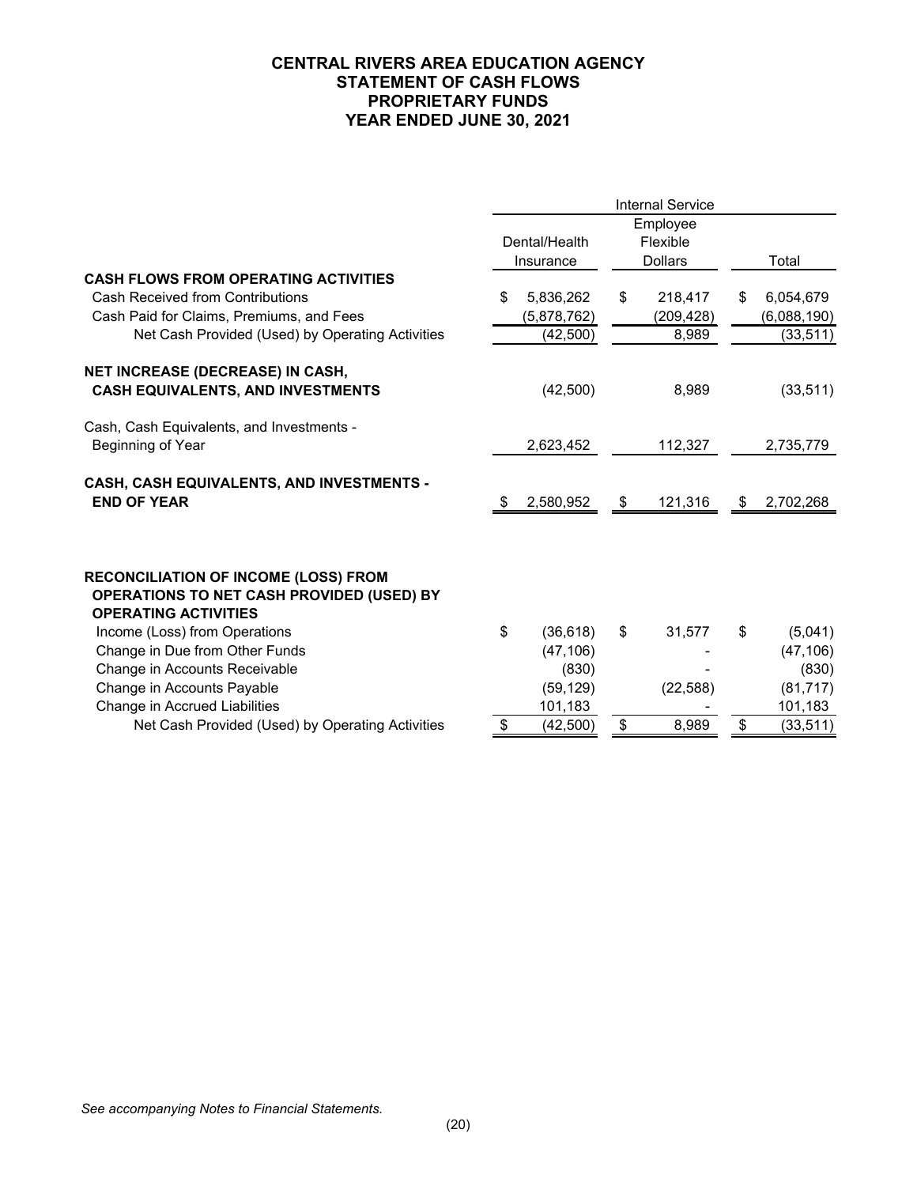#### **CENTRAL RIVERS AREA EDUCATION AGENCY STATEMENT OF CASH FLOWS PROPRIETARY FUNDS YEAR ENDED JUNE 30, 2021**

|                                                  | <b>Internal Service</b> |             |                         |                |    |             |
|--------------------------------------------------|-------------------------|-------------|-------------------------|----------------|----|-------------|
|                                                  |                         | Employee    |                         |                |    |             |
|                                                  | Dental/Health           |             |                         | Flexible       |    |             |
|                                                  |                         | Insurance   |                         | <b>Dollars</b> |    | Total       |
| <b>CASH FLOWS FROM OPERATING ACTIVITIES</b>      |                         |             |                         |                |    |             |
| Cash Received from Contributions                 | \$                      | 5,836,262   | \$                      | 218,417        | S  | 6,054,679   |
| Cash Paid for Claims, Premiums, and Fees         |                         | (5,878,762) |                         | (209, 428)     |    | (6,088,190) |
| Net Cash Provided (Used) by Operating Activities |                         | (42, 500)   |                         | 8,989          |    | (33, 511)   |
| NET INCREASE (DECREASE) IN CASH,                 |                         |             |                         |                |    |             |
| <b>CASH EQUIVALENTS, AND INVESTMENTS</b>         |                         | (42, 500)   |                         | 8,989          |    | (33, 511)   |
| Cash, Cash Equivalents, and Investments -        |                         |             |                         |                |    |             |
| Beginning of Year                                |                         | 2,623,452   |                         | 112,327        |    | 2,735,779   |
| CASH, CASH EQUIVALENTS, AND INVESTMENTS -        |                         |             |                         |                |    |             |
| <b>END OF YEAR</b>                               |                         | 2,580,952   | \$                      | 121,316        | S. | 2,702,268   |
|                                                  |                         |             |                         |                |    |             |
| <b>RECONCILIATION OF INCOME (LOSS) FROM</b>      |                         |             |                         |                |    |             |
| OPERATIONS TO NET CASH PROVIDED (USED) BY        |                         |             |                         |                |    |             |
| <b>OPERATING ACTIVITIES</b>                      |                         |             |                         |                |    |             |
| Income (Loss) from Operations                    | \$                      | (36, 618)   | \$                      | 31,577         | \$ | (5,041)     |
| Change in Due from Other Funds                   |                         | (47, 106)   |                         |                |    | (47, 106)   |
| Change in Accounts Receivable                    |                         | (830)       |                         |                |    | (830)       |
| Change in Accounts Payable                       |                         | (59, 129)   |                         | (22, 588)      |    | (81, 717)   |
| Change in Accrued Liabilities                    |                         | 101,183     |                         |                |    | 101,183     |
| Net Cash Provided (Used) by Operating Activities | \$                      | (42, 500)   | $\sqrt[6]{\frac{1}{2}}$ | 8,989          | \$ | (33, 511)   |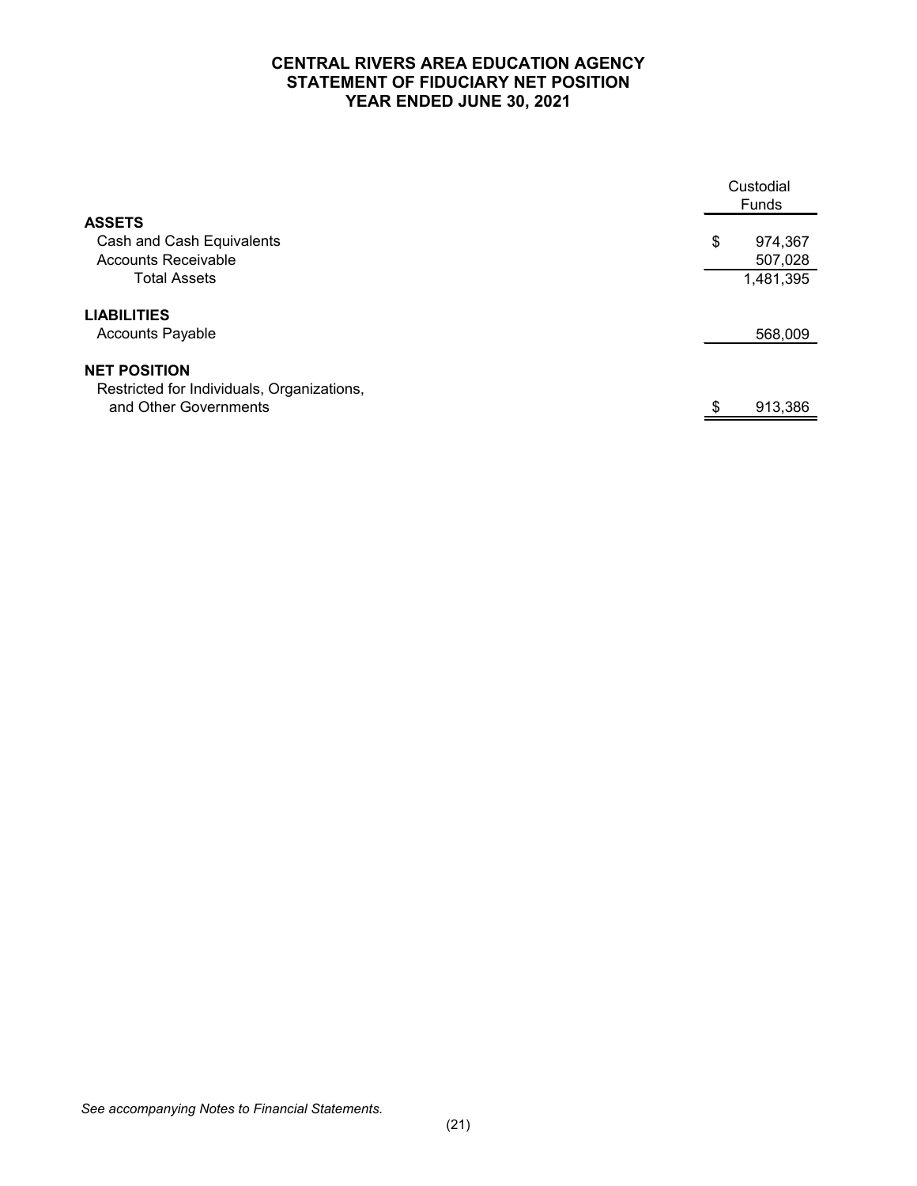# **CENTRAL RIVERS AREA EDUCATION AGENCY STATEMENT OF FIDUCIARY NET POSITION YEAR ENDED JUNE 30, 2021**

|                                                                     |     | Custodial<br><b>Funds</b> |
|---------------------------------------------------------------------|-----|---------------------------|
| <b>ASSETS</b>                                                       |     |                           |
| Cash and Cash Equivalents                                           | \$  | 974,367                   |
| <b>Accounts Receivable</b>                                          |     | 507,028                   |
| <b>Total Assets</b>                                                 |     | 1,481,395                 |
| <b>LIABILITIES</b>                                                  |     |                           |
| <b>Accounts Payable</b>                                             |     | 568,009                   |
| <b>NET POSITION</b>                                                 |     |                           |
| Restricted for Individuals, Organizations,<br>and Other Governments | \$. | 913,386                   |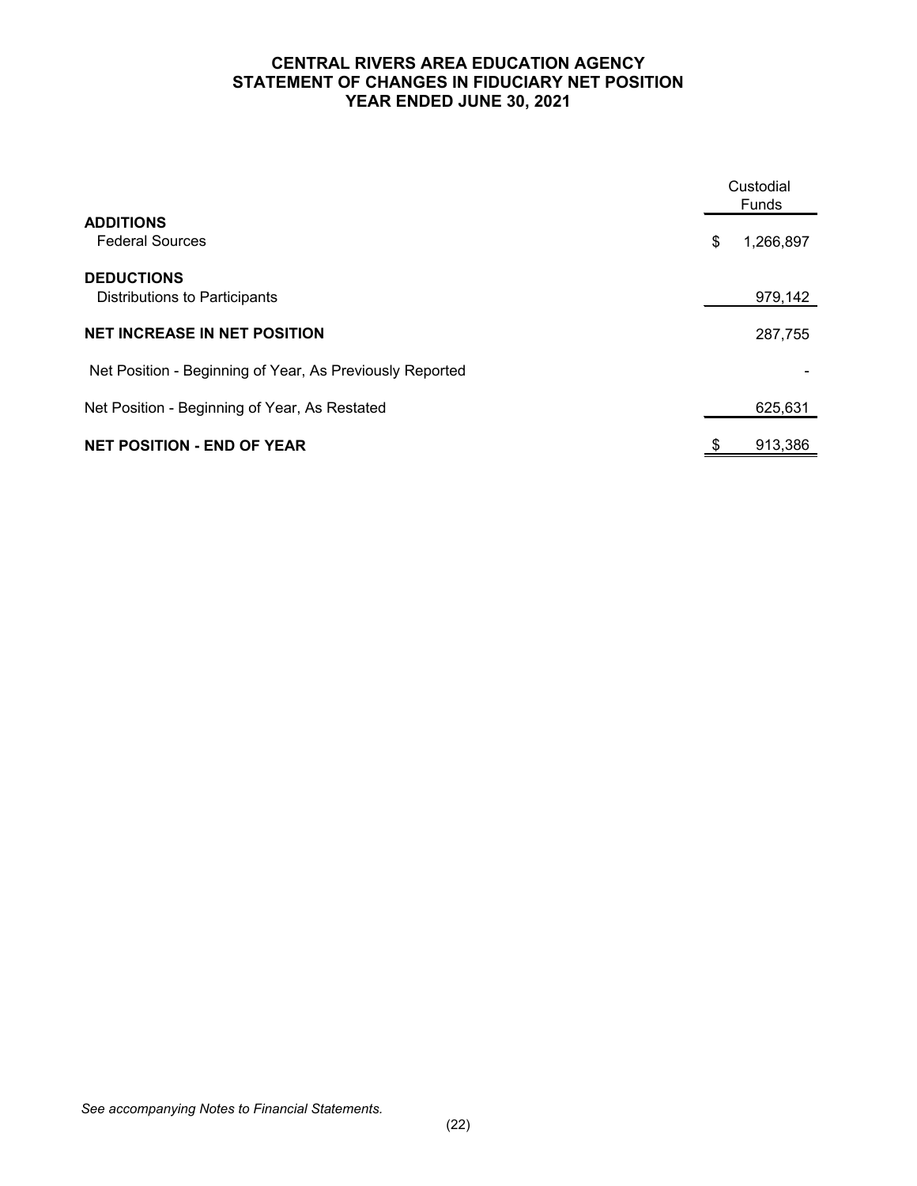# **CENTRAL RIVERS AREA EDUCATION AGENCY STATEMENT OF CHANGES IN FIDUCIARY NET POSITION YEAR ENDED JUNE 30, 2021**

|                                                          |    | Custodial<br><b>Funds</b> |  |  |  |
|----------------------------------------------------------|----|---------------------------|--|--|--|
| <b>ADDITIONS</b><br><b>Federal Sources</b>               | \$ | 1,266,897                 |  |  |  |
| <b>DEDUCTIONS</b><br>Distributions to Participants       |    | 979,142                   |  |  |  |
| <b>NET INCREASE IN NET POSITION</b>                      |    | 287,755                   |  |  |  |
| Net Position - Beginning of Year, As Previously Reported |    |                           |  |  |  |
| Net Position - Beginning of Year, As Restated            |    | 625,631                   |  |  |  |
| <b>NET POSITION - END OF YEAR</b>                        | S  | 913,386                   |  |  |  |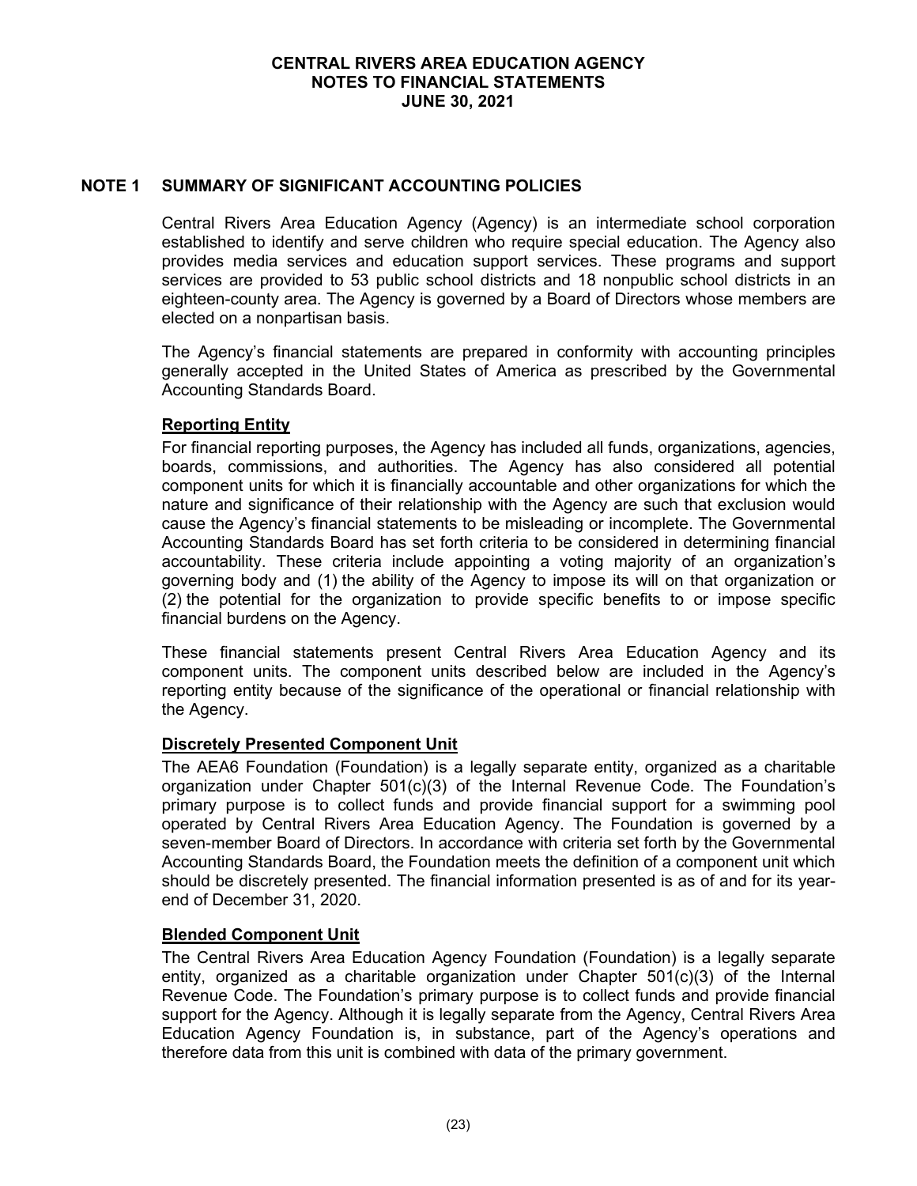# **NOTE 1 SUMMARY OF SIGNIFICANT ACCOUNTING POLICIES**

Central Rivers Area Education Agency (Agency) is an intermediate school corporation established to identify and serve children who require special education. The Agency also provides media services and education support services. These programs and support services are provided to 53 public school districts and 18 nonpublic school districts in an eighteen-county area. The Agency is governed by a Board of Directors whose members are elected on a nonpartisan basis.

The Agency's financial statements are prepared in conformity with accounting principles generally accepted in the United States of America as prescribed by the Governmental Accounting Standards Board.

# **Reporting Entity**

For financial reporting purposes, the Agency has included all funds, organizations, agencies, boards, commissions, and authorities. The Agency has also considered all potential component units for which it is financially accountable and other organizations for which the nature and significance of their relationship with the Agency are such that exclusion would cause the Agency's financial statements to be misleading or incomplete. The Governmental Accounting Standards Board has set forth criteria to be considered in determining financial accountability. These criteria include appointing a voting majority of an organization's governing body and (1) the ability of the Agency to impose its will on that organization or (2) the potential for the organization to provide specific benefits to or impose specific financial burdens on the Agency.

These financial statements present Central Rivers Area Education Agency and its component units. The component units described below are included in the Agency's reporting entity because of the significance of the operational or financial relationship with the Agency.

#### **Discretely Presented Component Unit**

The AEA6 Foundation (Foundation) is a legally separate entity, organized as a charitable organization under Chapter 501(c)(3) of the Internal Revenue Code. The Foundation's primary purpose is to collect funds and provide financial support for a swimming pool operated by Central Rivers Area Education Agency. The Foundation is governed by a seven-member Board of Directors. In accordance with criteria set forth by the Governmental Accounting Standards Board, the Foundation meets the definition of a component unit which should be discretely presented. The financial information presented is as of and for its yearend of December 31, 2020.

#### **Blended Component Unit**

The Central Rivers Area Education Agency Foundation (Foundation) is a legally separate entity, organized as a charitable organization under Chapter  $501(c)(3)$  of the Internal Revenue Code. The Foundation's primary purpose is to collect funds and provide financial support for the Agency. Although it is legally separate from the Agency, Central Rivers Area Education Agency Foundation is, in substance, part of the Agency's operations and therefore data from this unit is combined with data of the primary government.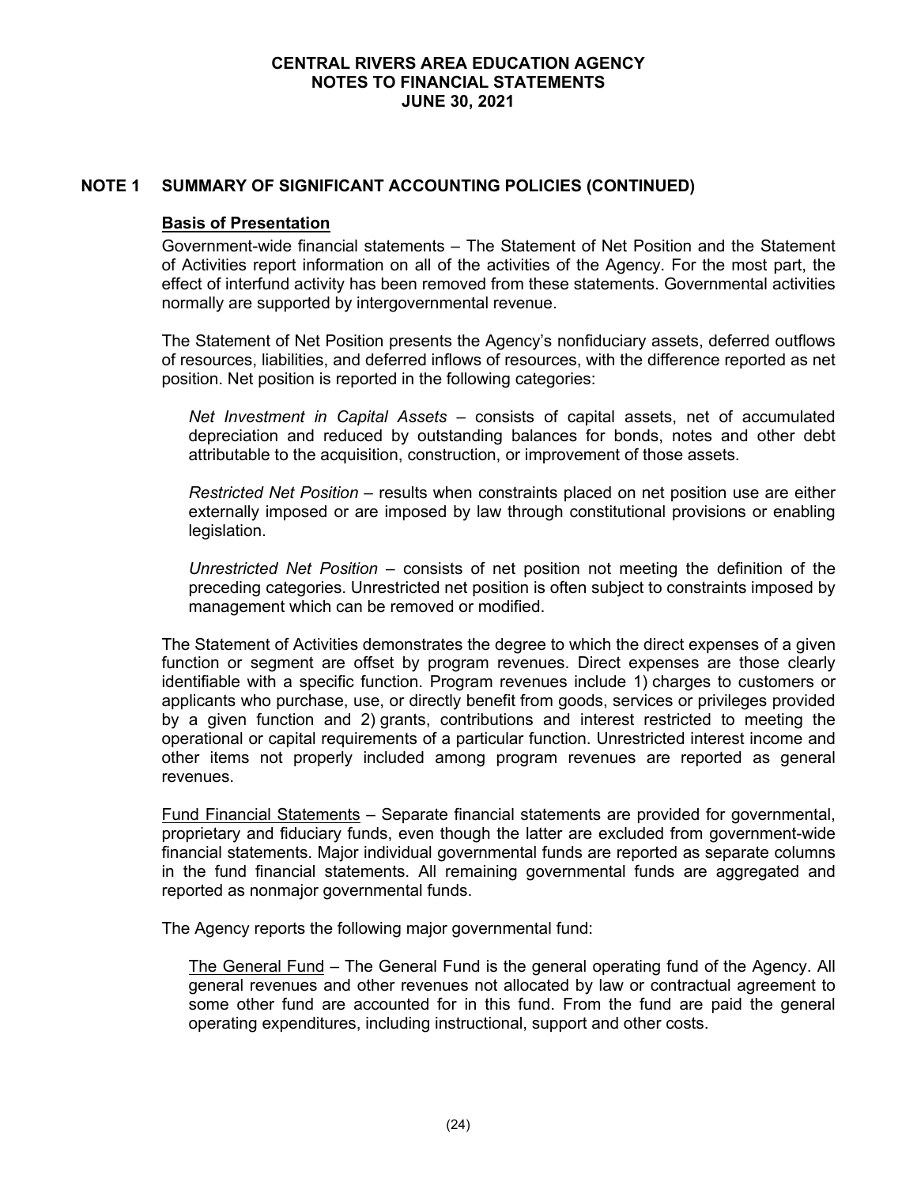# **NOTE 1 SUMMARY OF SIGNIFICANT ACCOUNTING POLICIES (CONTINUED)**

#### **Basis of Presentation**

Government-wide financial statements – The Statement of Net Position and the Statement of Activities report information on all of the activities of the Agency. For the most part, the effect of interfund activity has been removed from these statements. Governmental activities normally are supported by intergovernmental revenue.

The Statement of Net Position presents the Agency's nonfiduciary assets, deferred outflows of resources, liabilities, and deferred inflows of resources, with the difference reported as net position. Net position is reported in the following categories:

*Net Investment in Capital Assets* – consists of capital assets, net of accumulated depreciation and reduced by outstanding balances for bonds, notes and other debt attributable to the acquisition, construction, or improvement of those assets.

*Restricted Net Position* – results when constraints placed on net position use are either externally imposed or are imposed by law through constitutional provisions or enabling legislation.

*Unrestricted Net Position* – consists of net position not meeting the definition of the preceding categories. Unrestricted net position is often subject to constraints imposed by management which can be removed or modified.

The Statement of Activities demonstrates the degree to which the direct expenses of a given function or segment are offset by program revenues. Direct expenses are those clearly identifiable with a specific function. Program revenues include 1) charges to customers or applicants who purchase, use, or directly benefit from goods, services or privileges provided by a given function and 2) grants, contributions and interest restricted to meeting the operational or capital requirements of a particular function. Unrestricted interest income and other items not properly included among program revenues are reported as general revenues.

Fund Financial Statements – Separate financial statements are provided for governmental, proprietary and fiduciary funds, even though the latter are excluded from government-wide financial statements. Major individual governmental funds are reported as separate columns in the fund financial statements. All remaining governmental funds are aggregated and reported as nonmajor governmental funds.

The Agency reports the following major governmental fund:

The General Fund – The General Fund is the general operating fund of the Agency. All general revenues and other revenues not allocated by law or contractual agreement to some other fund are accounted for in this fund. From the fund are paid the general operating expenditures, including instructional, support and other costs.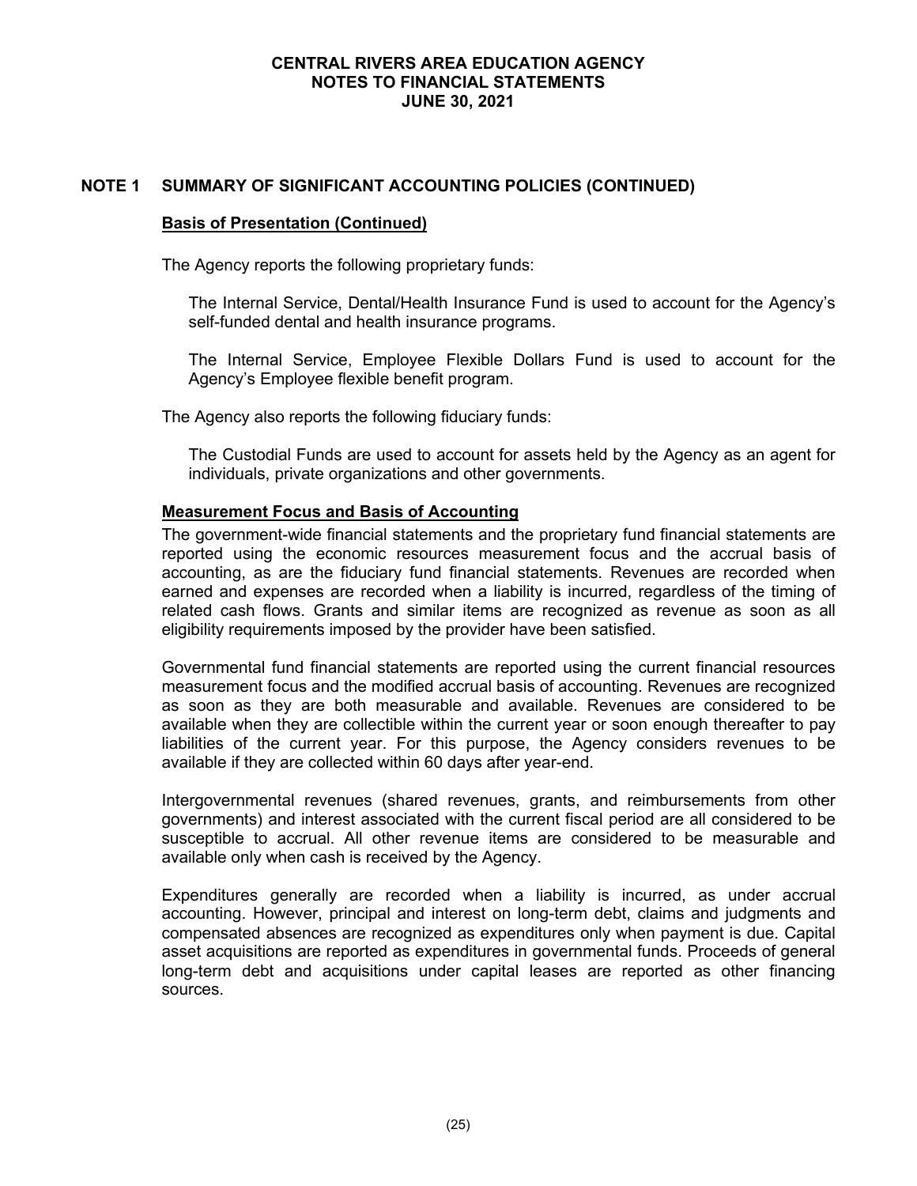# **NOTE 1 SUMMARY OF SIGNIFICANT ACCOUNTING POLICIES (CONTINUED)**

#### **Basis of Presentation (Continued)**

The Agency reports the following proprietary funds:

The Internal Service, Dental/Health Insurance Fund is used to account for the Agency's self-funded dental and health insurance programs.

The Internal Service, Employee Flexible Dollars Fund is used to account for the Agency's Employee flexible benefit program.

The Agency also reports the following fiduciary funds:

The Custodial Funds are used to account for assets held by the Agency as an agent for individuals, private organizations and other governments.

#### **Measurement Focus and Basis of Accounting**

The government-wide financial statements and the proprietary fund financial statements are reported using the economic resources measurement focus and the accrual basis of accounting, as are the fiduciary fund financial statements. Revenues are recorded when earned and expenses are recorded when a liability is incurred, regardless of the timing of related cash flows. Grants and similar items are recognized as revenue as soon as all eligibility requirements imposed by the provider have been satisfied.

Governmental fund financial statements are reported using the current financial resources measurement focus and the modified accrual basis of accounting. Revenues are recognized as soon as they are both measurable and available. Revenues are considered to be available when they are collectible within the current year or soon enough thereafter to pay liabilities of the current year. For this purpose, the Agency considers revenues to be available if they are collected within 60 days after year-end.

Intergovernmental revenues (shared revenues, grants, and reimbursements from other governments) and interest associated with the current fiscal period are all considered to be susceptible to accrual. All other revenue items are considered to be measurable and available only when cash is received by the Agency.

Expenditures generally are recorded when a liability is incurred, as under accrual accounting. However, principal and interest on long-term debt, claims and judgments and compensated absences are recognized as expenditures only when payment is due. Capital asset acquisitions are reported as expenditures in governmental funds. Proceeds of general long-term debt and acquisitions under capital leases are reported as other financing sources.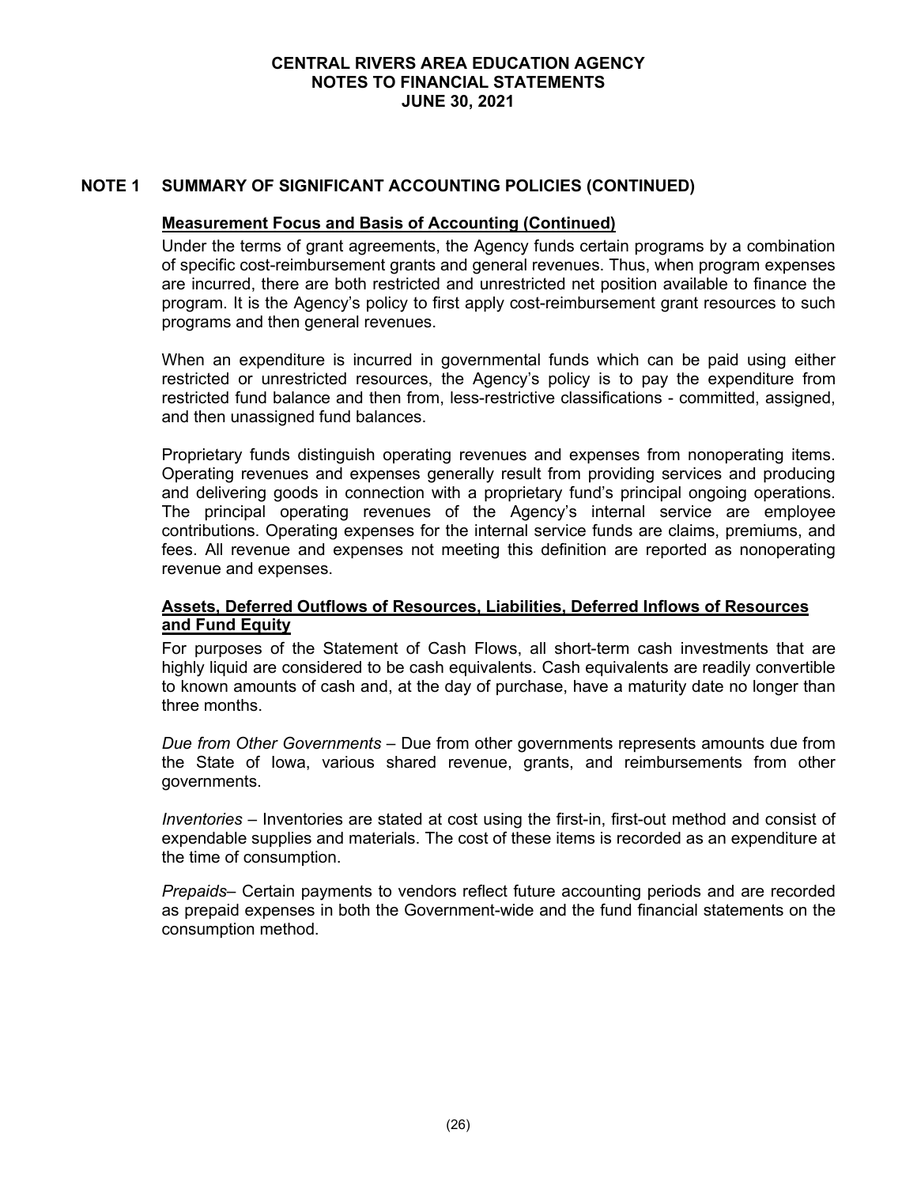# **NOTE 1 SUMMARY OF SIGNIFICANT ACCOUNTING POLICIES (CONTINUED)**

#### **Measurement Focus and Basis of Accounting (Continued)**

Under the terms of grant agreements, the Agency funds certain programs by a combination of specific cost-reimbursement grants and general revenues. Thus, when program expenses are incurred, there are both restricted and unrestricted net position available to finance the program. It is the Agency's policy to first apply cost-reimbursement grant resources to such programs and then general revenues.

When an expenditure is incurred in governmental funds which can be paid using either restricted or unrestricted resources, the Agency's policy is to pay the expenditure from restricted fund balance and then from, less-restrictive classifications - committed, assigned, and then unassigned fund balances.

Proprietary funds distinguish operating revenues and expenses from nonoperating items. Operating revenues and expenses generally result from providing services and producing and delivering goods in connection with a proprietary fund's principal ongoing operations. The principal operating revenues of the Agency's internal service are employee contributions. Operating expenses for the internal service funds are claims, premiums, and fees. All revenue and expenses not meeting this definition are reported as nonoperating revenue and expenses.

#### **Assets, Deferred Outflows of Resources, Liabilities, Deferred Inflows of Resources and Fund Equity**

For purposes of the Statement of Cash Flows, all short-term cash investments that are highly liquid are considered to be cash equivalents. Cash equivalents are readily convertible to known amounts of cash and, at the day of purchase, have a maturity date no longer than three months.

*Due from Other Governments –* Due from other governments represents amounts due from the State of Iowa, various shared revenue, grants, and reimbursements from other governments.

*Inventories –* Inventories are stated at cost using the first-in, first-out method and consist of expendable supplies and materials. The cost of these items is recorded as an expenditure at the time of consumption.

*Prepaids–* Certain payments to vendors reflect future accounting periods and are recorded as prepaid expenses in both the Government-wide and the fund financial statements on the consumption method.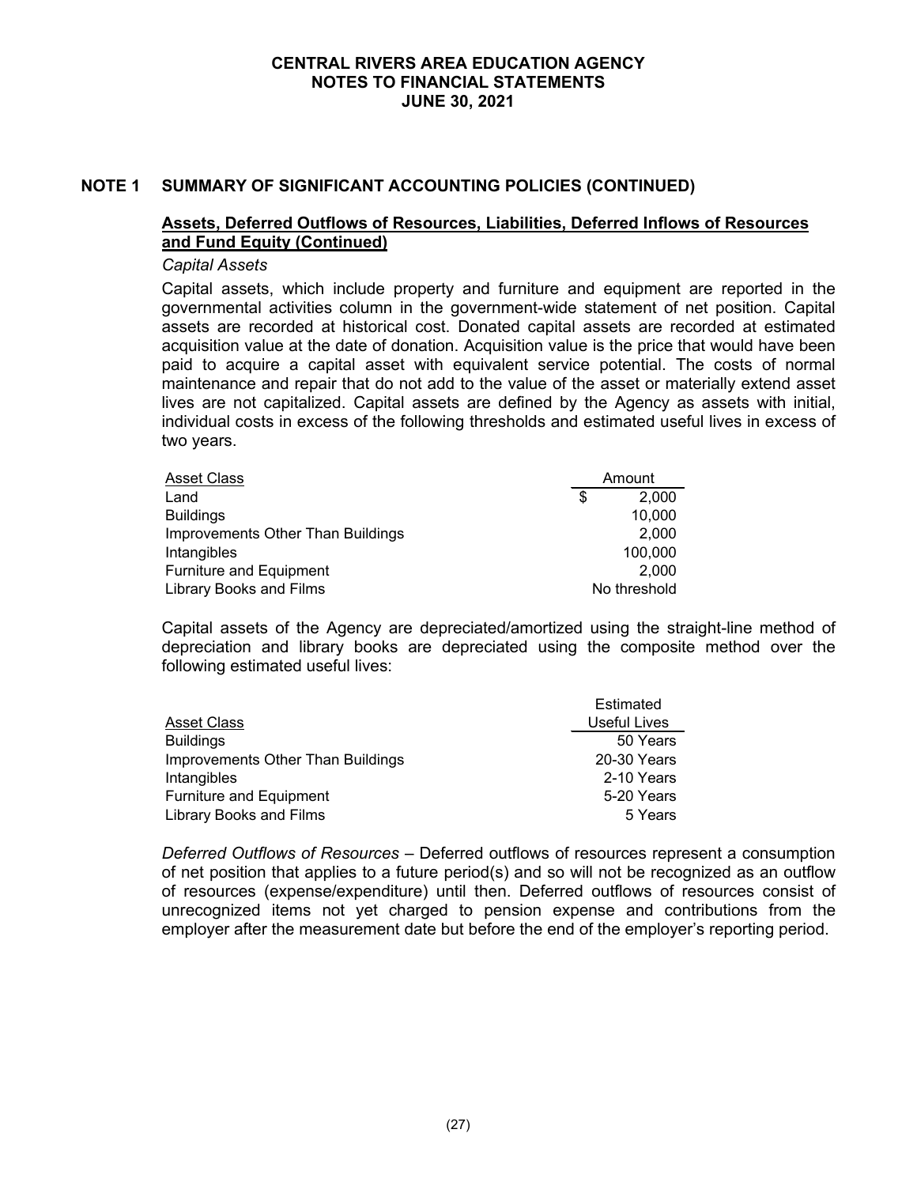# **NOTE 1 SUMMARY OF SIGNIFICANT ACCOUNTING POLICIES (CONTINUED)**

#### **Assets, Deferred Outflows of Resources, Liabilities, Deferred Inflows of Resources and Fund Equity (Continued)**

#### *Capital Assets*

Capital assets, which include property and furniture and equipment are reported in the governmental activities column in the government-wide statement of net position. Capital assets are recorded at historical cost. Donated capital assets are recorded at estimated acquisition value at the date of donation. Acquisition value is the price that would have been paid to acquire a capital asset with equivalent service potential. The costs of normal maintenance and repair that do not add to the value of the asset or materially extend asset lives are not capitalized. Capital assets are defined by the Agency as assets with initial, individual costs in excess of the following thresholds and estimated useful lives in excess of two years.

| Asset Class                       | Amount       |
|-----------------------------------|--------------|
| Land                              | \$<br>2,000  |
| <b>Buildings</b>                  | 10.000       |
| Improvements Other Than Buildings | 2,000        |
| Intangibles                       | 100.000      |
| <b>Furniture and Equipment</b>    | 2.000        |
| Library Books and Films           | No threshold |

Capital assets of the Agency are depreciated/amortized using the straight-line method of depreciation and library books are depreciated using the composite method over the following estimated useful lives:

|                                   | Estimated    |
|-----------------------------------|--------------|
| Asset Class                       | Useful Lives |
| <b>Buildings</b>                  | 50 Years     |
| Improvements Other Than Buildings | 20-30 Years  |
| Intangibles                       | 2-10 Years   |
| <b>Furniture and Equipment</b>    | 5-20 Years   |
| Library Books and Films           | 5 Years      |

*Deferred Outflows of Resources –* Deferred outflows of resources represent a consumption of net position that applies to a future period(s) and so will not be recognized as an outflow of resources (expense/expenditure) until then. Deferred outflows of resources consist of unrecognized items not yet charged to pension expense and contributions from the employer after the measurement date but before the end of the employer's reporting period.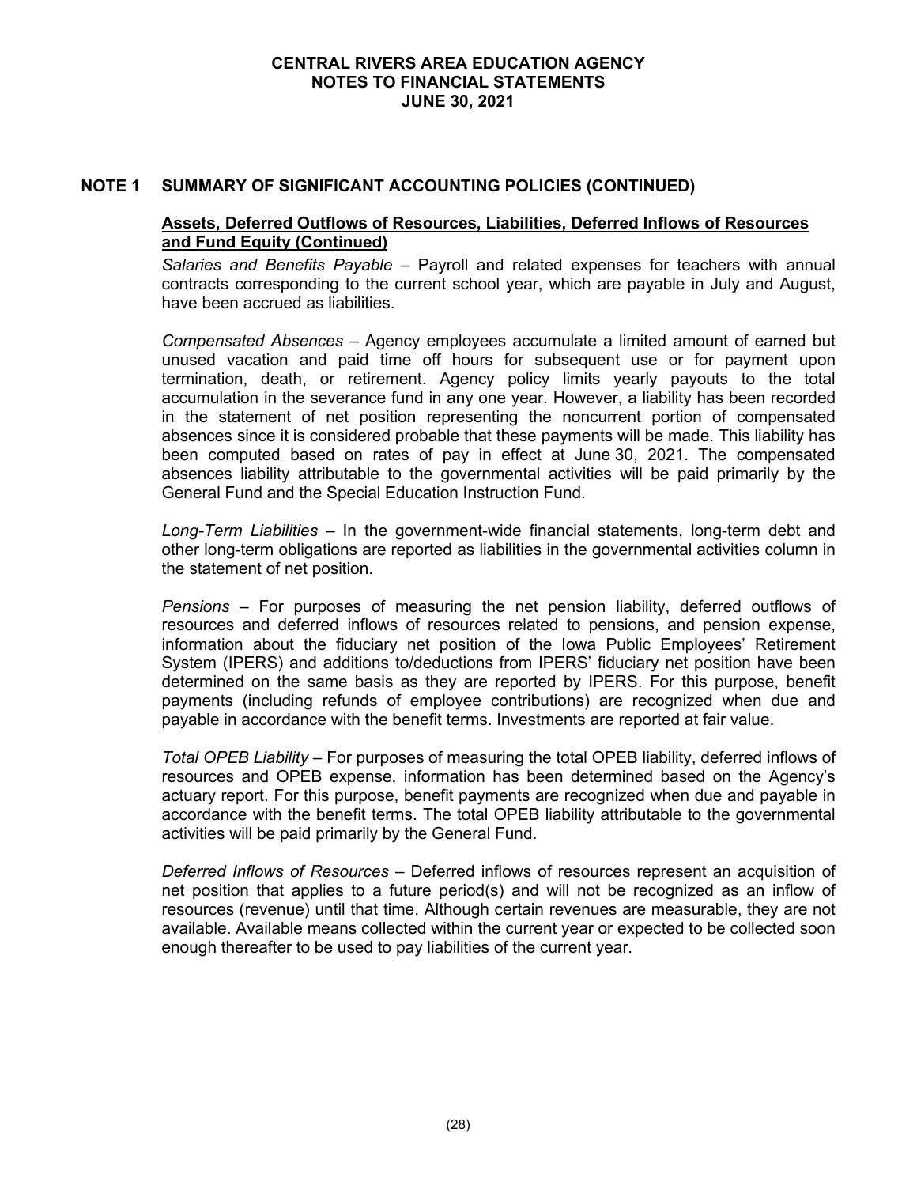#### **NOTE 1 SUMMARY OF SIGNIFICANT ACCOUNTING POLICIES (CONTINUED)**

#### **Assets, Deferred Outflows of Resources, Liabilities, Deferred Inflows of Resources and Fund Equity (Continued)**

*Salaries and Benefits Payable –* Payroll and related expenses for teachers with annual contracts corresponding to the current school year, which are payable in July and August, have been accrued as liabilities.

*Compensated Absences –* Agency employees accumulate a limited amount of earned but unused vacation and paid time off hours for subsequent use or for payment upon termination, death, or retirement. Agency policy limits yearly payouts to the total accumulation in the severance fund in any one year. However, a liability has been recorded in the statement of net position representing the noncurrent portion of compensated absences since it is considered probable that these payments will be made. This liability has been computed based on rates of pay in effect at June 30, 2021. The compensated absences liability attributable to the governmental activities will be paid primarily by the General Fund and the Special Education Instruction Fund.

*Long-Term Liabilities* – In the government-wide financial statements, long-term debt and other long-term obligations are reported as liabilities in the governmental activities column in the statement of net position.

*Pensions –* For purposes of measuring the net pension liability, deferred outflows of resources and deferred inflows of resources related to pensions, and pension expense, information about the fiduciary net position of the Iowa Public Employees' Retirement System (IPERS) and additions to/deductions from IPERS' fiduciary net position have been determined on the same basis as they are reported by IPERS. For this purpose, benefit payments (including refunds of employee contributions) are recognized when due and payable in accordance with the benefit terms. Investments are reported at fair value.

*Total OPEB Liability –* For purposes of measuring the total OPEB liability, deferred inflows of resources and OPEB expense, information has been determined based on the Agency's actuary report. For this purpose, benefit payments are recognized when due and payable in accordance with the benefit terms. The total OPEB liability attributable to the governmental activities will be paid primarily by the General Fund.

*Deferred Inflows of Resources –* Deferred inflows of resources represent an acquisition of net position that applies to a future period(s) and will not be recognized as an inflow of resources (revenue) until that time. Although certain revenues are measurable, they are not available. Available means collected within the current year or expected to be collected soon enough thereafter to be used to pay liabilities of the current year.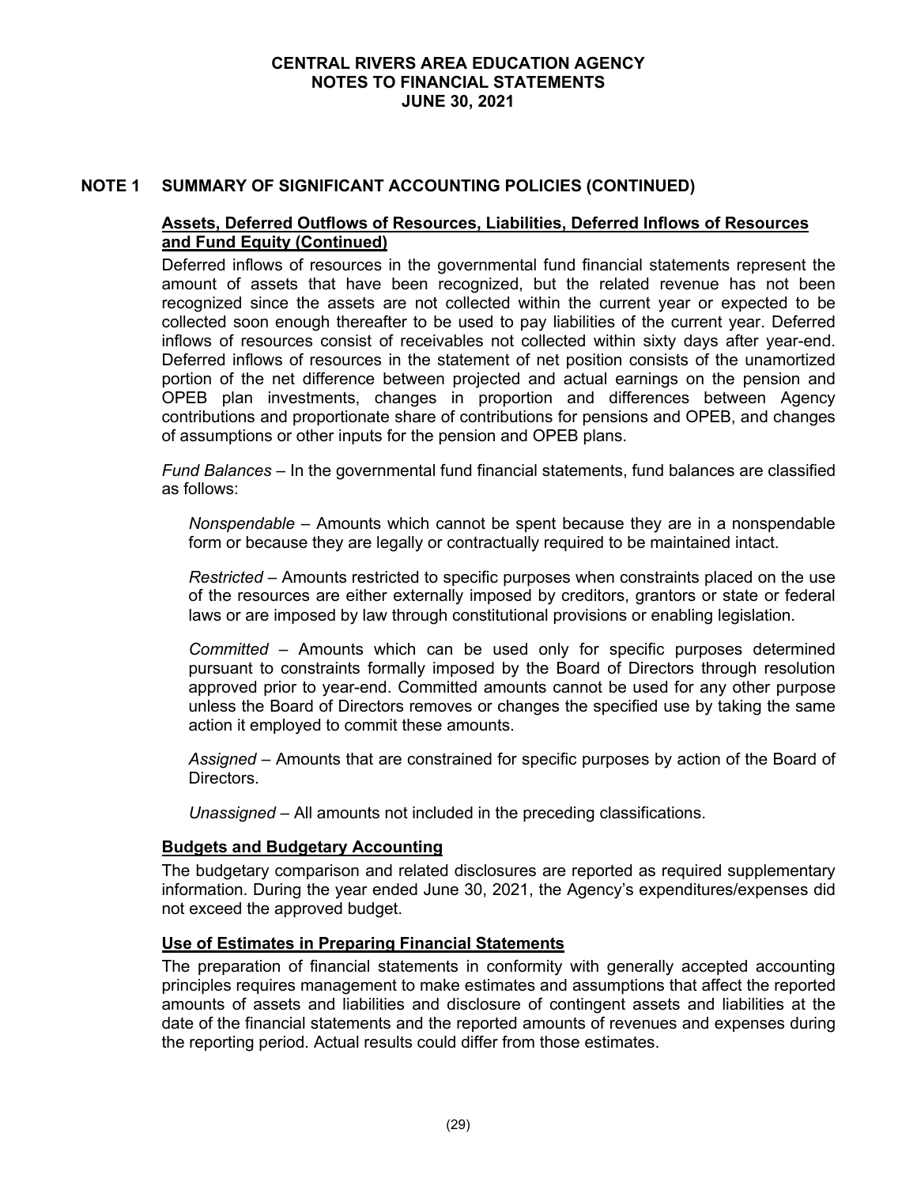# **NOTE 1 SUMMARY OF SIGNIFICANT ACCOUNTING POLICIES (CONTINUED)**

# **Assets, Deferred Outflows of Resources, Liabilities, Deferred Inflows of Resources and Fund Equity (Continued)**

Deferred inflows of resources in the governmental fund financial statements represent the amount of assets that have been recognized, but the related revenue has not been recognized since the assets are not collected within the current year or expected to be collected soon enough thereafter to be used to pay liabilities of the current year. Deferred inflows of resources consist of receivables not collected within sixty days after year-end. Deferred inflows of resources in the statement of net position consists of the unamortized portion of the net difference between projected and actual earnings on the pension and OPEB plan investments, changes in proportion and differences between Agency contributions and proportionate share of contributions for pensions and OPEB, and changes of assumptions or other inputs for the pension and OPEB plans.

*Fund Balances –* In the governmental fund financial statements, fund balances are classified as follows:

*Nonspendable –* Amounts which cannot be spent because they are in a nonspendable form or because they are legally or contractually required to be maintained intact.

*Restricted –* Amounts restricted to specific purposes when constraints placed on the use of the resources are either externally imposed by creditors, grantors or state or federal laws or are imposed by law through constitutional provisions or enabling legislation.

*Committed –* Amounts which can be used only for specific purposes determined pursuant to constraints formally imposed by the Board of Directors through resolution approved prior to year-end. Committed amounts cannot be used for any other purpose unless the Board of Directors removes or changes the specified use by taking the same action it employed to commit these amounts.

*Assigned –* Amounts that are constrained for specific purposes by action of the Board of Directors.

*Unassigned –* All amounts not included in the preceding classifications.

# **Budgets and Budgetary Accounting**

The budgetary comparison and related disclosures are reported as required supplementary information. During the year ended June 30, 2021, the Agency's expenditures/expenses did not exceed the approved budget.

# **Use of Estimates in Preparing Financial Statements**

The preparation of financial statements in conformity with generally accepted accounting principles requires management to make estimates and assumptions that affect the reported amounts of assets and liabilities and disclosure of contingent assets and liabilities at the date of the financial statements and the reported amounts of revenues and expenses during the reporting period. Actual results could differ from those estimates.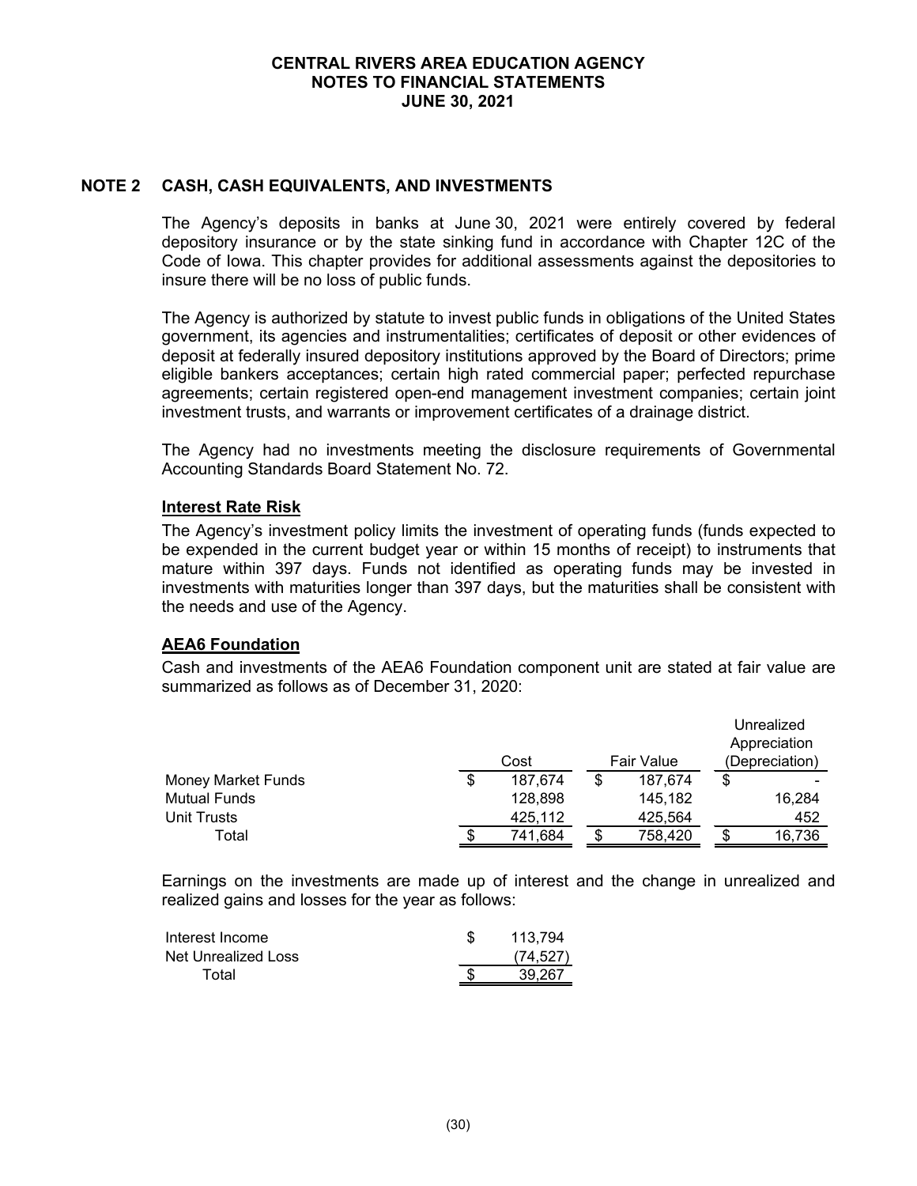#### **NOTE 2 CASH, CASH EQUIVALENTS, AND INVESTMENTS**

The Agency's deposits in banks at June 30, 2021 were entirely covered by federal depository insurance or by the state sinking fund in accordance with Chapter 12C of the Code of Iowa. This chapter provides for additional assessments against the depositories to insure there will be no loss of public funds.

The Agency is authorized by statute to invest public funds in obligations of the United States government, its agencies and instrumentalities; certificates of deposit or other evidences of deposit at federally insured depository institutions approved by the Board of Directors; prime eligible bankers acceptances; certain high rated commercial paper; perfected repurchase agreements; certain registered open-end management investment companies; certain joint investment trusts, and warrants or improvement certificates of a drainage district.

The Agency had no investments meeting the disclosure requirements of Governmental Accounting Standards Board Statement No. 72.

#### **Interest Rate Risk**

The Agency's investment policy limits the investment of operating funds (funds expected to be expended in the current budget year or within 15 months of receipt) to instruments that mature within 397 days. Funds not identified as operating funds may be invested in investments with maturities longer than 397 days, but the maturities shall be consistent with the needs and use of the Agency.

#### **AEA6 Foundation**

Cash and investments of the AEA6 Foundation component unit are stated at fair value are summarized as follows as of December 31, 2020:

|                     |               |                   |                | Unrealized<br>Appreciation |
|---------------------|---------------|-------------------|----------------|----------------------------|
|                     | Cost          | <b>Fair Value</b> | (Depreciation) |                            |
| Money Market Funds  | \$<br>187,674 | \$<br>187,674     | S              |                            |
| <b>Mutual Funds</b> | 128,898       | 145,182           |                | 16,284                     |
| Unit Trusts         | 425.112       | 425,564           |                | 452                        |
| Total               | 741.684       | 758,420           |                | 16,736                     |

Earnings on the investments are made up of interest and the change in unrealized and realized gains and losses for the year as follows:

| Interest Income     | 113.794  |
|---------------------|----------|
| Net Unrealized Loss | (74.527) |
| Total               | 39.267   |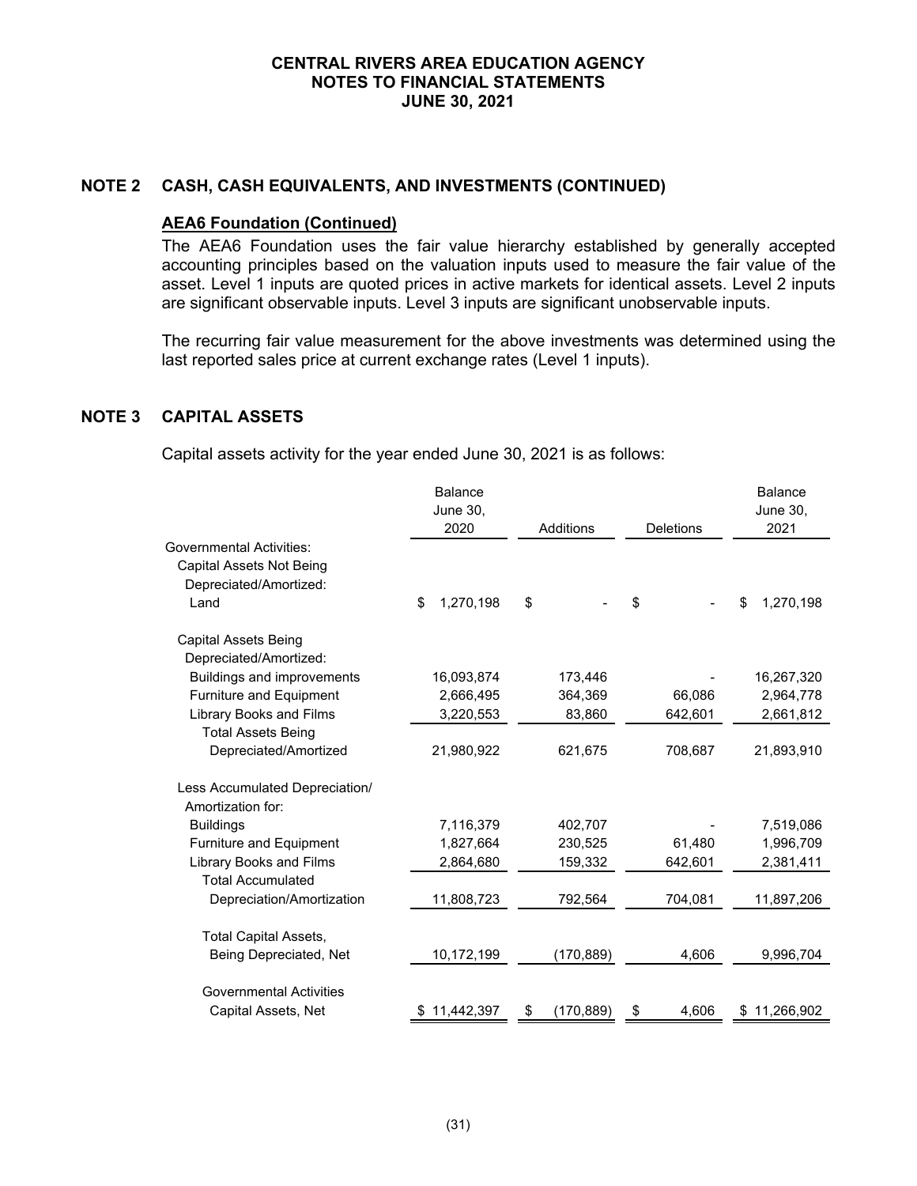#### **NOTE 2 CASH, CASH EQUIVALENTS, AND INVESTMENTS (CONTINUED)**

# **AEA6 Foundation (Continued)**

The AEA6 Foundation uses the fair value hierarchy established by generally accepted accounting principles based on the valuation inputs used to measure the fair value of the asset. Level 1 inputs are quoted prices in active markets for identical assets. Level 2 inputs are significant observable inputs. Level 3 inputs are significant unobservable inputs.

The recurring fair value measurement for the above investments was determined using the last reported sales price at current exchange rates (Level 1 inputs).

# **NOTE 3 CAPITAL ASSETS**

Capital assets activity for the year ended June 30, 2021 is as follows:

|                                 | <b>Balance</b>   |                  |                  | Balance          |
|---------------------------------|------------------|------------------|------------------|------------------|
|                                 | June 30,         |                  |                  | June 30,         |
|                                 | 2020             | <b>Additions</b> | <b>Deletions</b> | 2021             |
| <b>Governmental Activities:</b> |                  |                  |                  |                  |
| Capital Assets Not Being        |                  |                  |                  |                  |
| Depreciated/Amortized:          |                  |                  |                  |                  |
| Land                            | \$<br>1,270,198  | \$               | \$               | \$<br>1,270,198  |
| <b>Capital Assets Being</b>     |                  |                  |                  |                  |
| Depreciated/Amortized:          |                  |                  |                  |                  |
| Buildings and improvements      | 16,093,874       | 173,446          |                  | 16,267,320       |
| <b>Furniture and Equipment</b>  | 2,666,495        | 364,369          | 66,086           | 2,964,778        |
| <b>Library Books and Films</b>  | 3,220,553        | 83,860           | 642,601          | 2,661,812        |
| <b>Total Assets Being</b>       |                  |                  |                  |                  |
| Depreciated/Amortized           | 21,980,922       | 621,675          | 708,687          | 21,893,910       |
| Less Accumulated Depreciation/  |                  |                  |                  |                  |
| Amortization for:               |                  |                  |                  |                  |
| <b>Buildings</b>                | 7,116,379        | 402,707          |                  | 7,519,086        |
| Furniture and Equipment         | 1,827,664        | 230,525          | 61,480           | 1,996,709        |
| <b>Library Books and Films</b>  | 2,864,680        | 159,332          | 642,601          | 2,381,411        |
| <b>Total Accumulated</b>        |                  |                  |                  |                  |
| Depreciation/Amortization       | 11,808,723       | 792,564          | 704,081          | 11,897,206       |
| Total Capital Assets,           |                  |                  |                  |                  |
| Being Depreciated, Net          | 10,172,199       | (170,889)        | 4,606            | 9,996,704        |
| <b>Governmental Activities</b>  |                  |                  |                  |                  |
| Capital Assets, Net             | 11,442,397<br>\$ | (170,889)<br>\$  | 4,606<br>\$      | 11,266,902<br>\$ |
|                                 |                  |                  |                  |                  |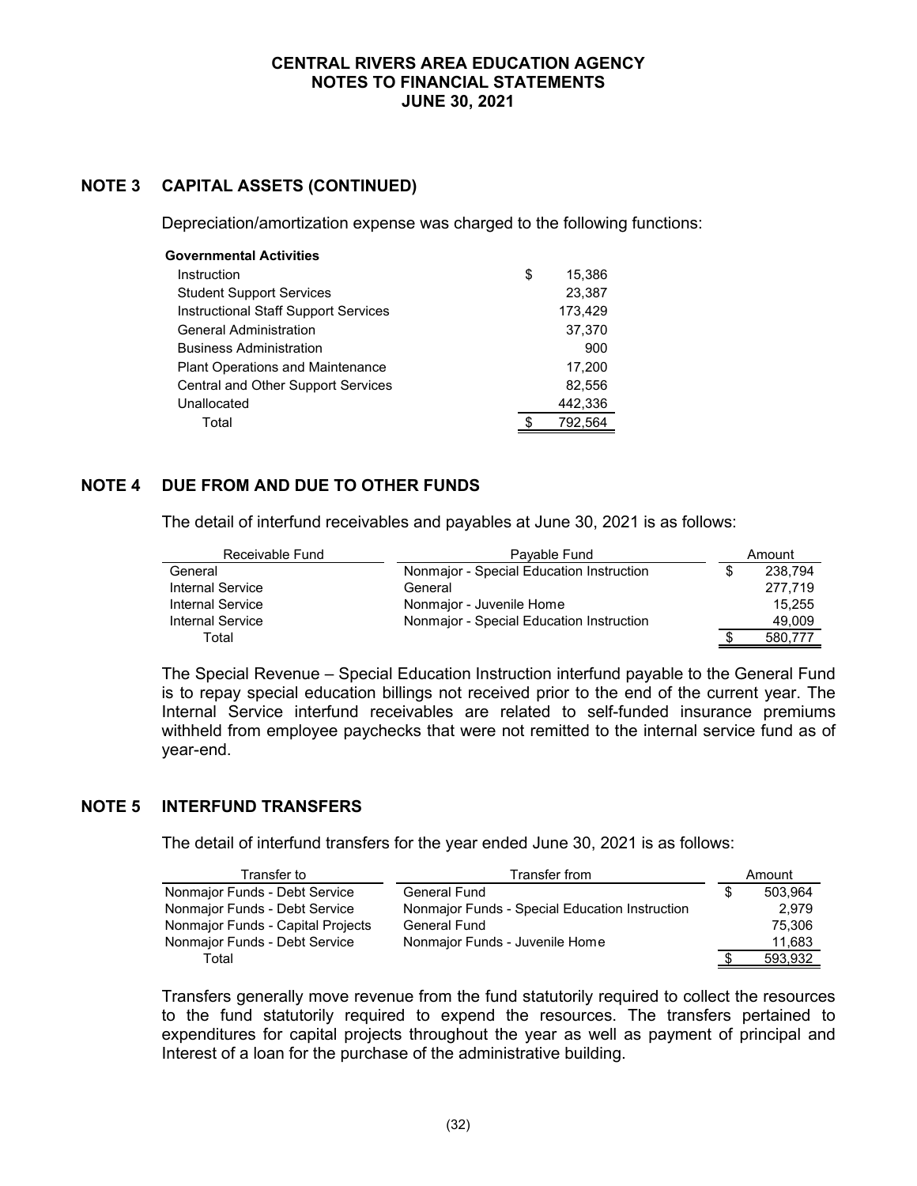# **NOTE 3 CAPITAL ASSETS (CONTINUED)**

Depreciation/amortization expense was charged to the following functions:

| <b>Governmental Activities</b>              |              |
|---------------------------------------------|--------------|
| Instruction                                 | \$<br>15,386 |
| <b>Student Support Services</b>             | 23,387       |
| <b>Instructional Staff Support Services</b> | 173,429      |
| <b>General Administration</b>               | 37,370       |
| <b>Business Administration</b>              | 900          |
| <b>Plant Operations and Maintenance</b>     | 17,200       |
| <b>Central and Other Support Services</b>   | 82.556       |
| Unallocated                                 | 442,336      |
| Total                                       | 792,564      |

# **NOTE 4 DUE FROM AND DUE TO OTHER FUNDS**

The detail of interfund receivables and payables at June 30, 2021 is as follows:

| Receivable Fund         | Pavable Fund                             | Amount  |
|-------------------------|------------------------------------------|---------|
| General                 | Nonmajor - Special Education Instruction | 238.794 |
| Internal Service        | General                                  | 277.719 |
| <b>Internal Service</b> | Nonmajor - Juvenile Home                 | 15.255  |
| Internal Service        | Nonmajor - Special Education Instruction | 49,009  |
| Total                   |                                          | 580.777 |

The Special Revenue – Special Education Instruction interfund payable to the General Fund is to repay special education billings not received prior to the end of the current year. The Internal Service interfund receivables are related to self-funded insurance premiums withheld from employee paychecks that were not remitted to the internal service fund as of year-end.

# **NOTE 5 INTERFUND TRANSFERS**

The detail of interfund transfers for the year ended June 30, 2021 is as follows:

| Transfer to                       | Transfer from                                  | Amount |         |  |
|-----------------------------------|------------------------------------------------|--------|---------|--|
| Nonmajor Funds - Debt Service     | General Fund                                   |        | 503.964 |  |
| Nonmajor Funds - Debt Service     | Nonmajor Funds - Special Education Instruction |        | 2.979   |  |
| Nonmajor Funds - Capital Projects | General Fund                                   |        | 75,306  |  |
| Nonmajor Funds - Debt Service     | Nonmajor Funds - Juvenile Home                 |        | 11,683  |  |
| Total                             |                                                |        | 593,932 |  |

Transfers generally move revenue from the fund statutorily required to collect the resources to the fund statutorily required to expend the resources. The transfers pertained to expenditures for capital projects throughout the year as well as payment of principal and Interest of a loan for the purchase of the administrative building.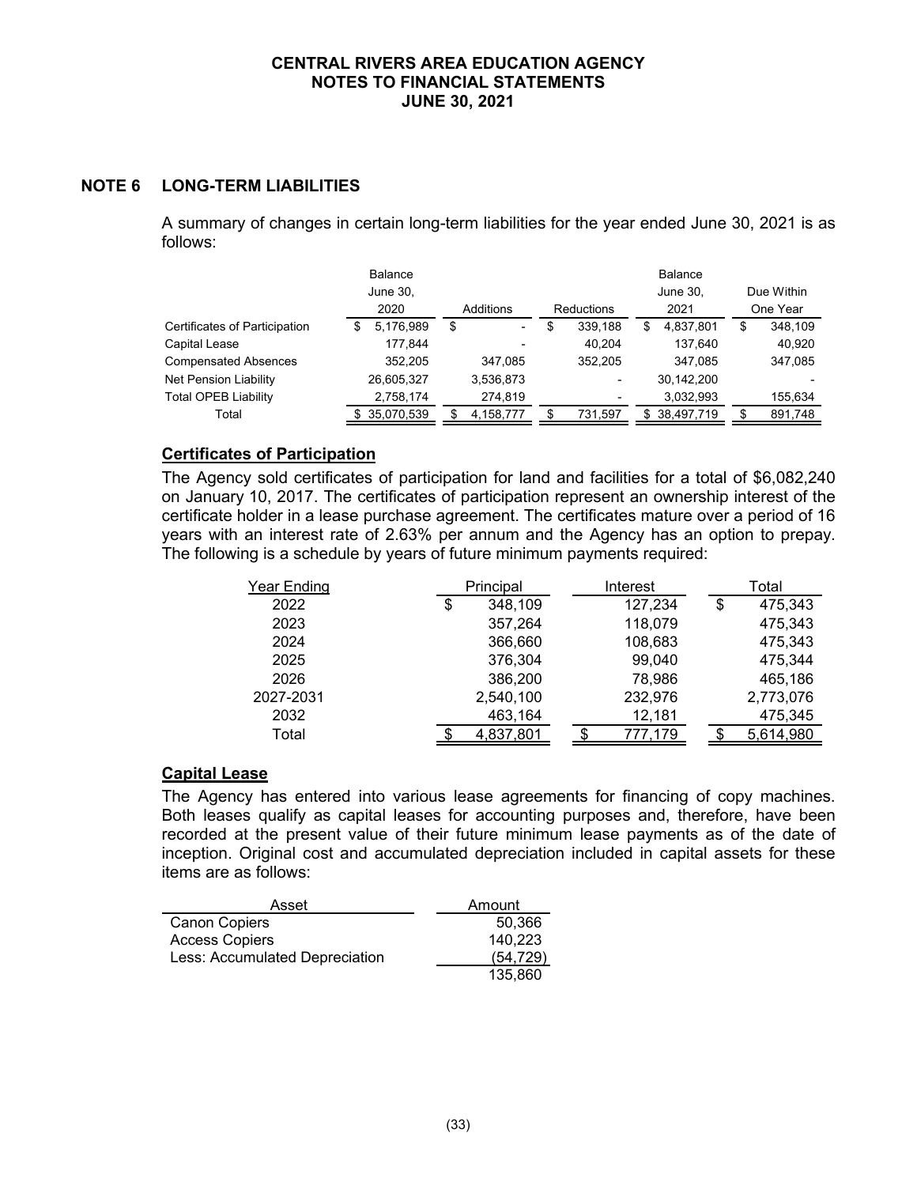#### **NOTE 6 LONG-TERM LIABILITIES**

A summary of changes in certain long-term liabilities for the year ended June 30, 2021 is as follows:

|                               |   | Balance       |                                |                   | Balance         |               |
|-------------------------------|---|---------------|--------------------------------|-------------------|-----------------|---------------|
|                               |   | June 30,      |                                |                   | June 30,        | Due Within    |
|                               |   | 2020          | Additions                      | <b>Reductions</b> | 2021            | One Year      |
| Certificates of Participation | S | 5.176.989     | \$<br>$\overline{\phantom{0}}$ | \$<br>339.188     | \$<br>4,837,801 | \$<br>348.109 |
| <b>Capital Lease</b>          |   | 177.844       |                                | 40.204            | 137,640         | 40,920        |
| <b>Compensated Absences</b>   |   | 352.205       | 347,085                        | 352.205           | 347.085         | 347,085       |
| <b>Net Pension Liability</b>  |   | 26,605,327    | 3,536,873                      |                   | 30,142,200      |               |
| <b>Total OPEB Liability</b>   |   | 2,758,174     | 274,819                        |                   | 3,032,993       | 155,634       |
| Total                         |   | \$ 35,070,539 | 4,158,777                      | 731,597           | \$38,497,719    | 891,748       |

# **Certificates of Participation**

The Agency sold certificates of participation for land and facilities for a total of \$6,082,240 on January 10, 2017. The certificates of participation represent an ownership interest of the certificate holder in a lease purchase agreement. The certificates mature over a period of 16 years with an interest rate of 2.63% per annum and the Agency has an option to prepay. The following is a schedule by years of future minimum payments required:

| Year Ending | Principal     | Interest | Total         |
|-------------|---------------|----------|---------------|
| 2022        | \$<br>348,109 | 127,234  | \$<br>475,343 |
| 2023        | 357,264       | 118,079  | 475,343       |
| 2024        | 366,660       | 108,683  | 475,343       |
| 2025        | 376,304       | 99,040   | 475.344       |
| 2026        | 386,200       | 78,986   | 465,186       |
| 2027-2031   | 2,540,100     | 232,976  | 2,773,076     |
| 2032        | 463,164       | 12,181   | 475,345       |
| Total       | 4,837,801     | 777,179  | 5,614,980     |

#### **Capital Lease**

The Agency has entered into various lease agreements for financing of copy machines. Both leases qualify as capital leases for accounting purposes and, therefore, have been recorded at the present value of their future minimum lease payments as of the date of inception. Original cost and accumulated depreciation included in capital assets for these items are as follows:

| Asset                          | Amount   |
|--------------------------------|----------|
| <b>Canon Copiers</b>           | 50.366   |
| <b>Access Copiers</b>          | 140,223  |
| Less: Accumulated Depreciation | (54.729) |
|                                | 135,860  |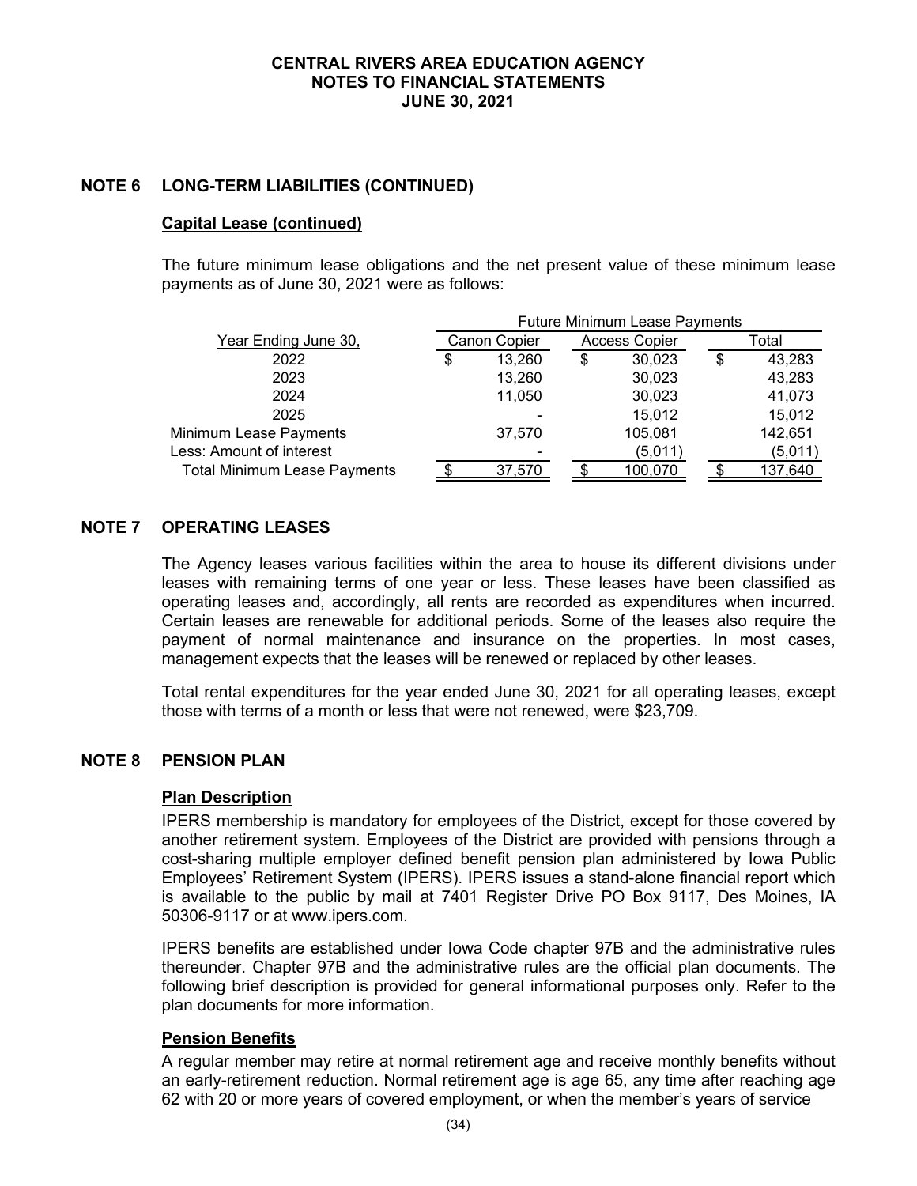#### **NOTE 6 LONG-TERM LIABILITIES (CONTINUED)**

#### **Capital Lease (continued)**

The future minimum lease obligations and the net present value of these minimum lease payments as of June 30, 2021 were as follows:

|                                     | <b>Future Minimum Lease Payments</b> |              |   |                      |   |         |  |
|-------------------------------------|--------------------------------------|--------------|---|----------------------|---|---------|--|
| Year Ending June 30,                |                                      | Canon Copier |   | <b>Access Copier</b> |   | Total   |  |
| 2022                                | \$                                   | 13,260       | S | 30,023               | S | 43,283  |  |
| 2023                                |                                      | 13,260       |   | 30,023               |   | 43,283  |  |
| 2024                                |                                      | 11,050       |   | 30,023               |   | 41,073  |  |
| 2025                                |                                      |              |   | 15,012               |   | 15,012  |  |
| Minimum Lease Payments              |                                      | 37,570       |   | 105,081              |   | 142,651 |  |
| Less: Amount of interest            |                                      |              |   | (5,011)              |   | (5,011) |  |
| <b>Total Minimum Lease Payments</b> |                                      | 37,570       |   | 100,070              |   | 137,640 |  |
|                                     |                                      |              |   |                      |   |         |  |

#### **NOTE 7 OPERATING LEASES**

The Agency leases various facilities within the area to house its different divisions under leases with remaining terms of one year or less. These leases have been classified as operating leases and, accordingly, all rents are recorded as expenditures when incurred. Certain leases are renewable for additional periods. Some of the leases also require the payment of normal maintenance and insurance on the properties. In most cases, management expects that the leases will be renewed or replaced by other leases.

Total rental expenditures for the year ended June 30, 2021 for all operating leases, except those with terms of a month or less that were not renewed, were \$23,709.

#### **NOTE 8 PENSION PLAN**

#### **Plan Description**

IPERS membership is mandatory for employees of the District, except for those covered by another retirement system. Employees of the District are provided with pensions through a cost-sharing multiple employer defined benefit pension plan administered by Iowa Public Employees' Retirement System (IPERS). IPERS issues a stand-alone financial report which is available to the public by mail at 7401 Register Drive PO Box 9117, Des Moines, IA 50306-9117 or at www.ipers.com.

IPERS benefits are established under Iowa Code chapter 97B and the administrative rules thereunder. Chapter 97B and the administrative rules are the official plan documents. The following brief description is provided for general informational purposes only. Refer to the plan documents for more information.

#### **Pension Benefits**

A regular member may retire at normal retirement age and receive monthly benefits without an early-retirement reduction. Normal retirement age is age 65, any time after reaching age 62 with 20 or more years of covered employment, or when the member's years of service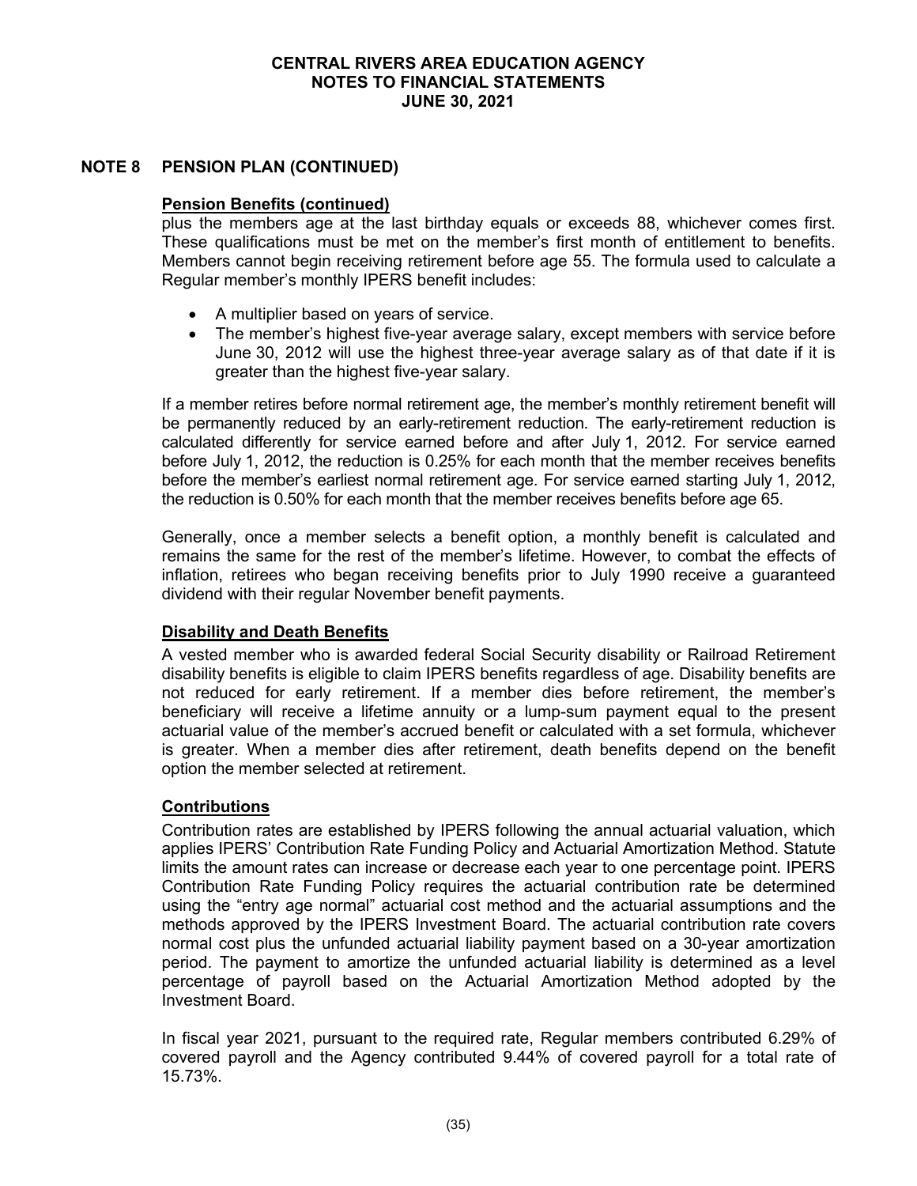# **NOTE 8 PENSION PLAN (CONTINUED)**

# **Pension Benefits (continued)**

plus the members age at the last birthday equals or exceeds 88, whichever comes first. These qualifications must be met on the member's first month of entitlement to benefits. Members cannot begin receiving retirement before age 55. The formula used to calculate a Regular member's monthly IPERS benefit includes:

- A multiplier based on years of service.
- The member's highest five-year average salary, except members with service before June 30, 2012 will use the highest three-year average salary as of that date if it is greater than the highest five-year salary.

If a member retires before normal retirement age, the member's monthly retirement benefit will be permanently reduced by an early-retirement reduction. The early-retirement reduction is calculated differently for service earned before and after July 1, 2012. For service earned before July 1, 2012, the reduction is 0.25% for each month that the member receives benefits before the member's earliest normal retirement age. For service earned starting July 1, 2012, the reduction is 0.50% for each month that the member receives benefits before age 65.

Generally, once a member selects a benefit option, a monthly benefit is calculated and remains the same for the rest of the member's lifetime. However, to combat the effects of inflation, retirees who began receiving benefits prior to July 1990 receive a guaranteed dividend with their regular November benefit payments.

#### **Disability and Death Benefits**

A vested member who is awarded federal Social Security disability or Railroad Retirement disability benefits is eligible to claim IPERS benefits regardless of age. Disability benefits are not reduced for early retirement. If a member dies before retirement, the member's beneficiary will receive a lifetime annuity or a lump-sum payment equal to the present actuarial value of the member's accrued benefit or calculated with a set formula, whichever is greater. When a member dies after retirement, death benefits depend on the benefit option the member selected at retirement.

#### **Contributions**

Contribution rates are established by IPERS following the annual actuarial valuation, which applies IPERS' Contribution Rate Funding Policy and Actuarial Amortization Method. Statute limits the amount rates can increase or decrease each year to one percentage point. IPERS Contribution Rate Funding Policy requires the actuarial contribution rate be determined using the "entry age normal" actuarial cost method and the actuarial assumptions and the methods approved by the IPERS Investment Board. The actuarial contribution rate covers normal cost plus the unfunded actuarial liability payment based on a 30-year amortization period. The payment to amortize the unfunded actuarial liability is determined as a level percentage of payroll based on the Actuarial Amortization Method adopted by the Investment Board.

In fiscal year 2021, pursuant to the required rate, Regular members contributed 6.29% of covered payroll and the Agency contributed 9.44% of covered payroll for a total rate of 15.73%.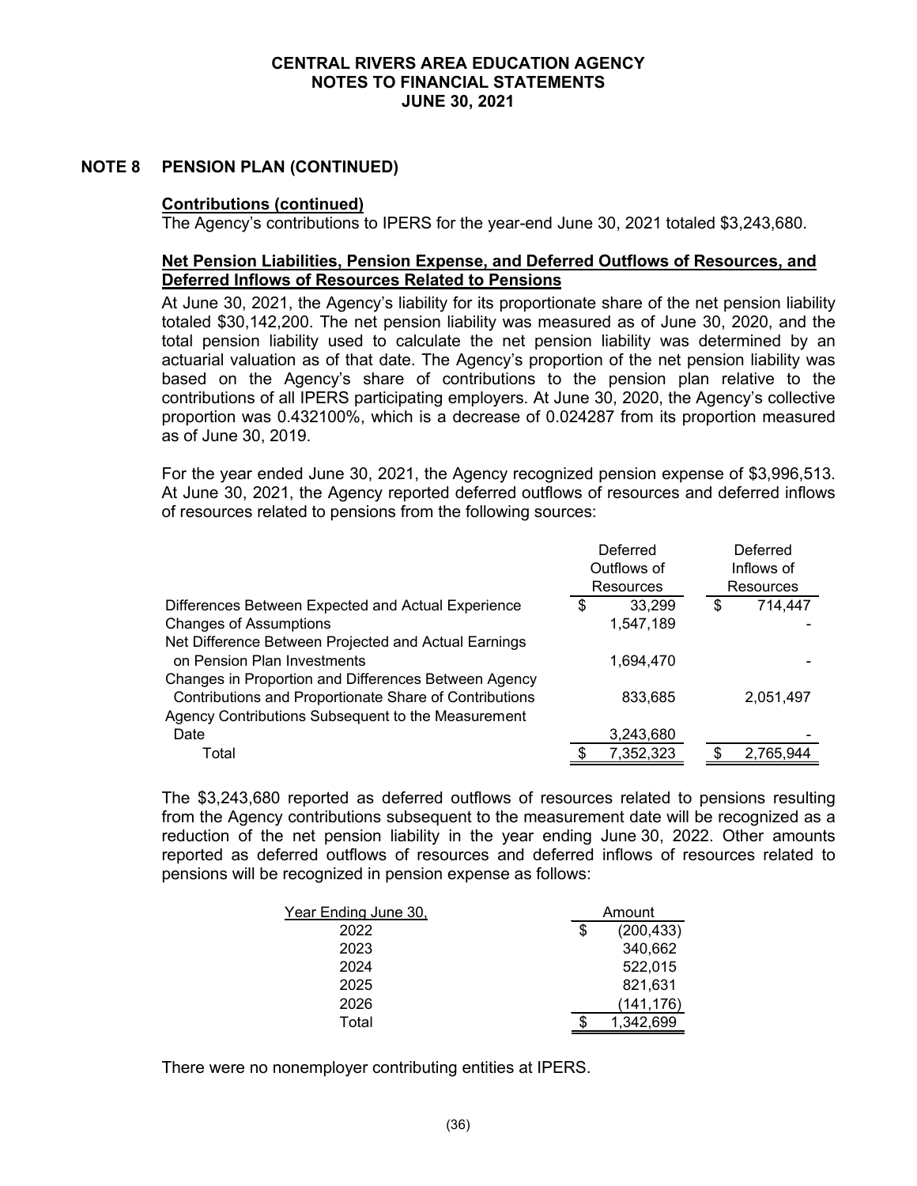# **NOTE 8 PENSION PLAN (CONTINUED)**

# **Contributions (continued)**

The Agency's contributions to IPERS for the year-end June 30, 2021 totaled \$3,243,680.

#### **Net Pension Liabilities, Pension Expense, and Deferred Outflows of Resources, and Deferred Inflows of Resources Related to Pensions**

At June 30, 2021, the Agency's liability for its proportionate share of the net pension liability totaled \$30,142,200. The net pension liability was measured as of June 30, 2020, and the total pension liability used to calculate the net pension liability was determined by an actuarial valuation as of that date. The Agency's proportion of the net pension liability was based on the Agency's share of contributions to the pension plan relative to the contributions of all IPERS participating employers. At June 30, 2020, the Agency's collective proportion was 0.432100%, which is a decrease of 0.024287 from its proportion measured as of June 30, 2019.

For the year ended June 30, 2021, the Agency recognized pension expense of \$3,996,513. At June 30, 2021, the Agency reported deferred outflows of resources and deferred inflows of resources related to pensions from the following sources:

|                                                                                                                | Deferred<br>Outflows of<br>Resources |   | Deferred<br>Inflows of<br>Resources |
|----------------------------------------------------------------------------------------------------------------|--------------------------------------|---|-------------------------------------|
| Differences Between Expected and Actual Experience                                                             | \$<br>33.299                         | S | 714,447                             |
| <b>Changes of Assumptions</b>                                                                                  | 1,547,189                            |   |                                     |
| Net Difference Between Projected and Actual Earnings<br>on Pension Plan Investments                            | 1.694.470                            |   |                                     |
| Changes in Proportion and Differences Between Agency<br>Contributions and Proportionate Share of Contributions | 833,685                              |   | 2,051,497                           |
| Agency Contributions Subsequent to the Measurement                                                             |                                      |   |                                     |
| Date                                                                                                           | 3,243,680                            |   |                                     |
| Total                                                                                                          | 7,352,323                            |   | 2,765,944                           |

The \$3,243,680 reported as deferred outflows of resources related to pensions resulting from the Agency contributions subsequent to the measurement date will be recognized as a reduction of the net pension liability in the year ending June 30, 2022. Other amounts reported as deferred outflows of resources and deferred inflows of resources related to pensions will be recognized in pension expense as follows:

| Year Ending June 30, | Amount           |  |
|----------------------|------------------|--|
| 2022                 | \$<br>(200, 433) |  |
| 2023                 | 340,662          |  |
| 2024                 | 522,015          |  |
| 2025                 | 821,631          |  |
| 2026                 | (141,176)        |  |
| Total                | 1.342.699        |  |

There were no nonemployer contributing entities at IPERS.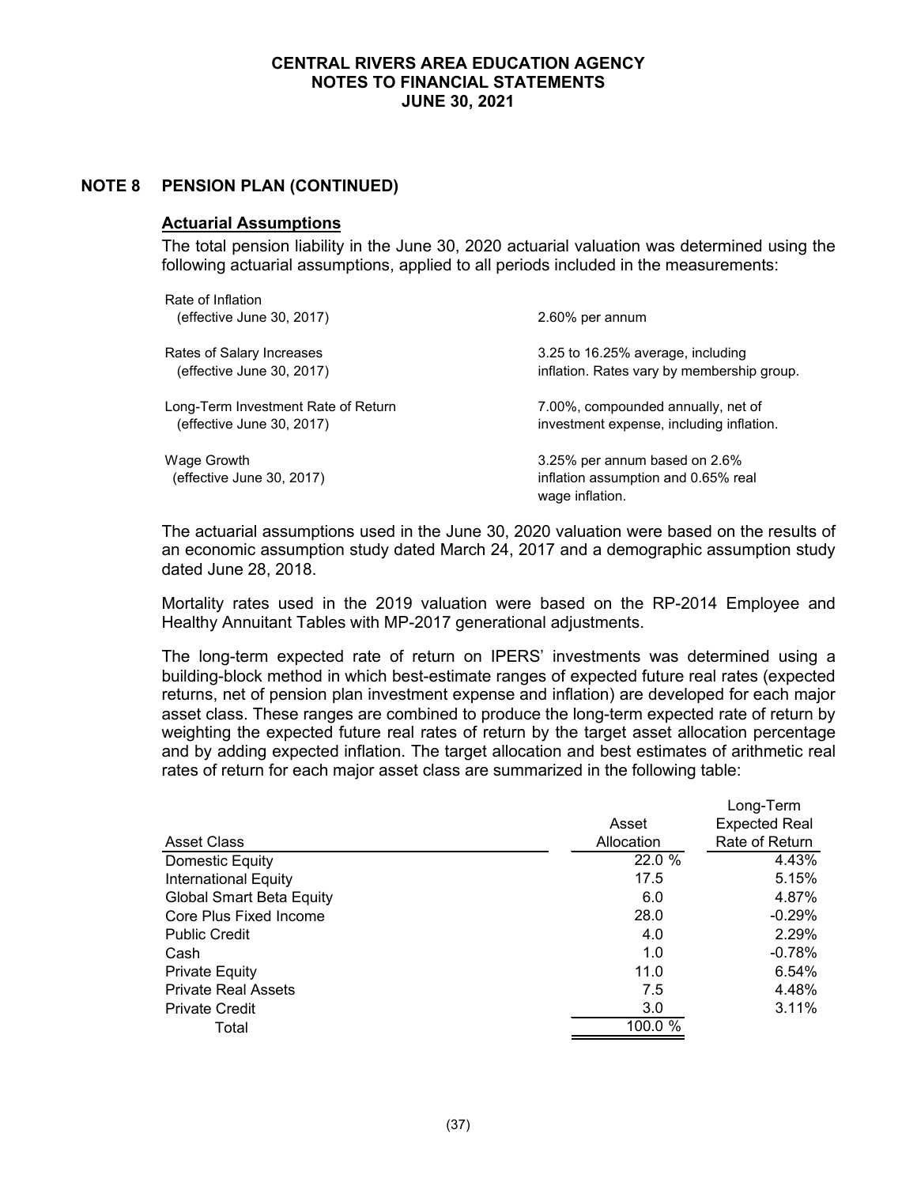#### **NOTE 8 PENSION PLAN (CONTINUED)**

#### **Actuarial Assumptions**

The total pension liability in the June 30, 2020 actuarial valuation was determined using the following actuarial assumptions, applied to all periods included in the measurements:

| Rate of Inflation<br>(effective June 30, 2017). | 2.60% per annum                                                                         |
|-------------------------------------------------|-----------------------------------------------------------------------------------------|
| Rates of Salary Increases                       | 3.25 to 16.25% average, including                                                       |
| (effective June 30, 2017)                       | inflation. Rates vary by membership group.                                              |
| Long-Term Investment Rate of Return             | 7.00%, compounded annually, net of                                                      |
| (effective June 30, 2017)                       | investment expense, including inflation.                                                |
| Wage Growth<br>(effective June 30, 2017)        | 3.25% per annum based on 2.6%<br>inflation assumption and 0.65% real<br>wage inflation. |

The actuarial assumptions used in the June 30, 2020 valuation were based on the results of an economic assumption study dated March 24, 2017 and a demographic assumption study dated June 28, 2018.

Mortality rates used in the 2019 valuation were based on the RP-2014 Employee and Healthy Annuitant Tables with MP-2017 generational adjustments.

The long-term expected rate of return on IPERS' investments was determined using a building-block method in which best-estimate ranges of expected future real rates (expected returns, net of pension plan investment expense and inflation) are developed for each major asset class. These ranges are combined to produce the long-term expected rate of return by weighting the expected future real rates of return by the target asset allocation percentage and by adding expected inflation. The target allocation and best estimates of arithmetic real rates of return for each major asset class are summarized in the following table:

|                                 |            | Long-Term            |
|---------------------------------|------------|----------------------|
|                                 | Asset      | <b>Expected Real</b> |
| <b>Asset Class</b>              | Allocation | Rate of Return       |
| <b>Domestic Equity</b>          | 22.0 %     | 4.43%                |
| <b>International Equity</b>     | 17.5       | 5.15%                |
| <b>Global Smart Beta Equity</b> | 6.0        | 4.87%                |
| Core Plus Fixed Income          | 28.0       | $-0.29%$             |
| <b>Public Credit</b>            | 4.0        | 2.29%                |
| Cash                            | 1.0        | $-0.78%$             |
| <b>Private Equity</b>           | 11.0       | 6.54%                |
| <b>Private Real Assets</b>      | 7.5        | 4.48%                |
| <b>Private Credit</b>           | 3.0        | 3.11%                |
| Total                           | 100.0 %    |                      |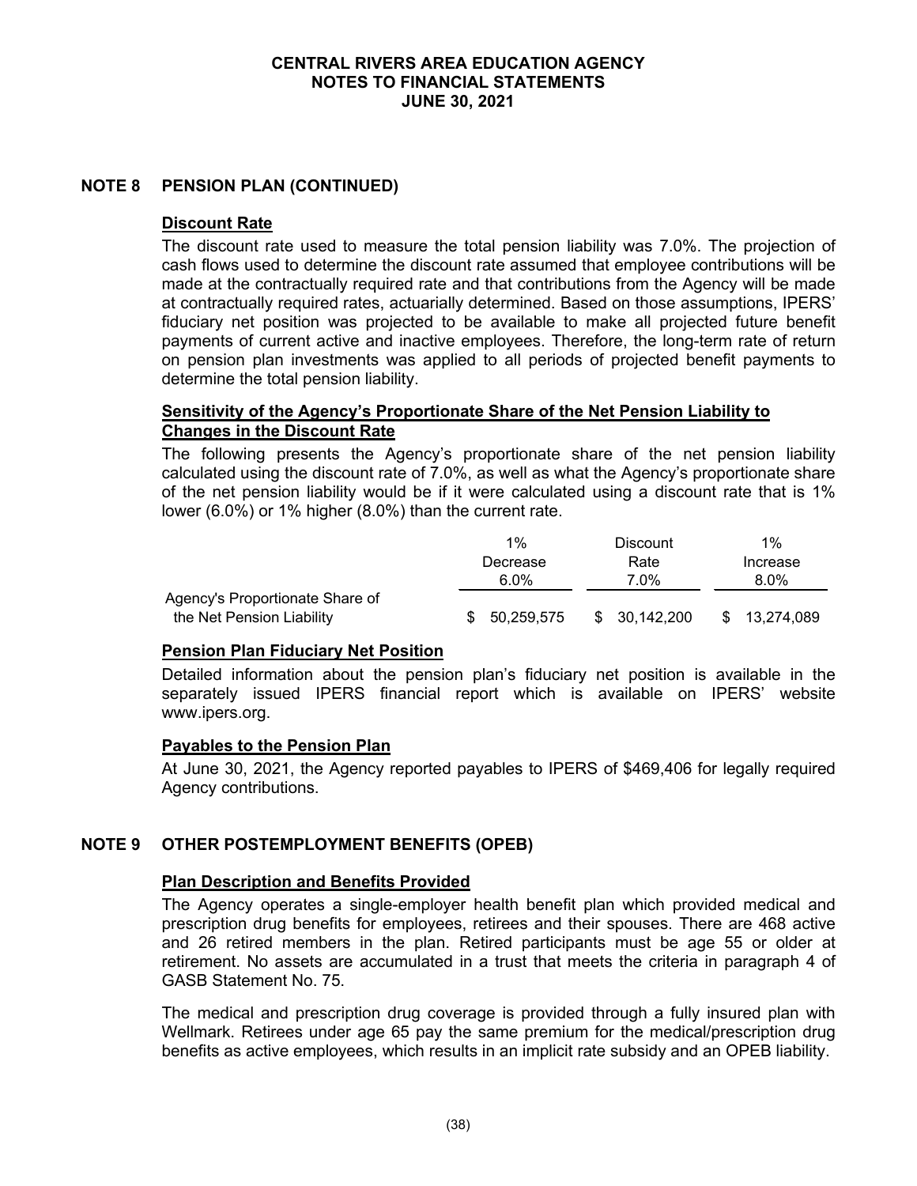# **NOTE 8 PENSION PLAN (CONTINUED)**

#### **Discount Rate**

The discount rate used to measure the total pension liability was 7.0%. The projection of cash flows used to determine the discount rate assumed that employee contributions will be made at the contractually required rate and that contributions from the Agency will be made at contractually required rates, actuarially determined. Based on those assumptions, IPERS' fiduciary net position was projected to be available to make all projected future benefit payments of current active and inactive employees. Therefore, the long-term rate of return on pension plan investments was applied to all periods of projected benefit payments to determine the total pension liability.

#### **Sensitivity of the Agency's Proportionate Share of the Net Pension Liability to Changes in the Discount Rate**

The following presents the Agency's proportionate share of the net pension liability calculated using the discount rate of 7.0%, as well as what the Agency's proportionate share of the net pension liability would be if it were calculated using a discount rate that is 1% lower (6.0%) or 1% higher (8.0%) than the current rate.

|                                 | $1\%$             | <b>Discount</b> | 1%                |
|---------------------------------|-------------------|-----------------|-------------------|
|                                 | Decrease          | Rate            | Increase          |
|                                 | 6.0%              | 7.0%            | $8.0\%$           |
| Agency's Proportionate Share of |                   |                 |                   |
| the Net Pension Liability       | 50.259.575<br>\$. | \$30,142,200    | 13.274.089<br>\$. |

#### **Pension Plan Fiduciary Net Position**

Detailed information about the pension plan's fiduciary net position is available in the separately issued IPERS financial report which is available on IPERS' website www.ipers.org.

#### **Payables to the Pension Plan**

At June 30, 2021, the Agency reported payables to IPERS of \$469,406 for legally required Agency contributions.

# **NOTE 9 OTHER POSTEMPLOYMENT BENEFITS (OPEB)**

#### **Plan Description and Benefits Provided**

The Agency operates a single-employer health benefit plan which provided medical and prescription drug benefits for employees, retirees and their spouses. There are 468 active and 26 retired members in the plan. Retired participants must be age 55 or older at retirement. No assets are accumulated in a trust that meets the criteria in paragraph 4 of GASB Statement No. 75.

The medical and prescription drug coverage is provided through a fully insured plan with Wellmark. Retirees under age 65 pay the same premium for the medical/prescription drug benefits as active employees, which results in an implicit rate subsidy and an OPEB liability.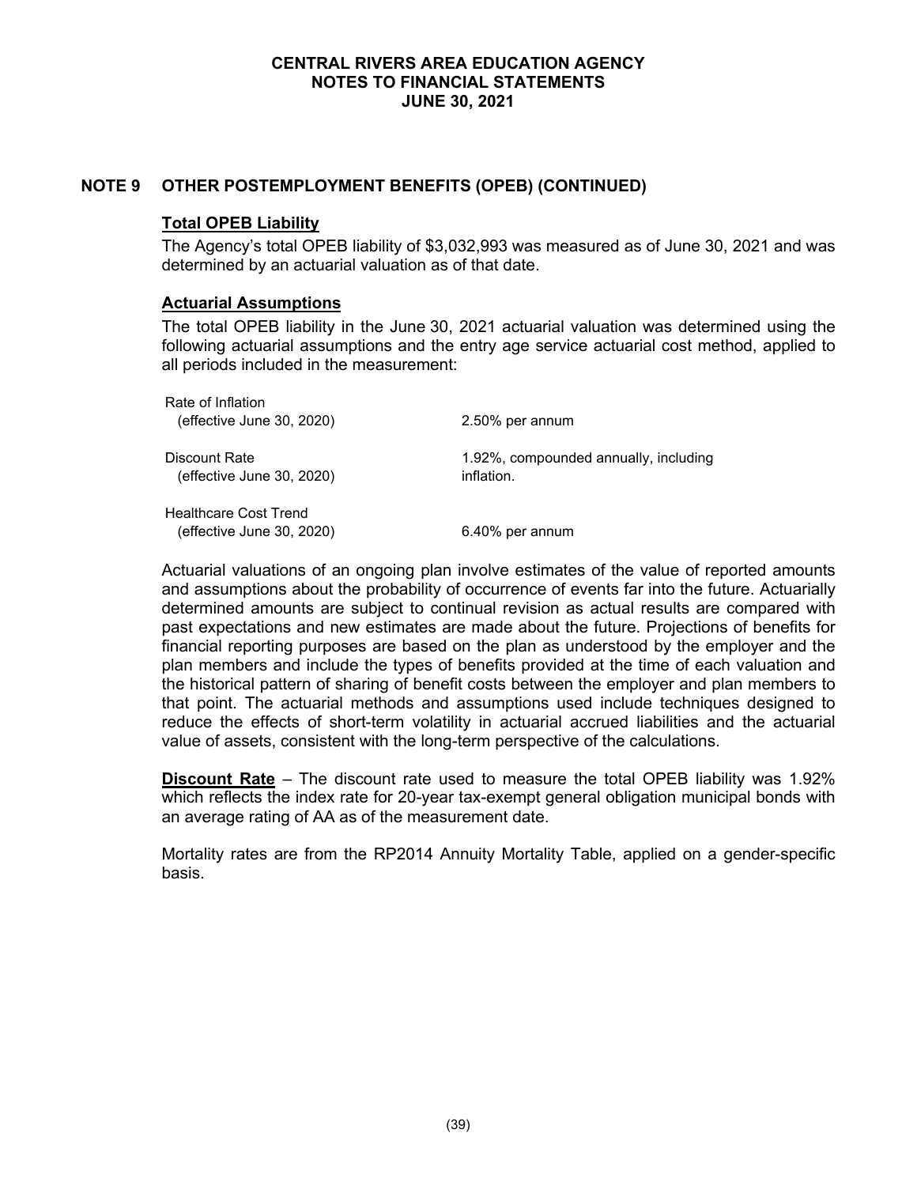#### **NOTE 9 OTHER POSTEMPLOYMENT BENEFITS (OPEB) (CONTINUED)**

#### **Total OPEB Liability**

The Agency's total OPEB liability of \$3,032,993 was measured as of June 30, 2021 and was determined by an actuarial valuation as of that date.

#### **Actuarial Assumptions**

The total OPEB liability in the June 30, 2021 actuarial valuation was determined using the following actuarial assumptions and the entry age service actuarial cost method, applied to all periods included in the measurement:

| Rate of Inflation<br>(effective June 30, 2020)            | 2.50% per annum                                     |
|-----------------------------------------------------------|-----------------------------------------------------|
| Discount Rate<br>(effective June 30, 2020)                | 1.92%, compounded annually, including<br>inflation. |
| <b>Healthcare Cost Trend</b><br>(effective June 30, 2020) | 6.40% per annum                                     |

Actuarial valuations of an ongoing plan involve estimates of the value of reported amounts and assumptions about the probability of occurrence of events far into the future. Actuarially determined amounts are subject to continual revision as actual results are compared with past expectations and new estimates are made about the future. Projections of benefits for financial reporting purposes are based on the plan as understood by the employer and the plan members and include the types of benefits provided at the time of each valuation and the historical pattern of sharing of benefit costs between the employer and plan members to that point. The actuarial methods and assumptions used include techniques designed to reduce the effects of short-term volatility in actuarial accrued liabilities and the actuarial value of assets, consistent with the long-term perspective of the calculations.

**Discount Rate** – The discount rate used to measure the total OPEB liability was 1.92% which reflects the index rate for 20-year tax-exempt general obligation municipal bonds with an average rating of AA as of the measurement date.

Mortality rates are from the RP2014 Annuity Mortality Table, applied on a gender-specific basis.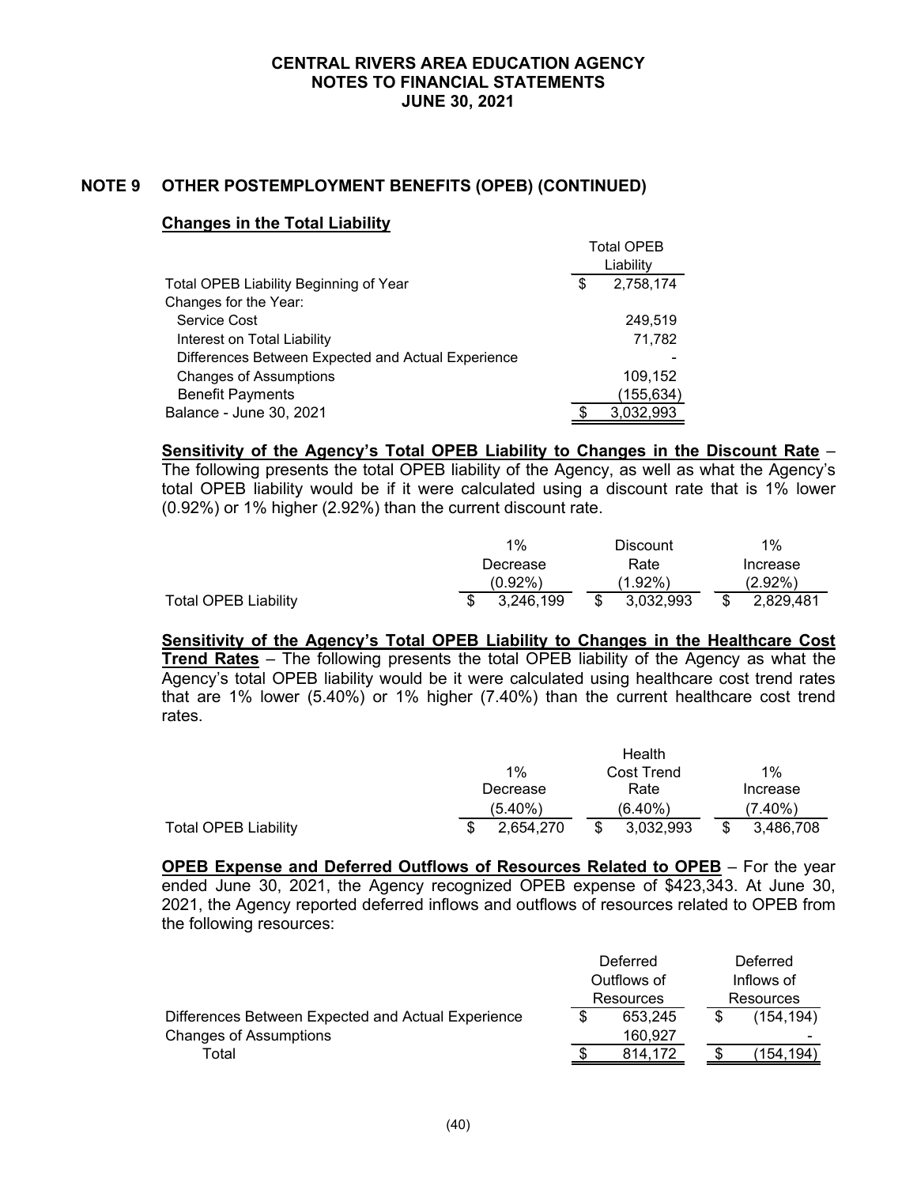#### **NOTE 9 OTHER POSTEMPLOYMENT BENEFITS (OPEB) (CONTINUED)**

#### **Changes in the Total Liability**

|                                                    |   | <b>Total OPEB</b> |
|----------------------------------------------------|---|-------------------|
|                                                    |   | Liability         |
| Total OPEB Liability Beginning of Year             | S | 2,758,174         |
| Changes for the Year:                              |   |                   |
| Service Cost                                       |   | 249,519           |
| Interest on Total Liability                        |   | 71,782            |
| Differences Between Expected and Actual Experience |   |                   |
| <b>Changes of Assumptions</b>                      |   | 109,152           |
| <b>Benefit Payments</b>                            |   | (155, 634)        |
| Balance - June 30, 2021                            |   | 3,032,993         |

**Sensitivity of the Agency's Total OPEB Liability to Changes in the Discount Rate** – The following presents the total OPEB liability of the Agency, as well as what the Agency's total OPEB liability would be if it were calculated using a discount rate that is 1% lower (0.92%) or 1% higher (2.92%) than the current discount rate.

|                             | $1\%$      | Discount   | 1%        |
|-----------------------------|------------|------------|-----------|
|                             | Decrease   | Rate       | Increase  |
|                             | $(0.92\%)$ | $(1.92\%)$ | (2.92%)   |
| <b>Total OPEB Liability</b> | 3.246.199  | 3.032.993  | 2.829.481 |

**Sensitivity of the Agency's Total OPEB Liability to Changes in the Healthcare Cost Trend Rates** – The following presents the total OPEB liability of the Agency as what the Agency's total OPEB liability would be it were calculated using healthcare cost trend rates that are 1% lower (5.40%) or 1% higher (7.40%) than the current healthcare cost trend rates.

|                             |            | Health     |           |
|-----------------------------|------------|------------|-----------|
|                             | 1%         | Cost Trend | $1\%$     |
|                             | Decrease   | Rate       | Increase  |
|                             | $(5.40\%)$ | $(6.40\%)$ | (7.40%)   |
| <b>Total OPEB Liability</b> | 2,654,270  | 3,032,993  | 3,486,708 |

**OPEB Expense and Deferred Outflows of Resources Related to OPEB** – For the year ended June 30, 2021, the Agency recognized OPEB expense of \$423,343. At June 30, 2021, the Agency reported deferred inflows and outflows of resources related to OPEB from the following resources:

|                                                    | Deferred         | Deferred   |
|----------------------------------------------------|------------------|------------|
|                                                    | Outflows of      | Inflows of |
|                                                    | <b>Resources</b> | Resources  |
| Differences Between Expected and Actual Experience | 653.245          | (154, 194) |
| <b>Changes of Assumptions</b>                      | 160.927          |            |
| Total                                              | 814.172          | (154.194)  |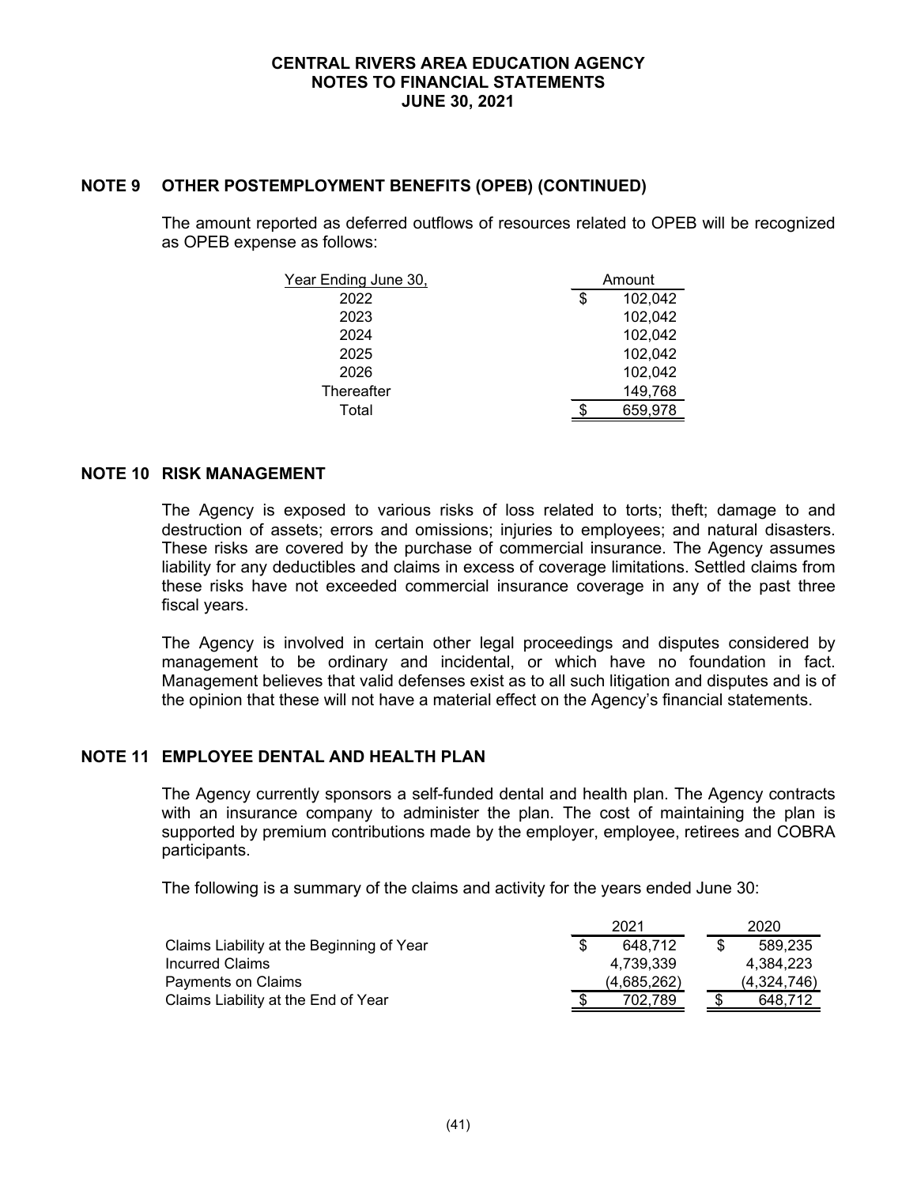#### **NOTE 9 OTHER POSTEMPLOYMENT BENEFITS (OPEB) (CONTINUED)**

The amount reported as deferred outflows of resources related to OPEB will be recognized as OPEB expense as follows:

| Year Ending June 30, |   | Amount  |
|----------------------|---|---------|
| 2022                 | S | 102,042 |
| 2023                 |   | 102,042 |
| 2024                 |   | 102,042 |
| 2025                 |   | 102,042 |
| 2026                 |   | 102,042 |
| Thereafter           |   | 149,768 |
| Total                |   | 659,978 |

#### **NOTE 10 RISK MANAGEMENT**

The Agency is exposed to various risks of loss related to torts; theft; damage to and destruction of assets; errors and omissions; injuries to employees; and natural disasters. These risks are covered by the purchase of commercial insurance. The Agency assumes liability for any deductibles and claims in excess of coverage limitations. Settled claims from these risks have not exceeded commercial insurance coverage in any of the past three fiscal years.

The Agency is involved in certain other legal proceedings and disputes considered by management to be ordinary and incidental, or which have no foundation in fact. Management believes that valid defenses exist as to all such litigation and disputes and is of the opinion that these will not have a material effect on the Agency's financial statements.

# **NOTE 11 EMPLOYEE DENTAL AND HEALTH PLAN**

The Agency currently sponsors a self-funded dental and health plan. The Agency contracts with an insurance company to administer the plan. The cost of maintaining the plan is supported by premium contributions made by the employer, employee, retirees and COBRA participants.

The following is a summary of the claims and activity for the years ended June 30:

|                                           | 2021        |  |  | 2020        |
|-------------------------------------------|-------------|--|--|-------------|
| Claims Liability at the Beginning of Year | 648.712     |  |  | 589.235     |
| Incurred Claims                           | 4.739.339   |  |  | 4.384.223   |
| Payments on Claims                        | (4,685,262) |  |  | (4,324,746) |
| Claims Liability at the End of Year       | 702.789     |  |  | 648.712     |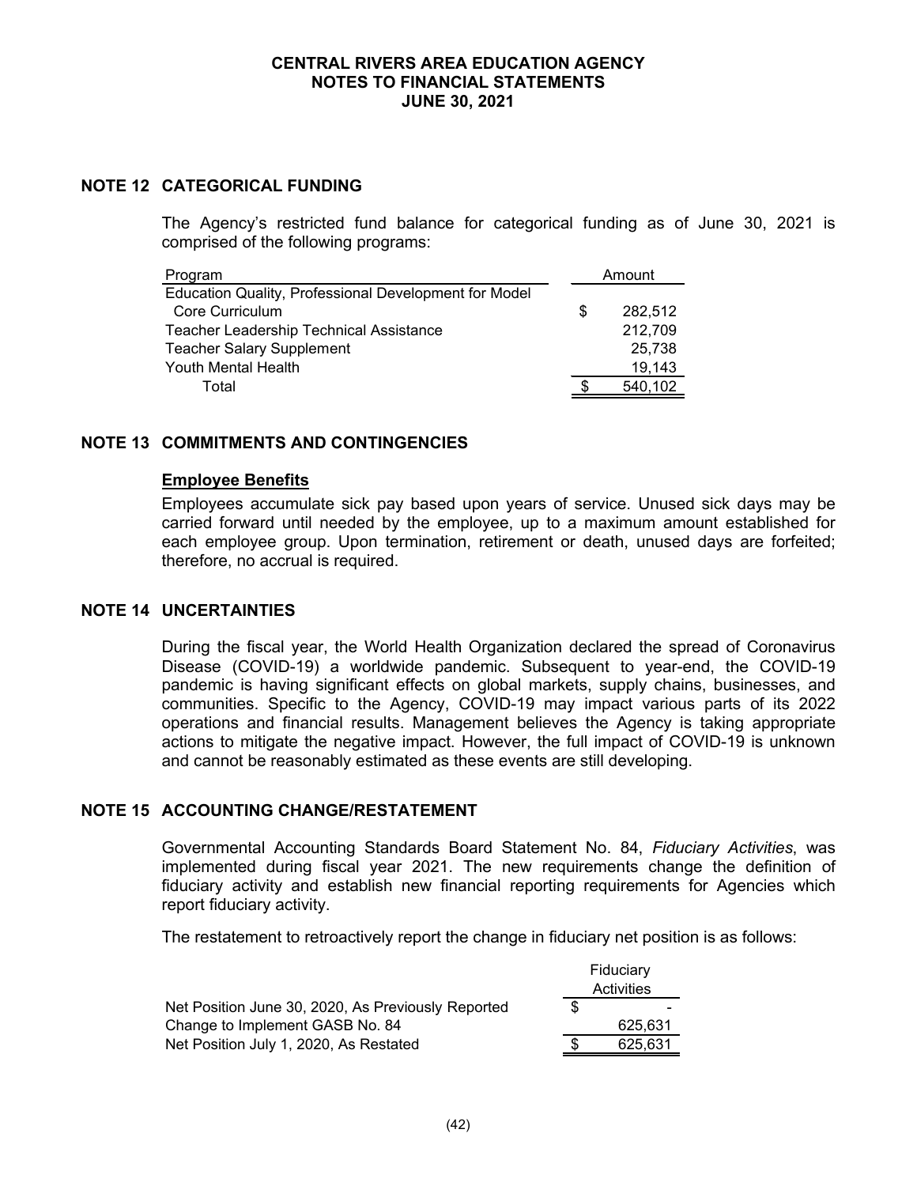#### **NOTE 12 CATEGORICAL FUNDING**

The Agency's restricted fund balance for categorical funding as of June 30, 2021 is comprised of the following programs:

| Program                                               |   | Amount  |
|-------------------------------------------------------|---|---------|
| Education Quality, Professional Development for Model |   |         |
| Core Curriculum                                       | S | 282.512 |
| <b>Teacher Leadership Technical Assistance</b>        |   | 212,709 |
| <b>Teacher Salary Supplement</b>                      |   | 25,738  |
| Youth Mental Health                                   |   | 19,143  |
| Total                                                 |   | 540,102 |

#### **NOTE 13 COMMITMENTS AND CONTINGENCIES**

#### **Employee Benefits**

Employees accumulate sick pay based upon years of service. Unused sick days may be carried forward until needed by the employee, up to a maximum amount established for each employee group. Upon termination, retirement or death, unused days are forfeited; therefore, no accrual is required.

#### **NOTE 14 UNCERTAINTIES**

During the fiscal year, the World Health Organization declared the spread of Coronavirus Disease (COVID-19) a worldwide pandemic. Subsequent to year-end, the COVID-19 pandemic is having significant effects on global markets, supply chains, businesses, and communities. Specific to the Agency, COVID-19 may impact various parts of its 2022 operations and financial results. Management believes the Agency is taking appropriate actions to mitigate the negative impact. However, the full impact of COVID-19 is unknown and cannot be reasonably estimated as these events are still developing.

# **NOTE 15 ACCOUNTING CHANGE/RESTATEMENT**

Governmental Accounting Standards Board Statement No. 84, *Fiduciary Activities*, was implemented during fiscal year 2021. The new requirements change the definition of fiduciary activity and establish new financial reporting requirements for Agencies which report fiduciary activity.

The restatement to retroactively report the change in fiduciary net position is as follows:

|                                                    |   | Fiduciary  |
|----------------------------------------------------|---|------------|
|                                                    |   | Activities |
| Net Position June 30, 2020, As Previously Reported | S |            |
| Change to Implement GASB No. 84                    |   | 625,631    |
| Net Position July 1, 2020, As Restated             |   | 625,631    |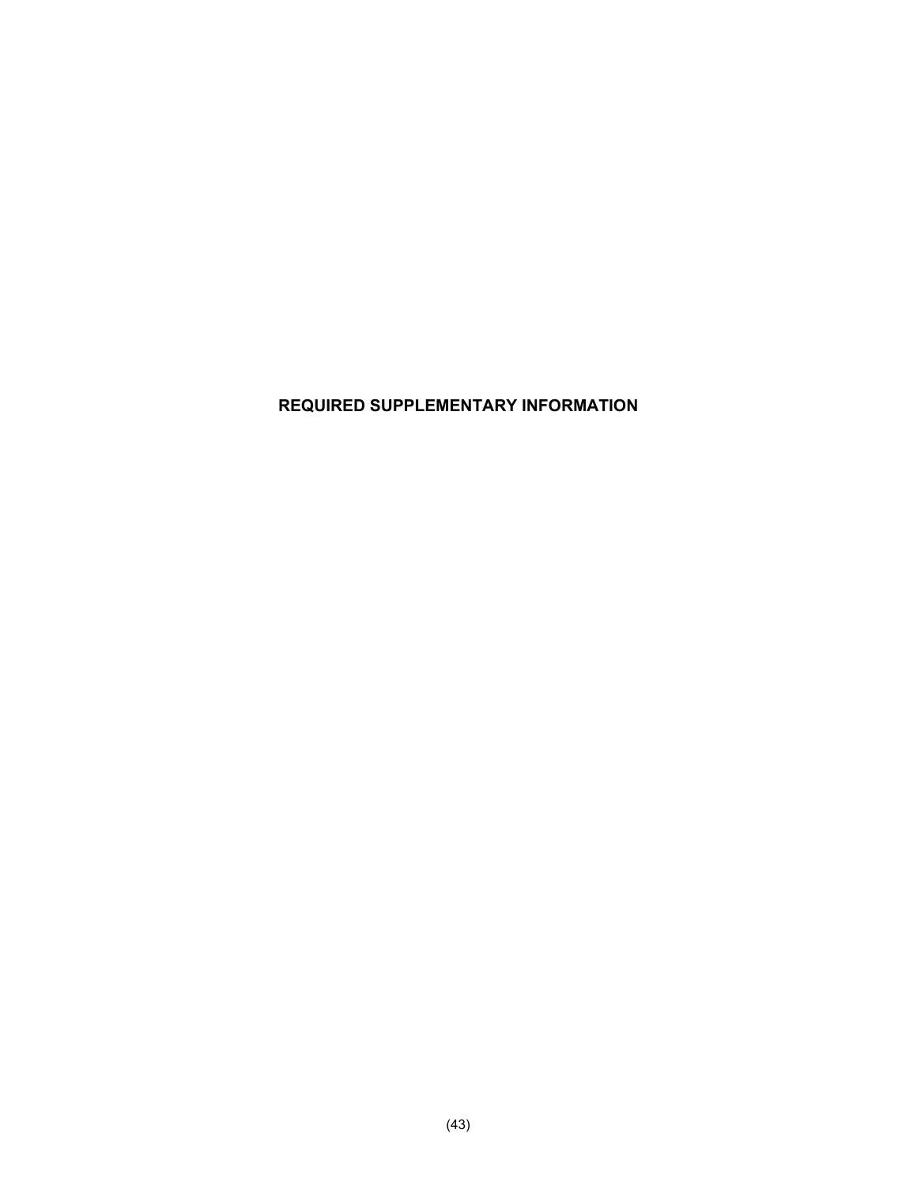# **REQUIRED SUPPLEMENTARY INFORMATION**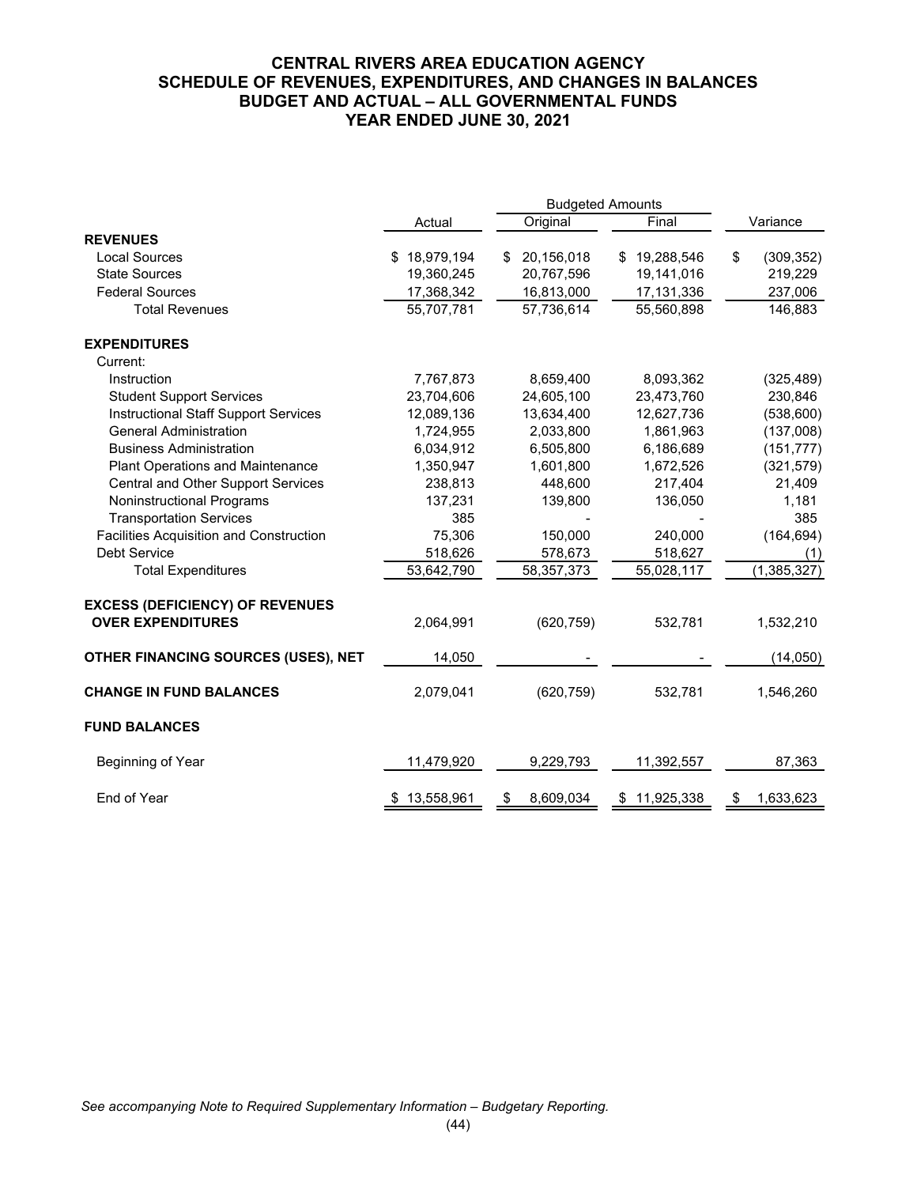#### **CENTRAL RIVERS AREA EDUCATION AGENCY SCHEDULE OF REVENUES, EXPENDITURES, AND CHANGES IN BALANCES BUDGET AND ACTUAL – ALL GOVERNMENTAL FUNDS YEAR ENDED JUNE 30, 2021**

|                                             | Actual       | Original         | Final             | Variance         |
|---------------------------------------------|--------------|------------------|-------------------|------------------|
| <b>REVENUES</b>                             |              |                  |                   |                  |
| <b>Local Sources</b>                        | \$18,979,194 | 20,156,018<br>\$ | 19,288,546<br>\$. | \$<br>(309, 352) |
| <b>State Sources</b>                        | 19,360,245   | 20,767,596       | 19,141,016        | 219,229          |
| <b>Federal Sources</b>                      | 17,368,342   | 16,813,000       | 17,131,336        | 237,006          |
| <b>Total Revenues</b>                       | 55,707,781   | 57,736,614       | 55,560,898        | 146,883          |
| <b>EXPENDITURES</b>                         |              |                  |                   |                  |
| Current:                                    |              |                  |                   |                  |
| Instruction                                 | 7,767,873    | 8,659,400        | 8,093,362         | (325, 489)       |
| <b>Student Support Services</b>             | 23,704,606   | 24,605,100       | 23,473,760        | 230,846          |
| <b>Instructional Staff Support Services</b> | 12,089,136   | 13,634,400       | 12,627,736        | (538,600)        |
| <b>General Administration</b>               | 1,724,955    | 2,033,800        | 1,861,963         | (137,008)        |
| <b>Business Administration</b>              | 6,034,912    | 6,505,800        | 6,186,689         | (151, 777)       |
| <b>Plant Operations and Maintenance</b>     | 1,350,947    | 1,601,800        | 1,672,526         | (321, 579)       |
| Central and Other Support Services          | 238,813      | 448,600          | 217,404           | 21,409           |
| Noninstructional Programs                   | 137,231      | 139,800          | 136,050           | 1,181            |
| <b>Transportation Services</b>              | 385          |                  |                   | 385              |
| Facilities Acquisition and Construction     | 75,306       | 150,000          | 240,000           | (164, 694)       |
| Debt Service                                | 518,626      | 578,673          | 518,627           | (1)              |
| <b>Total Expenditures</b>                   | 53,642,790   | 58,357,373       | 55,028,117        | (1, 385, 327)    |
| <b>EXCESS (DEFICIENCY) OF REVENUES</b>      |              |                  |                   |                  |
| <b>OVER EXPENDITURES</b>                    | 2,064,991    | (620, 759)       | 532,781           | 1,532,210        |
| OTHER FINANCING SOURCES (USES), NET         | 14,050       |                  |                   | (14,050)         |
| <b>CHANGE IN FUND BALANCES</b>              | 2,079,041    | (620, 759)       | 532,781           | 1,546,260        |
| <b>FUND BALANCES</b>                        |              |                  |                   |                  |
| Beginning of Year                           | 11,479,920   | 9,229,793        | 11,392,557        | 87,363           |
| End of Year                                 | 13,558,961   | 8,609,034<br>\$  | 11,925,338<br>S.  | 1,633,623<br>\$  |

*See accompanying Note to Required Supplementary Information – Budgetary Reporting.*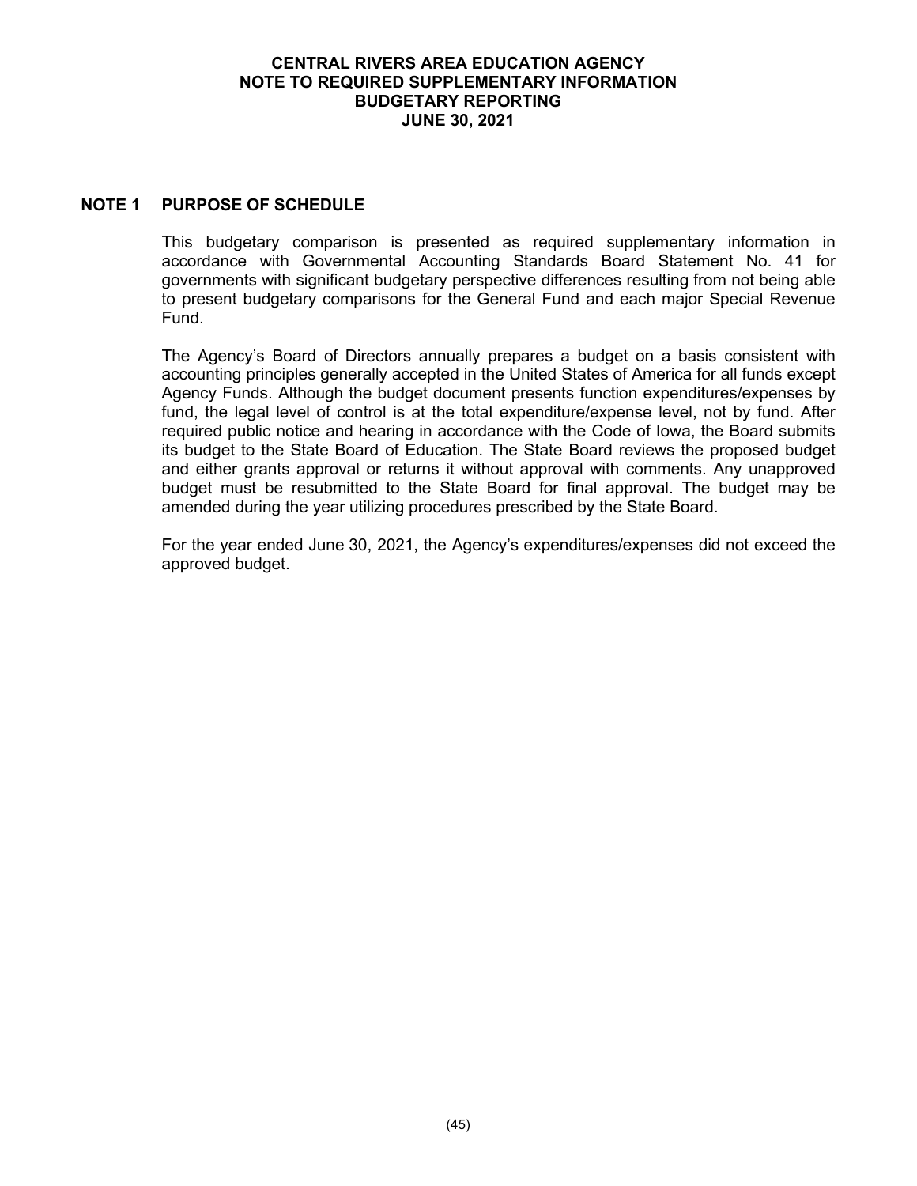#### **CENTRAL RIVERS AREA EDUCATION AGENCY NOTE TO REQUIRED SUPPLEMENTARY INFORMATION BUDGETARY REPORTING JUNE 30, 2021**

# **NOTE 1 PURPOSE OF SCHEDULE**

This budgetary comparison is presented as required supplementary information in accordance with Governmental Accounting Standards Board Statement No. 41 for governments with significant budgetary perspective differences resulting from not being able to present budgetary comparisons for the General Fund and each major Special Revenue Fund.

The Agency's Board of Directors annually prepares a budget on a basis consistent with accounting principles generally accepted in the United States of America for all funds except Agency Funds. Although the budget document presents function expenditures/expenses by fund, the legal level of control is at the total expenditure/expense level, not by fund. After required public notice and hearing in accordance with the Code of Iowa, the Board submits its budget to the State Board of Education. The State Board reviews the proposed budget and either grants approval or returns it without approval with comments. Any unapproved budget must be resubmitted to the State Board for final approval. The budget may be amended during the year utilizing procedures prescribed by the State Board.

For the year ended June 30, 2021, the Agency's expenditures/expenses did not exceed the approved budget.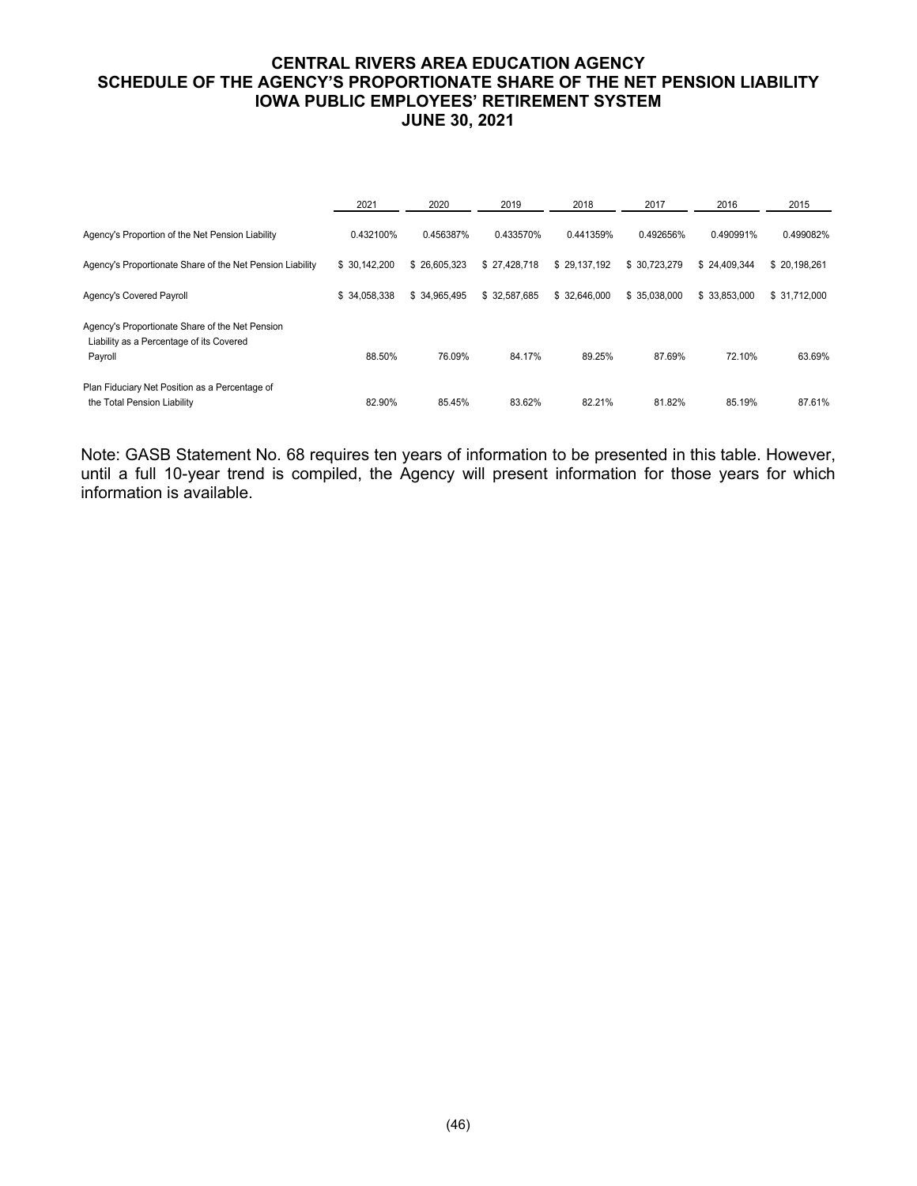#### **CENTRAL RIVERS AREA EDUCATION AGENCY SCHEDULE OF THE AGENCY'S PROPORTIONATE SHARE OF THE NET PENSION LIABILITY IOWA PUBLIC EMPLOYEES' RETIREMENT SYSTEM JUNE 30, 2021**

|                                                                                                        | 2021         | 2020         | 2019         | 2018         | 2017          | 2016         | 2015         |
|--------------------------------------------------------------------------------------------------------|--------------|--------------|--------------|--------------|---------------|--------------|--------------|
| Agency's Proportion of the Net Pension Liability                                                       | 0.432100%    | 0.456387%    | 0.433570%    | 0.441359%    | 0.492656%     | 0.490991%    | 0.499082%    |
| Agency's Proportionate Share of the Net Pension Liability                                              | \$30,142,200 | \$26,605,323 | \$27,428,718 | \$29,137,192 | \$ 30,723,279 | \$24,409,344 | \$20,198,261 |
| Agency's Covered Payroll                                                                               | \$34.058.338 | \$34.965.495 | \$32,587,685 | \$32,646,000 | \$ 35,038,000 | \$33.853.000 | \$31,712,000 |
| Agency's Proportionate Share of the Net Pension<br>Liability as a Percentage of its Covered<br>Payroll | 88.50%       | 76.09%       | 84.17%       | 89.25%       | 87.69%        | 72.10%       | 63.69%       |
| Plan Fiduciary Net Position as a Percentage of<br>the Total Pension Liability                          | 82.90%       | 85.45%       | 83.62%       | 82.21%       | 81.82%        | 85.19%       | 87.61%       |

Note: GASB Statement No. 68 requires ten years of information to be presented in this table. However, until a full 10-year trend is compiled, the Agency will present information for those years for which information is available.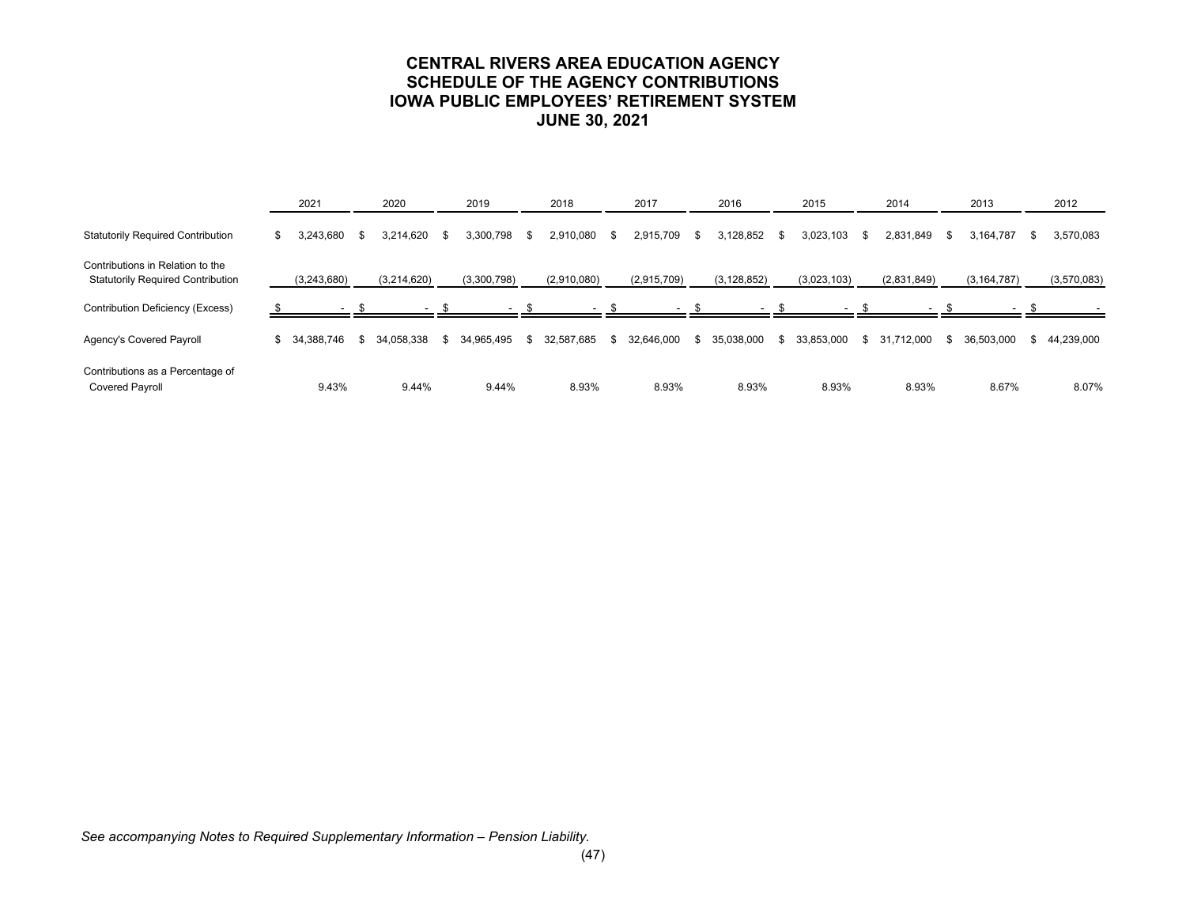# **CENTRAL RIVERS AREA EDUCATION AGENCY SCHEDULE OF THE AGENCY CONTRIBUTIONS IOWA PUBLIC EMPLOYEES' RETIREMENT SYSTEM JUNE 30, 2021**

|                                                                              | 2021             |    | 2020        |      | 2019        |    | 2018        |      | 2017        |      | 2016          |      | 2015        |      | 2014                     |      | 2013          |     | 2012        |
|------------------------------------------------------------------------------|------------------|----|-------------|------|-------------|----|-------------|------|-------------|------|---------------|------|-------------|------|--------------------------|------|---------------|-----|-------------|
| <b>Statutorily Required Contribution</b>                                     | \$<br>3,243,680  | S. | 3,214,620   | - \$ | 3,300,798   | \$ | 2,910,080   | - \$ | 2,915,709   | - 35 | 3,128,852     | - \$ | 3,023,103   | - \$ | 2,831,849                | - 95 | 3,164,787     | S.  | 3,570,083   |
| Contributions in Relation to the<br><b>Statutorily Required Contribution</b> | (3,243,680)      |    | (3,214,620) |      | (3,300,798) |    | (2,910,080) |      | (2,915,709) |      | (3, 128, 852) |      | (3,023,103) |      | (2,831,849)              |      | (3, 164, 787) |     | (3,570,083) |
| Contribution Deficiency (Excess)                                             |                  |    |             |      |             | ደ  | -           |      |             |      | $\sim$        |      | ۰           |      | $\overline{\phantom{0}}$ |      |               |     |             |
| Agency's Covered Payroll                                                     | \$<br>34,388,746 | \$ | 34,058,338  | -S   | 34,965,495  | S. | 32,587,685  | -SS  | 32,646,000  | -96  | 35,038,000    | \$   | 33,853,000  | S.   | 31,712,000               | - 95 | 36,503,000    | -SS | 44,239,000  |
| Contributions as a Percentage of<br><b>Covered Payroll</b>                   | 9.43%            |    | 9.44%       |      | 9.44%       |    | 8.93%       |      | 8.93%       |      | 8.93%         |      | 8.93%       |      | 8.93%                    |      | 8.67%         |     | 8.07%       |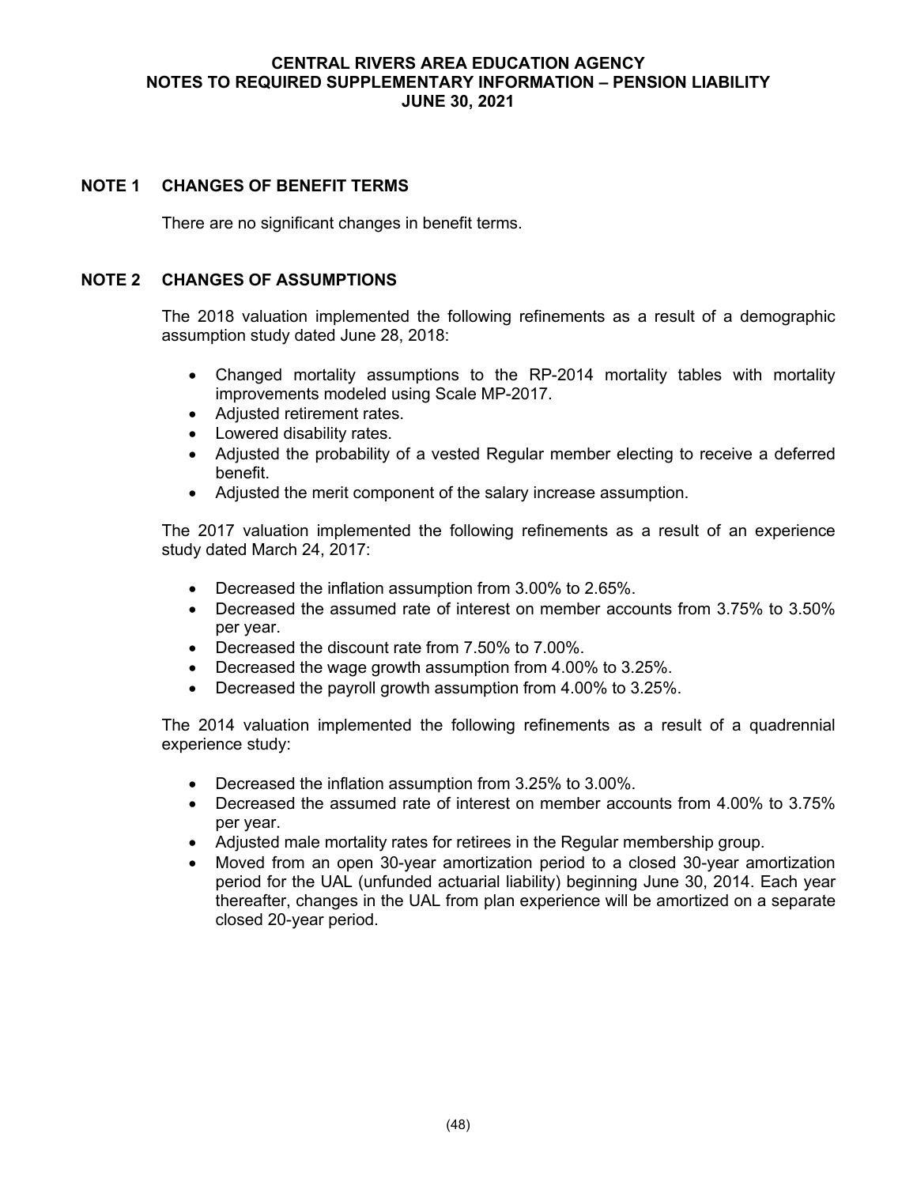# **CENTRAL RIVERS AREA EDUCATION AGENCY NOTES TO REQUIRED SUPPLEMENTARY INFORMATION – PENSION LIABILITY JUNE 30, 2021**

#### **NOTE 1 CHANGES OF BENEFIT TERMS**

There are no significant changes in benefit terms.

# **NOTE 2 CHANGES OF ASSUMPTIONS**

The 2018 valuation implemented the following refinements as a result of a demographic assumption study dated June 28, 2018:

- Changed mortality assumptions to the RP-2014 mortality tables with mortality improvements modeled using Scale MP-2017.
- Adjusted retirement rates.
- Lowered disability rates.
- Adjusted the probability of a vested Regular member electing to receive a deferred benefit.
- Adjusted the merit component of the salary increase assumption.

The 2017 valuation implemented the following refinements as a result of an experience study dated March 24, 2017:

- Decreased the inflation assumption from 3.00% to 2.65%.
- Decreased the assumed rate of interest on member accounts from 3.75% to 3.50% per year.
- Decreased the discount rate from 7.50% to 7.00%.
- Decreased the wage growth assumption from 4.00% to 3.25%.
- Decreased the payroll growth assumption from 4.00% to 3.25%.

The 2014 valuation implemented the following refinements as a result of a quadrennial experience study:

- Decreased the inflation assumption from 3.25% to 3.00%.
- Decreased the assumed rate of interest on member accounts from 4.00% to 3.75% per year.
- Adjusted male mortality rates for retirees in the Regular membership group.
- Moved from an open 30-year amortization period to a closed 30-year amortization period for the UAL (unfunded actuarial liability) beginning June 30, 2014. Each year thereafter, changes in the UAL from plan experience will be amortized on a separate closed 20-year period.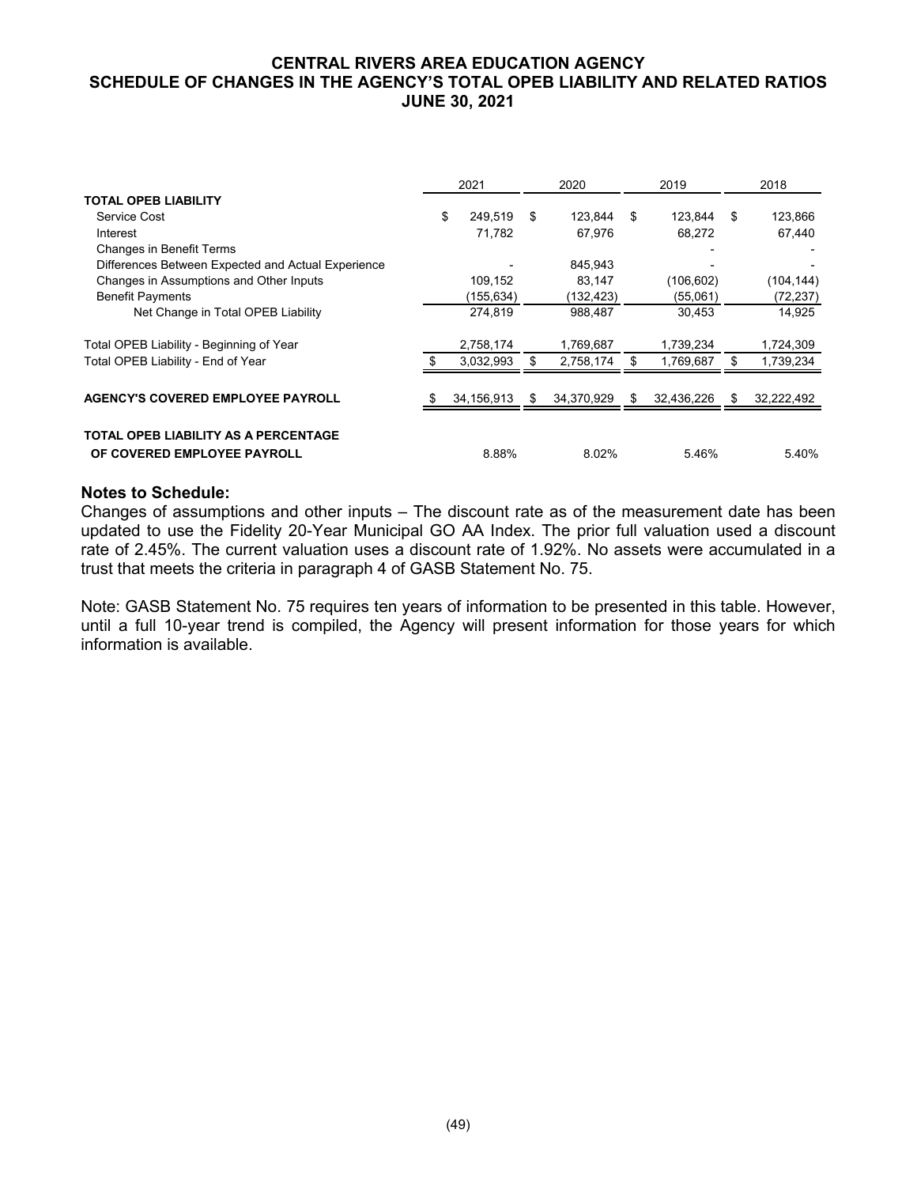#### **CENTRAL RIVERS AREA EDUCATION AGENCY SCHEDULE OF CHANGES IN THE AGENCY'S TOTAL OPEB LIABILITY AND RELATED RATIOS JUNE 30, 2021**

|                                                                     | 2021 |               |     | 2020       | 2019             |     | 2018       |
|---------------------------------------------------------------------|------|---------------|-----|------------|------------------|-----|------------|
| TOTAL OPEB LIABILITY                                                |      |               |     |            |                  |     |            |
| Service Cost                                                        |      | \$<br>249,519 | \$  | 123.844    | \$<br>123,844    | -\$ | 123,866    |
| Interest                                                            |      | 71,782        |     | 67.976     | 68,272           |     | 67,440     |
| <b>Changes in Benefit Terms</b>                                     |      |               |     |            |                  |     |            |
| Differences Between Expected and Actual Experience                  |      |               |     | 845,943    |                  |     |            |
| Changes in Assumptions and Other Inputs                             |      | 109,152       |     | 83,147     | (106, 602)       |     | (104,144)  |
| <b>Benefit Payments</b>                                             |      | (155,634)     |     | (132, 423) | (55,061)         |     | (72, 237)  |
| Net Change in Total OPEB Liability                                  |      | 274.819       |     | 988,487    | 30,453           |     | 14,925     |
| Total OPEB Liability - Beginning of Year                            |      | 2,758,174     |     | 1,769,687  | 1,739,234        |     | 1,724,309  |
| Total OPEB Liability - End of Year                                  |      | 3,032,993     |     | 2,758,174  | 1,769,687        |     | 1,739,234  |
| <b>AGENCY'S COVERED EMPLOYEE PAYROLL</b>                            |      | 34,156,913    | -\$ | 34,370,929 | \$<br>32,436,226 | -SS | 32,222,492 |
| TOTAL OPEB LIABILITY AS A PERCENTAGE<br>OF COVERED EMPLOYEE PAYROLL |      | 8.88%         |     | 8.02%      | 5.46%            |     | 5.40%      |

#### **Notes to Schedule:**

Changes of assumptions and other inputs – The discount rate as of the measurement date has been updated to use the Fidelity 20-Year Municipal GO AA Index. The prior full valuation used a discount rate of 2.45%. The current valuation uses a discount rate of 1.92%. No assets were accumulated in a trust that meets the criteria in paragraph 4 of GASB Statement No. 75.

Note: GASB Statement No. 75 requires ten years of information to be presented in this table. However, until a full 10-year trend is compiled, the Agency will present information for those years for which information is available.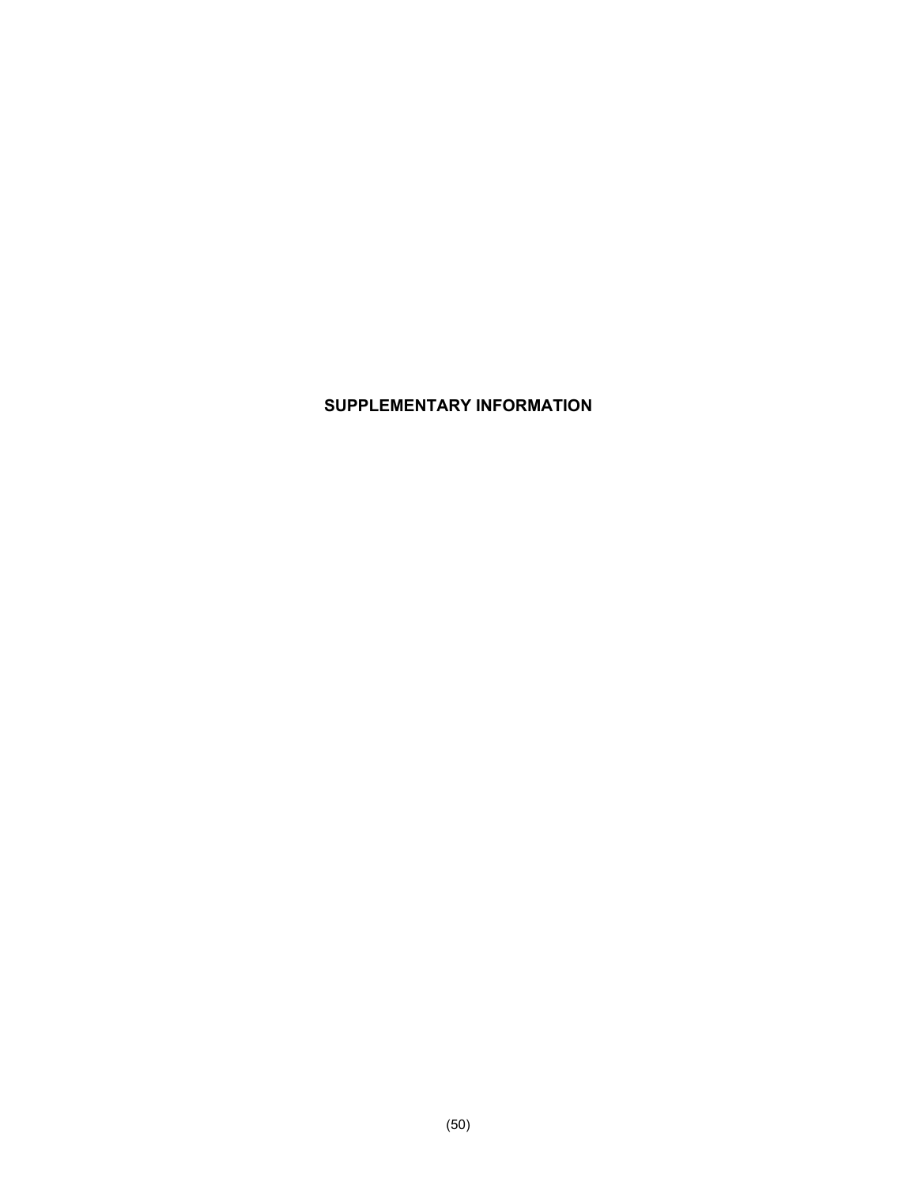# **SUPPLEMENTARY INFORMATION**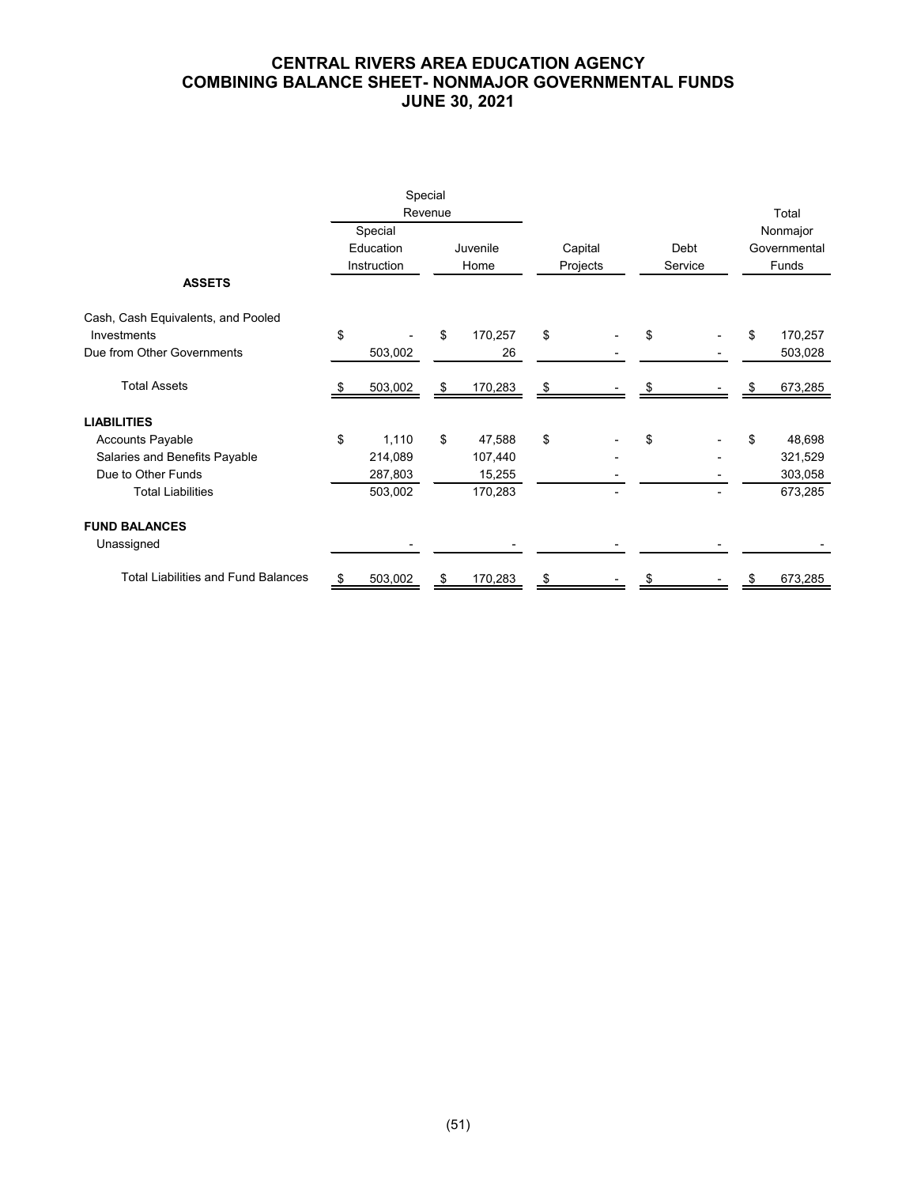# **CENTRAL RIVERS AREA EDUCATION AGENCY COMBINING BALANCE SHEET- NONMAJOR GOVERNMENTAL FUNDS JUNE 30, 2021**

|                                            | Special     |         |          |          |         |              |          |  |
|--------------------------------------------|-------------|---------|----------|----------|---------|--------------|----------|--|
|                                            |             | Revenue |          |          |         |              | Total    |  |
|                                            | Special     |         |          |          |         |              | Nonmajor |  |
|                                            | Education   |         | Juvenile | Capital  | Debt    | Governmental |          |  |
|                                            | Instruction |         | Home     | Projects | Service | Funds        |          |  |
| <b>ASSETS</b>                              |             |         |          |          |         |              |          |  |
| Cash, Cash Equivalents, and Pooled         |             |         |          |          |         |              |          |  |
| Investments                                | \$          | \$      | 170,257  | \$       | \$      | \$           | 170,257  |  |
| Due from Other Governments                 | 503,002     |         | 26       |          |         |              | 503,028  |  |
| <b>Total Assets</b>                        | 503,002     | \$      | 170,283  | \$       |         |              | 673,285  |  |
| <b>LIABILITIES</b>                         |             |         |          |          |         |              |          |  |
| <b>Accounts Payable</b>                    | \$<br>1,110 | \$      | 47,588   | \$       | \$      | \$           | 48,698   |  |
| Salaries and Benefits Payable              | 214,089     |         | 107,440  |          |         |              | 321,529  |  |
| Due to Other Funds                         | 287,803     |         | 15,255   |          |         |              | 303,058  |  |
| <b>Total Liabilities</b>                   | 503,002     |         | 170,283  |          |         |              | 673,285  |  |
| <b>FUND BALANCES</b>                       |             |         |          |          |         |              |          |  |
| Unassigned                                 |             |         |          |          |         |              |          |  |
| <b>Total Liabilities and Fund Balances</b> | 503,002     | \$      | 170,283  |          |         |              | 673,285  |  |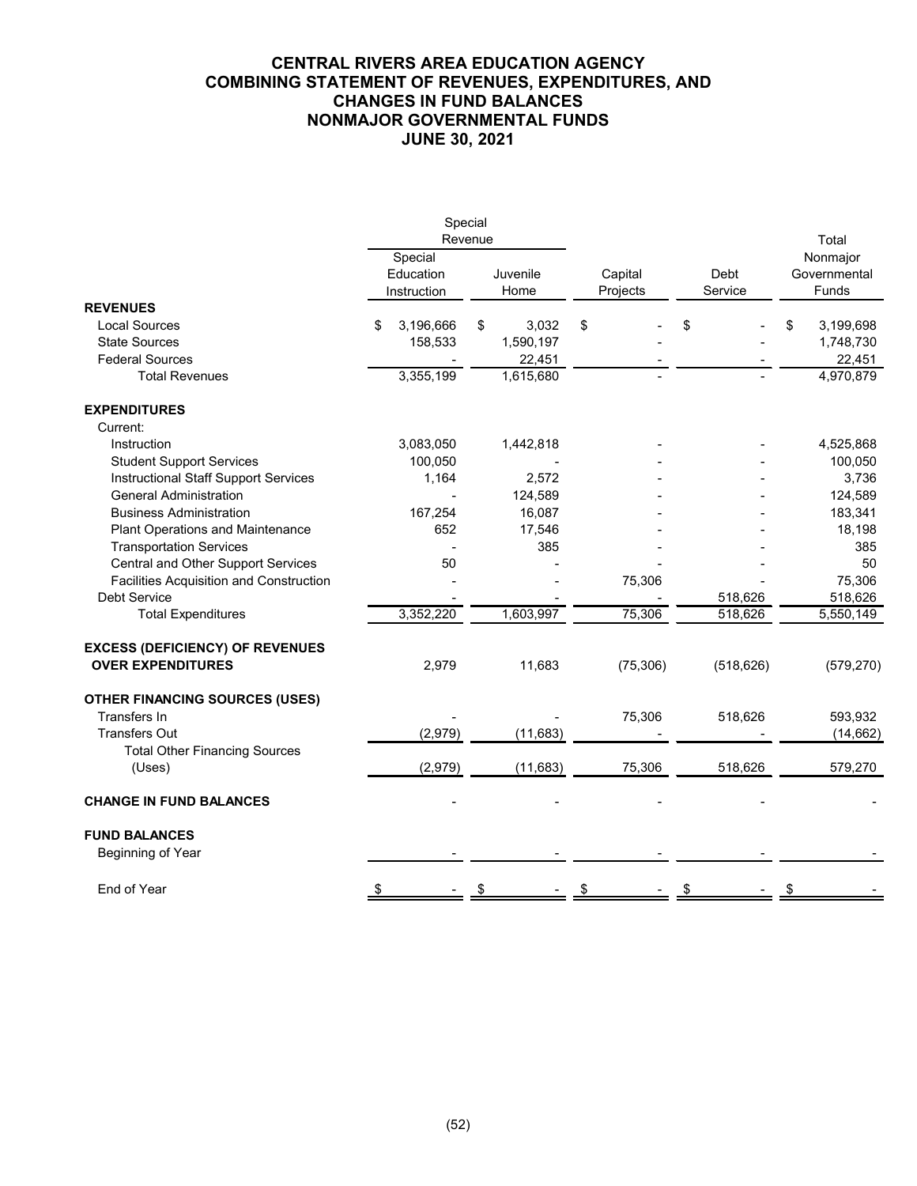# **CENTRAL RIVERS AREA EDUCATION AGENCY COMBINING STATEMENT OF REVENUES, EXPENDITURES, AND CHANGES IN FUND BALANCES NONMAJOR GOVERNMENTAL FUNDS JUNE 30, 2021**

|                                                                    | Special                             | Revenue          |                     |                        | Total                             |
|--------------------------------------------------------------------|-------------------------------------|------------------|---------------------|------------------------|-----------------------------------|
|                                                                    | Special<br>Education<br>Instruction | Juvenile<br>Home | Capital<br>Projects | <b>Debt</b><br>Service | Nonmajor<br>Governmental<br>Funds |
| <b>REVENUES</b>                                                    |                                     |                  |                     |                        |                                   |
| <b>Local Sources</b>                                               | 3,196,666<br>\$                     | \$<br>3,032      | \$                  | \$                     | \$<br>3,199,698                   |
| <b>State Sources</b>                                               | 158,533                             | 1,590,197        |                     |                        | 1,748,730                         |
| <b>Federal Sources</b>                                             |                                     | 22,451           |                     |                        | 22,451                            |
| <b>Total Revenues</b>                                              | 3,355,199                           | 1,615,680        |                     |                        | 4,970,879                         |
| <b>EXPENDITURES</b>                                                |                                     |                  |                     |                        |                                   |
| Current:                                                           |                                     |                  |                     |                        |                                   |
| Instruction                                                        | 3,083,050                           | 1,442,818        |                     |                        | 4,525,868                         |
| <b>Student Support Services</b>                                    | 100,050                             |                  |                     |                        | 100,050                           |
| <b>Instructional Staff Support Services</b>                        | 1,164                               | 2,572            |                     |                        | 3,736                             |
| <b>General Administration</b>                                      |                                     | 124,589          |                     |                        | 124,589                           |
| <b>Business Administration</b>                                     | 167,254                             | 16,087           |                     |                        | 183,341                           |
| Plant Operations and Maintenance                                   | 652                                 | 17,546           |                     |                        | 18,198                            |
| <b>Transportation Services</b>                                     |                                     | 385              |                     |                        | 385                               |
| Central and Other Support Services                                 | 50                                  |                  |                     |                        | 50                                |
| Facilities Acquisition and Construction                            |                                     |                  | 75,306              |                        | 75,306                            |
| Debt Service                                                       |                                     |                  |                     | 518,626                | 518,626                           |
| <b>Total Expenditures</b>                                          | 3,352,220                           | 1,603,997        | 75,306              | 518,626                | 5,550,149                         |
| <b>EXCESS (DEFICIENCY) OF REVENUES</b><br><b>OVER EXPENDITURES</b> |                                     |                  |                     |                        |                                   |
|                                                                    | 2,979                               | 11,683           | (75, 306)           | (518, 626)             | (579, 270)                        |
| <b>OTHER FINANCING SOURCES (USES)</b>                              |                                     |                  |                     |                        |                                   |
| Transfers In                                                       |                                     |                  | 75,306              | 518,626                | 593,932                           |
| <b>Transfers Out</b>                                               | (2,979)                             | (11,683)         |                     |                        | (14, 662)                         |
| <b>Total Other Financing Sources</b>                               |                                     |                  |                     |                        |                                   |
| (Uses)                                                             | (2,979)                             | (11, 683)        | 75,306              | 518,626                | 579,270                           |
| <b>CHANGE IN FUND BALANCES</b>                                     |                                     |                  |                     |                        |                                   |
| <b>FUND BALANCES</b><br>Beginning of Year                          |                                     |                  |                     |                        |                                   |
| End of Year                                                        |                                     |                  |                     |                        |                                   |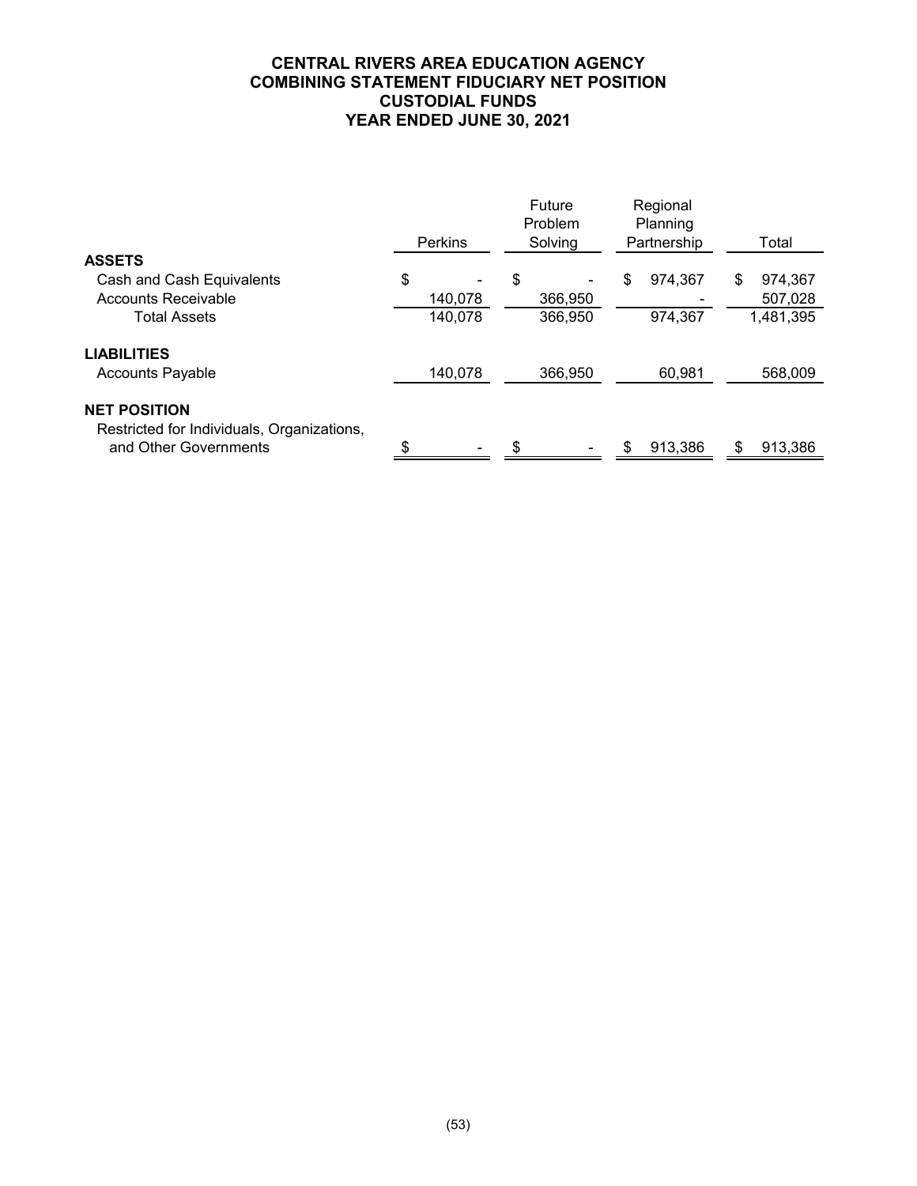# **CENTRAL RIVERS AREA EDUCATION AGENCY COMBINING STATEMENT FIDUCIARY NET POSITION CUSTODIAL FUNDS YEAR ENDED JUNE 30, 2021**

|                                                                   | <b>Perkins</b> |     | Future<br>Problem<br>Solving |     | Regional<br>Planning<br>Partnership |     | Total     |
|-------------------------------------------------------------------|----------------|-----|------------------------------|-----|-------------------------------------|-----|-----------|
| <b>ASSETS</b>                                                     |                |     |                              |     |                                     |     |           |
| Cash and Cash Equivalents                                         | \$             | \$  |                              | \$  | 974.367                             | \$  | 974,367   |
| <b>Accounts Receivable</b>                                        | 140,078        |     | 366,950                      |     |                                     |     | 507,028   |
| <b>Total Assets</b>                                               | 140,078        |     | 366,950                      |     | 974,367                             |     | 1,481,395 |
| <b>LIABILITIES</b>                                                |                |     |                              |     |                                     |     |           |
| <b>Accounts Payable</b>                                           | 140,078        |     | 366,950                      |     | 60,981                              |     | 568,009   |
| <b>NET POSITION</b><br>Restricted for Individuals, Organizations, |                |     |                              |     |                                     |     |           |
| and Other Governments                                             | \$             | \$. |                              | \$. | 913,386                             | \$. | 913,386   |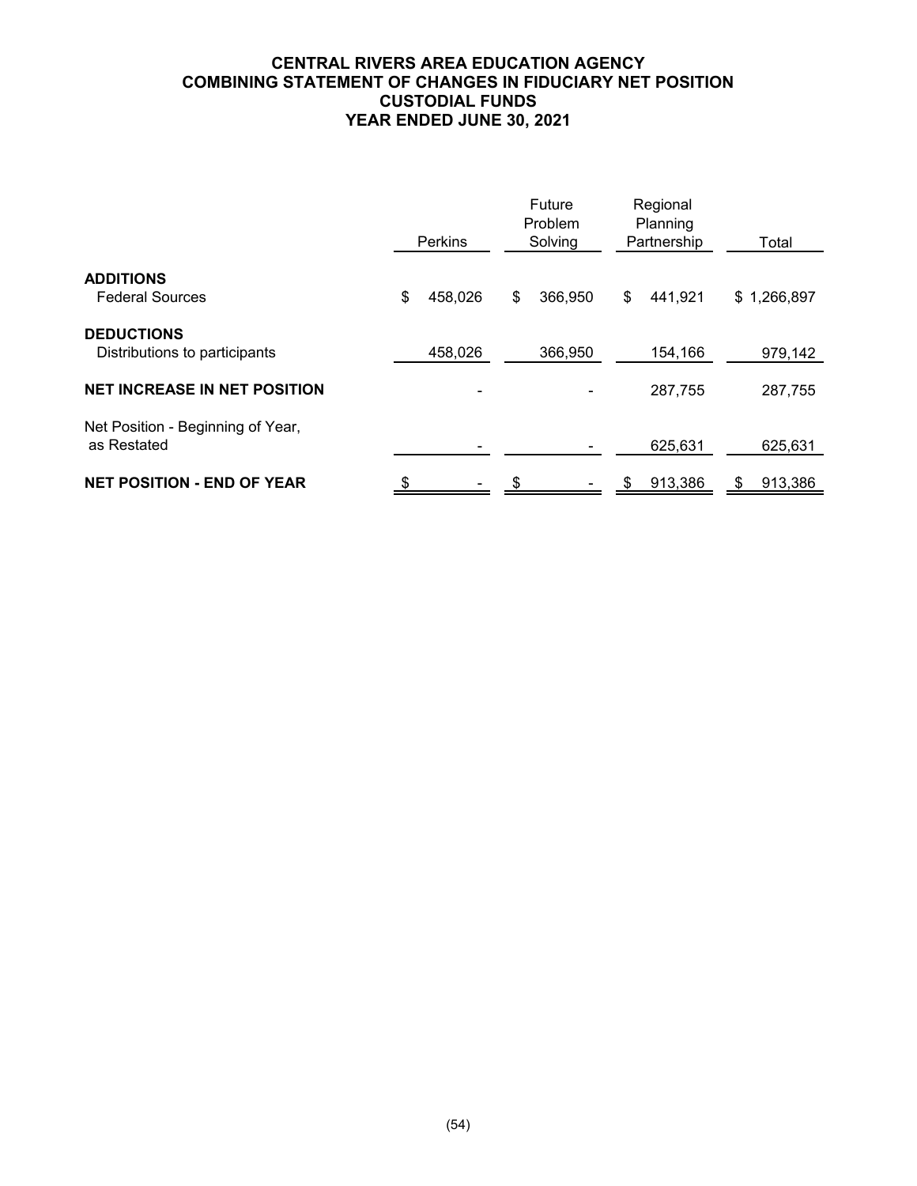# **CENTRAL RIVERS AREA EDUCATION AGENCY COMBINING STATEMENT OF CHANGES IN FIDUCIARY NET POSITION CUSTODIAL FUNDS YEAR ENDED JUNE 30, 2021**

|                                                    | <b>Perkins</b> |         | Future<br>Problem<br>Solving |    | Regional<br>Planning<br>Partnership | Total |             |  |
|----------------------------------------------------|----------------|---------|------------------------------|----|-------------------------------------|-------|-------------|--|
| <b>ADDITIONS</b><br><b>Federal Sources</b>         | \$             | 458,026 | \$<br>366,950                | \$ | 441,921                             |       | \$1,266,897 |  |
| <b>DEDUCTIONS</b><br>Distributions to participants |                | 458,026 | 366,950                      |    | 154,166                             |       | 979,142     |  |
| <b>NET INCREASE IN NET POSITION</b>                |                |         |                              |    | 287,755                             |       | 287,755     |  |
| Net Position - Beginning of Year,<br>as Restated   |                |         |                              |    | 625,631                             |       | 625,631     |  |
| <b>NET POSITION - END OF YEAR</b>                  | \$             |         |                              | S  | 913,386                             | \$    | 913,386     |  |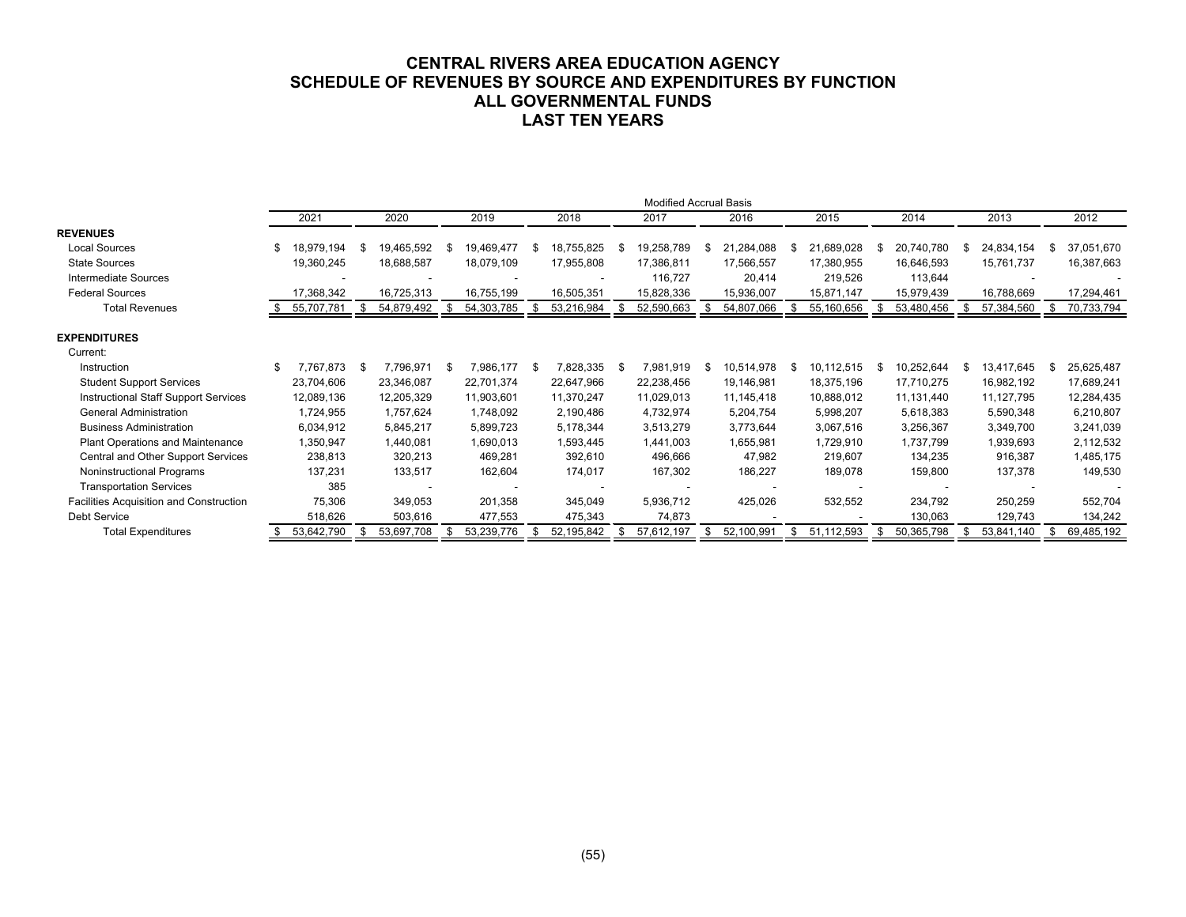# **CENTRAL RIVERS AREA EDUCATION AGENCY SCHEDULE OF REVENUES BY SOURCE AND EXPENDITURES BY FUNCTION ALL GOVERNMENTAL FUNDS LAST TEN YEARS**

|                                                | <b>Modified Accrual Basis</b> |            |      |            |      |            |      |            |      |            |      |            |      |            |   |            |   |            |      |            |
|------------------------------------------------|-------------------------------|------------|------|------------|------|------------|------|------------|------|------------|------|------------|------|------------|---|------------|---|------------|------|------------|
|                                                |                               | 2021       |      | 2020       |      | 2019       |      | 2018       |      | 2017       |      | 2016       |      | 2015       |   | 2014       |   | 2013       |      | 2012       |
| <b>REVENUES</b>                                |                               |            |      |            |      |            |      |            |      |            |      |            |      |            |   |            |   |            |      |            |
| <b>Local Sources</b>                           |                               | 18,979,194 | \$   | 19,465,592 | - \$ | 19,469,477 | \$   | 18,755,825 | \$   | 19,258,789 | S    | 21,284,088 | - \$ | 21,689,028 | S | 20,740,780 | S | 24,834,154 | - \$ | 37,051,670 |
| <b>State Sources</b>                           |                               | 19,360,245 |      | 18,688,587 |      | 18,079,109 |      | 17,955,808 |      | 17,386,811 |      | 17,566,557 |      | 17,380,955 |   | 16,646,593 |   | 15,761,737 |      | 16,387,663 |
| Intermediate Sources                           |                               |            |      |            |      |            |      |            |      | 116,727    |      | 20,414     |      | 219,526    |   | 113,644    |   |            |      |            |
| <b>Federal Sources</b>                         |                               | 17,368,342 |      | 16,725,313 |      | 16,755,199 |      | 16,505,351 |      | 15,828,336 |      | 15,936,007 |      | 15,871,147 |   | 15,979,439 |   | 16,788,669 |      | 17,294,461 |
| <b>Total Revenues</b>                          |                               | 55,707,781 | \$   | 54,879,492 |      | 54,303,785 |      | 53,216,984 |      | 52,590,663 |      | 54,807,066 |      | 55,160,656 |   | 53,480,456 |   | 57,384,560 |      | 70,733,794 |
|                                                |                               |            |      |            |      |            |      |            |      |            |      |            |      |            |   |            |   |            |      |            |
| <b>EXPENDITURES</b>                            |                               |            |      |            |      |            |      |            |      |            |      |            |      |            |   |            |   |            |      |            |
| Current:                                       |                               |            |      |            |      |            |      |            |      |            |      |            |      |            |   |            |   |            |      |            |
| Instruction                                    |                               | 7,767,873  | - \$ | 7,796,971  | - \$ | 7,986,177  | - \$ | 7,828,335  | - \$ | 7,981,919  | - \$ | 10,514,978 | \$   | 10,112,515 |   | 10,252,644 |   | 13,417,645 |      | 25,625,487 |
| <b>Student Support Services</b>                |                               | 23,704,606 |      | 23,346,087 |      | 22,701,374 |      | 22,647,966 |      | 22,238,456 |      | 19,146,981 |      | 18,375,196 |   | 17,710,275 |   | 16,982,192 |      | 17,689,241 |
| Instructional Staff Support Services           |                               | 12,089,136 |      | 12,205,329 |      | 11,903,601 |      | 11,370,247 |      | 11,029,013 |      | 11,145,418 |      | 10,888,012 |   | 11,131,440 |   | 11,127,795 |      | 12,284,435 |
| <b>General Administration</b>                  |                               | 1,724,955  |      | 1,757,624  |      | 1,748,092  |      | 2,190,486  |      | 4,732,974  |      | 5,204,754  |      | 5,998,207  |   | 5,618,383  |   | 5,590,348  |      | 6,210,807  |
| <b>Business Administration</b>                 |                               | 6,034,912  |      | 5,845,217  |      | 5,899,723  |      | 5,178,344  |      | 3,513,279  |      | 3,773,644  |      | 3,067,516  |   | 3,256,367  |   | 3,349,700  |      | 3,241,039  |
| <b>Plant Operations and Maintenance</b>        |                               | 1,350,947  |      | 1,440,081  |      | 1,690,013  |      | 1,593,445  |      | 1,441,003  |      | 1,655,981  |      | 1,729,910  |   | 1,737,799  |   | 1,939,693  |      | 2,112,532  |
| Central and Other Support Services             |                               | 238,813    |      | 320,213    |      | 469,281    |      | 392,610    |      | 496,666    |      | 47,982     |      | 219,607    |   | 134,235    |   | 916,387    |      | 1,485,175  |
| Noninstructional Programs                      |                               | 137,231    |      | 133,517    |      | 162,604    |      | 174,017    |      | 167,302    |      | 186,227    |      | 189,078    |   | 159,800    |   | 137,378    |      | 149,530    |
| <b>Transportation Services</b>                 |                               | 385        |      |            |      |            |      |            |      |            |      |            |      |            |   |            |   |            |      |            |
| <b>Facilities Acquisition and Construction</b> |                               | 75,306     |      | 349,053    |      | 201,358    |      | 345,049    |      | 5,936,712  |      | 425,026    |      | 532,552    |   | 234,792    |   | 250,259    |      | 552,704    |
| Debt Service                                   |                               | 518,626    |      | 503,616    |      | 477,553    |      | 475,343    |      | 74,873     |      |            |      |            |   | 130,063    |   | 129,743    |      | 134,242    |
| <b>Total Expenditures</b>                      |                               | 53,642,790 | -S   | 53,697,708 |      | 53,239,776 |      | 52,195,842 | -55  | 57,612,197 |      | 52,100,991 | \$   | 51,112,593 |   | 50,365,798 |   | 53,841,140 |      | 69,485,192 |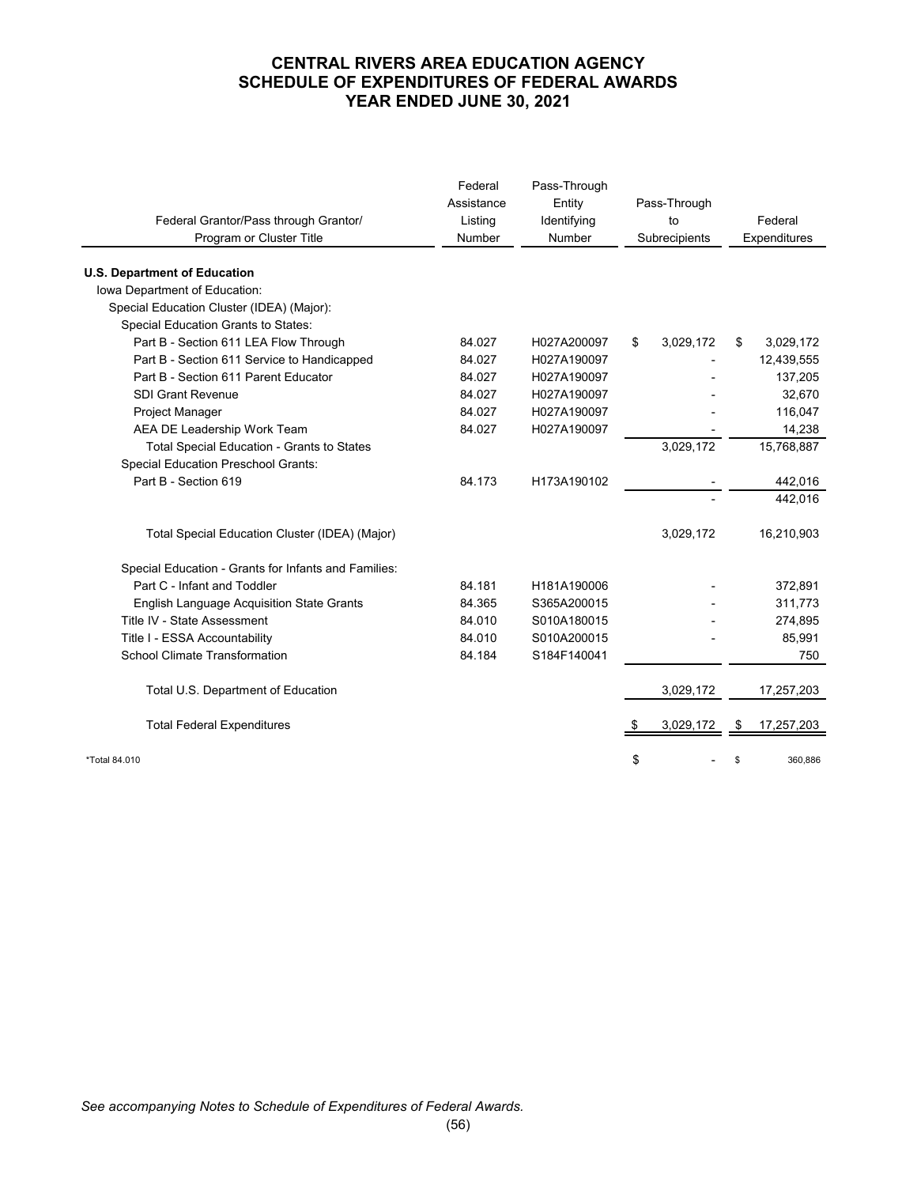# **CENTRAL RIVERS AREA EDUCATION AGENCY SCHEDULE OF EXPENDITURES OF FEDERAL AWARDS YEAR ENDED JUNE 30, 2021**

|                                                      | Federal<br>Assistance | Pass-Through<br>Entity | Pass-Through    |         |              |  |
|------------------------------------------------------|-----------------------|------------------------|-----------------|---------|--------------|--|
| Federal Grantor/Pass through Grantor/                | Listing               | Identifying            | to              | Federal |              |  |
| Program or Cluster Title                             | Number                | Number                 | Subrecipients   |         | Expenditures |  |
| <b>U.S. Department of Education</b>                  |                       |                        |                 |         |              |  |
| Iowa Department of Education:                        |                       |                        |                 |         |              |  |
| Special Education Cluster (IDEA) (Major):            |                       |                        |                 |         |              |  |
| Special Education Grants to States:                  |                       |                        |                 |         |              |  |
| Part B - Section 611 LEA Flow Through                | 84.027                | H027A200097            | \$<br>3,029,172 | \$      | 3,029,172    |  |
| Part B - Section 611 Service to Handicapped          | 84.027                | H027A190097            |                 |         | 12,439,555   |  |
| Part B - Section 611 Parent Educator                 | 84.027                | H027A190097            |                 |         | 137,205      |  |
| <b>SDI Grant Revenue</b>                             | 84.027                | H027A190097            |                 |         | 32,670       |  |
| <b>Project Manager</b>                               | 84.027                | H027A190097            |                 |         | 116,047      |  |
| AEA DE Leadership Work Team                          | 84.027                | H027A190097            |                 |         | 14,238       |  |
| <b>Total Special Education - Grants to States</b>    |                       |                        | 3,029,172       |         | 15,768,887   |  |
| <b>Special Education Preschool Grants:</b>           |                       |                        |                 |         |              |  |
| Part B - Section 619                                 | 84.173                | H173A190102            |                 |         | 442,016      |  |
|                                                      |                       |                        |                 |         | 442,016      |  |
| Total Special Education Cluster (IDEA) (Major)       |                       |                        | 3,029,172       |         | 16,210,903   |  |
| Special Education - Grants for Infants and Families: |                       |                        |                 |         |              |  |
| Part C - Infant and Toddler                          | 84.181                | H181A190006            |                 |         | 372,891      |  |
| <b>English Language Acquisition State Grants</b>     | 84.365                | S365A200015            |                 |         | 311,773      |  |
| Title IV - State Assessment                          | 84.010                | S010A180015            |                 |         | 274,895      |  |
| Title I - ESSA Accountability                        | 84.010                | S010A200015            |                 |         | 85,991       |  |
| School Climate Transformation                        | 84.184                | S184F140041            |                 |         | 750          |  |
| Total U.S. Department of Education                   |                       |                        | 3,029,172       |         | 17,257,203   |  |
| <b>Total Federal Expenditures</b>                    |                       |                        | 3,029,172       | \$      | 17,257,203   |  |
| *Total 84.010                                        |                       |                        | \$              | \$      | 360,886      |  |

*See accompanying Notes to Schedule of Expenditures of Federal Awards.*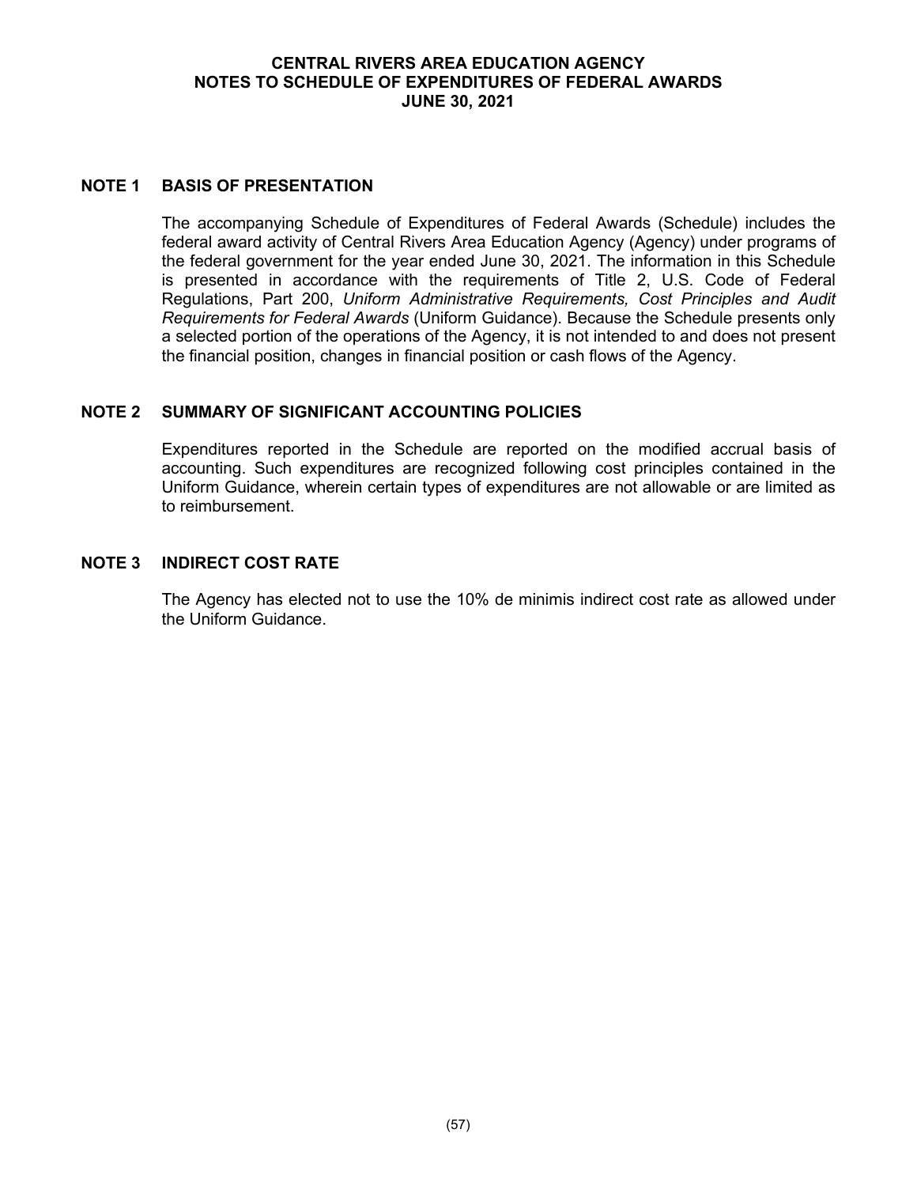# **CENTRAL RIVERS AREA EDUCATION AGENCY NOTES TO SCHEDULE OF EXPENDITURES OF FEDERAL AWARDS JUNE 30, 2021**

#### **NOTE 1 BASIS OF PRESENTATION**

The accompanying Schedule of Expenditures of Federal Awards (Schedule) includes the federal award activity of Central Rivers Area Education Agency (Agency) under programs of the federal government for the year ended June 30, 2021. The information in this Schedule is presented in accordance with the requirements of Title 2, U.S. Code of Federal Regulations, Part 200, *Uniform Administrative Requirements, Cost Principles and Audit Requirements for Federal Awards* (Uniform Guidance). Because the Schedule presents only a selected portion of the operations of the Agency, it is not intended to and does not present the financial position, changes in financial position or cash flows of the Agency.

# **NOTE 2 SUMMARY OF SIGNIFICANT ACCOUNTING POLICIES**

Expenditures reported in the Schedule are reported on the modified accrual basis of accounting. Such expenditures are recognized following cost principles contained in the Uniform Guidance, wherein certain types of expenditures are not allowable or are limited as to reimbursement.

# **NOTE 3 INDIRECT COST RATE**

The Agency has elected not to use the 10% de minimis indirect cost rate as allowed under the Uniform Guidance.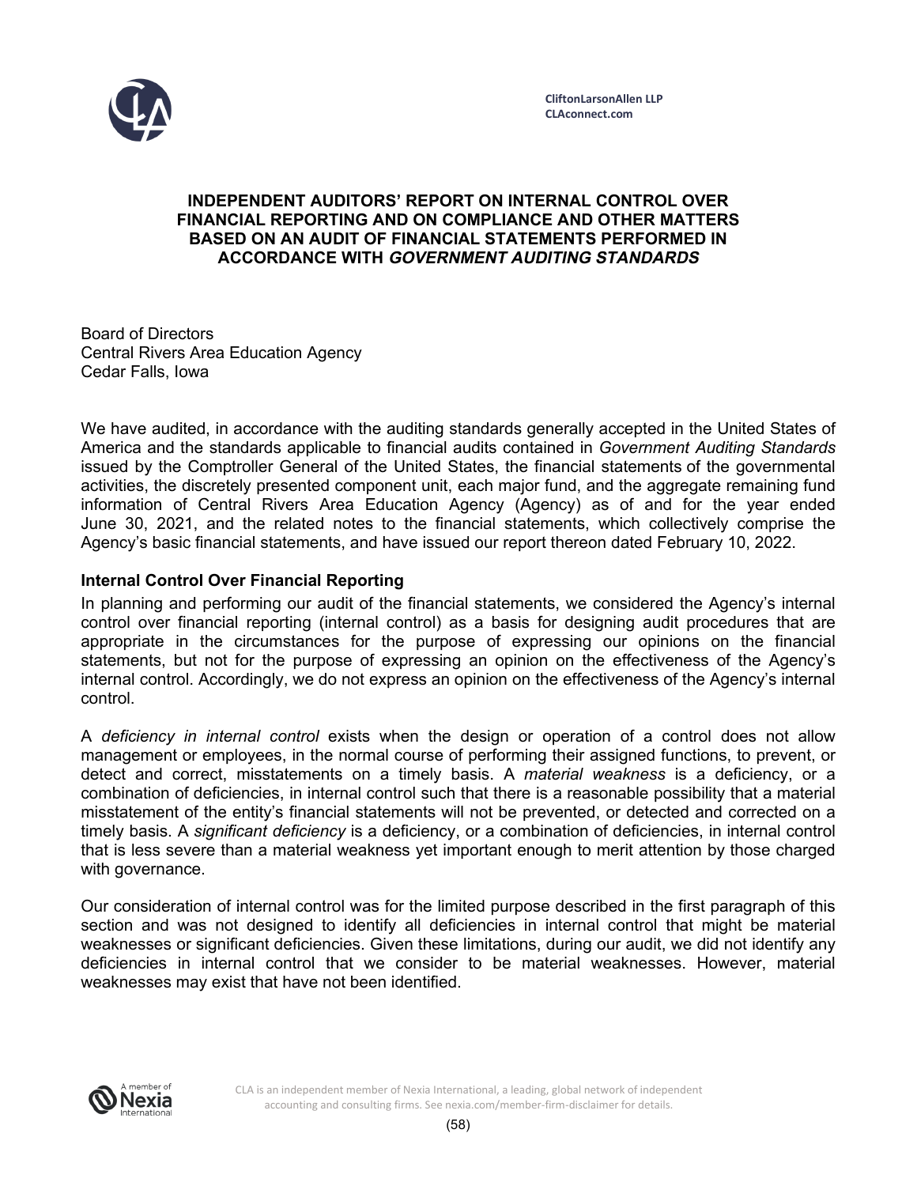

### **INDEPENDENT AUDITORS' REPORT ON INTERNAL CONTROL OVER FINANCIAL REPORTING AND ON COMPLIANCE AND OTHER MATTERS BASED ON AN AUDIT OF FINANCIAL STATEMENTS PERFORMED IN ACCORDANCE WITH GOVERNMENT AUDITING STANDARDS**

Board of Directors Central Rivers Area Education Agency Cedar Falls, Iowa

We have audited, in accordance with the auditing standards generally accepted in the United States of America and the standards applicable to financial audits contained in *Government Auditing Standards* issued by the Comptroller General of the United States, the financial statements of the governmental activities, the discretely presented component unit, each major fund, and the aggregate remaining fund information of Central Rivers Area Education Agency (Agency) as of and for the year ended June 30, 2021, and the related notes to the financial statements, which collectively comprise the Agency's basic financial statements, and have issued our report thereon dated February 10, 2022.

# **Internal Control Over Financial Reporting**

In planning and performing our audit of the financial statements, we considered the Agency's internal control over financial reporting (internal control) as a basis for designing audit procedures that are appropriate in the circumstances for the purpose of expressing our opinions on the financial statements, but not for the purpose of expressing an opinion on the effectiveness of the Agency's internal control. Accordingly, we do not express an opinion on the effectiveness of the Agency's internal control.

A *deficiency in internal control* exists when the design or operation of a control does not allow management or employees, in the normal course of performing their assigned functions, to prevent, or detect and correct, misstatements on a timely basis. A *material weakness* is a deficiency, or a combination of deficiencies, in internal control such that there is a reasonable possibility that a material misstatement of the entity's financial statements will not be prevented, or detected and corrected on a timely basis. A *significant deficiency* is a deficiency, or a combination of deficiencies, in internal control that is less severe than a material weakness yet important enough to merit attention by those charged with governance.

Our consideration of internal control was for the limited purpose described in the first paragraph of this section and was not designed to identify all deficiencies in internal control that might be material weaknesses or significant deficiencies. Given these limitations, during our audit, we did not identify any deficiencies in internal control that we consider to be material weaknesses. However, material weaknesses may exist that have not been identified.

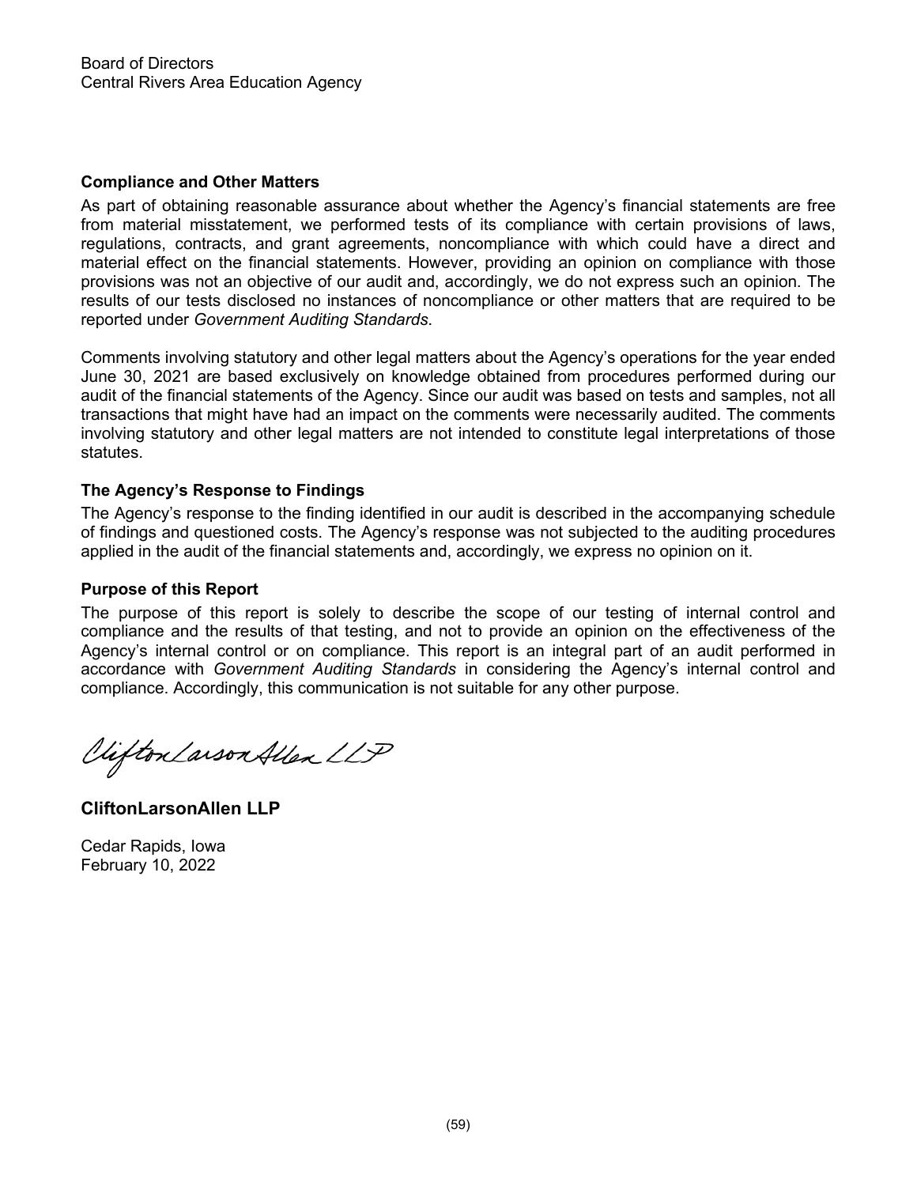#### **Compliance and Other Matters**

As part of obtaining reasonable assurance about whether the Agency's financial statements are free from material misstatement, we performed tests of its compliance with certain provisions of laws, regulations, contracts, and grant agreements, noncompliance with which could have a direct and material effect on the financial statements. However, providing an opinion on compliance with those provisions was not an objective of our audit and, accordingly, we do not express such an opinion. The results of our tests disclosed no instances of noncompliance or other matters that are required to be reported under *Government Auditing Standards*.

Comments involving statutory and other legal matters about the Agency's operations for the year ended June 30, 2021 are based exclusively on knowledge obtained from procedures performed during our audit of the financial statements of the Agency. Since our audit was based on tests and samples, not all transactions that might have had an impact on the comments were necessarily audited. The comments involving statutory and other legal matters are not intended to constitute legal interpretations of those statutes.

#### **The Agency's Response to Findings**

The Agency's response to the finding identified in our audit is described in the accompanying schedule of findings and questioned costs. The Agency's response was not subjected to the auditing procedures applied in the audit of the financial statements and, accordingly, we express no opinion on it.

#### **Purpose of this Report**

The purpose of this report is solely to describe the scope of our testing of internal control and compliance and the results of that testing, and not to provide an opinion on the effectiveness of the Agency's internal control or on compliance. This report is an integral part of an audit performed in accordance with *Government Auditing Standards* in considering the Agency's internal control and compliance. Accordingly, this communication is not suitable for any other purpose.

Viifton Larson Allen LLP

**CliftonLarsonAllen LLP**

Cedar Rapids, Iowa February 10, 2022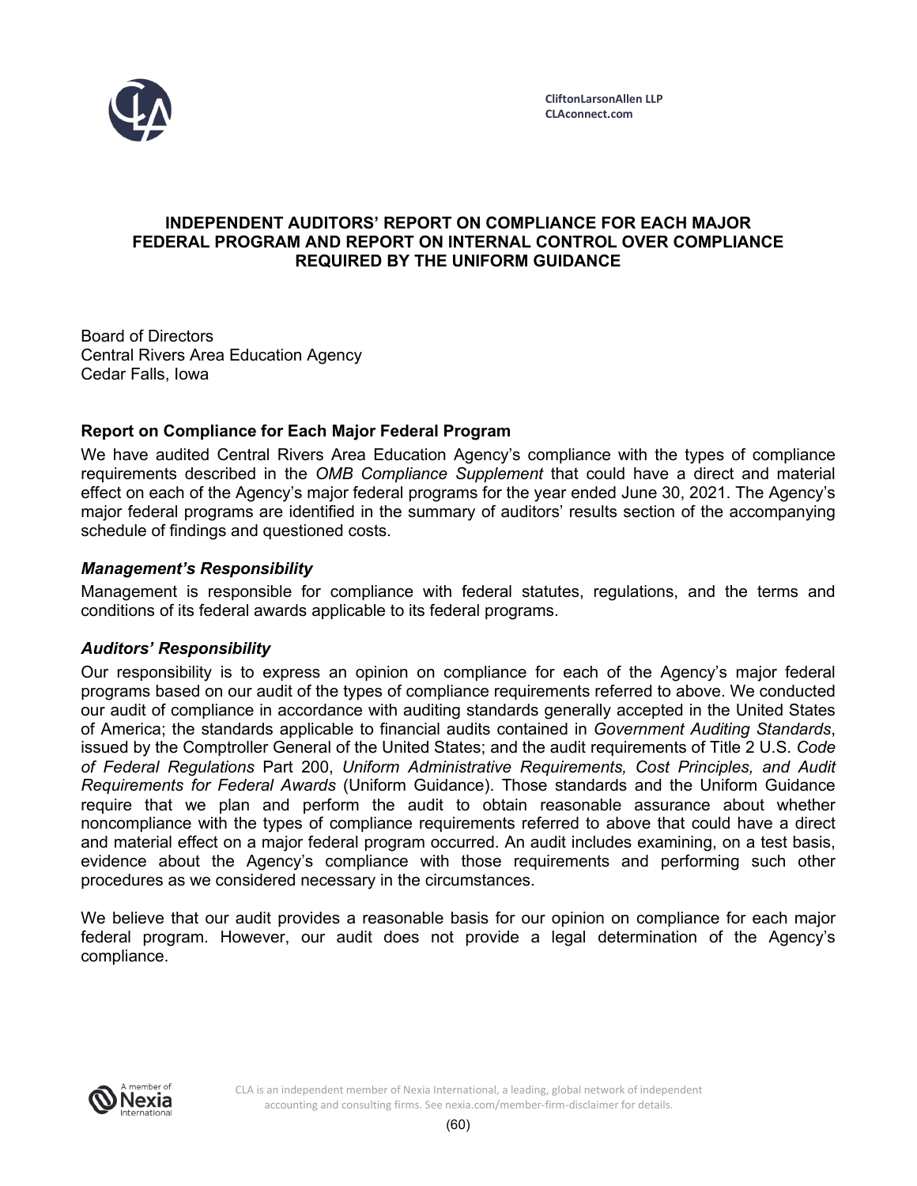

# **INDEPENDENT AUDITORS' REPORT ON COMPLIANCE FOR EACH MAJOR FEDERAL PROGRAM AND REPORT ON INTERNAL CONTROL OVER COMPLIANCE REQUIRED BY THE UNIFORM GUIDANCE**

Board of Directors Central Rivers Area Education Agency Cedar Falls, Iowa

# **Report on Compliance for Each Major Federal Program**

We have audited Central Rivers Area Education Agency's compliance with the types of compliance requirements described in the *OMB Compliance Supplement* that could have a direct and material effect on each of the Agency's major federal programs for the year ended June 30, 2021. The Agency's major federal programs are identified in the summary of auditors' results section of the accompanying schedule of findings and questioned costs.

# *Management's Responsibility*

Management is responsible for compliance with federal statutes, regulations, and the terms and conditions of its federal awards applicable to its federal programs.

#### *Auditors' Responsibility*

Our responsibility is to express an opinion on compliance for each of the Agency's major federal programs based on our audit of the types of compliance requirements referred to above. We conducted our audit of compliance in accordance with auditing standards generally accepted in the United States of America; the standards applicable to financial audits contained in *Government Auditing Standards*, issued by the Comptroller General of the United States; and the audit requirements of Title 2 U.S. *Code of Federal Regulations* Part 200, *Uniform Administrative Requirements, Cost Principles, and Audit Requirements for Federal Awards* (Uniform Guidance). Those standards and the Uniform Guidance require that we plan and perform the audit to obtain reasonable assurance about whether noncompliance with the types of compliance requirements referred to above that could have a direct and material effect on a major federal program occurred. An audit includes examining, on a test basis, evidence about the Agency's compliance with those requirements and performing such other procedures as we considered necessary in the circumstances.

We believe that our audit provides a reasonable basis for our opinion on compliance for each major federal program. However, our audit does not provide a legal determination of the Agency's compliance.

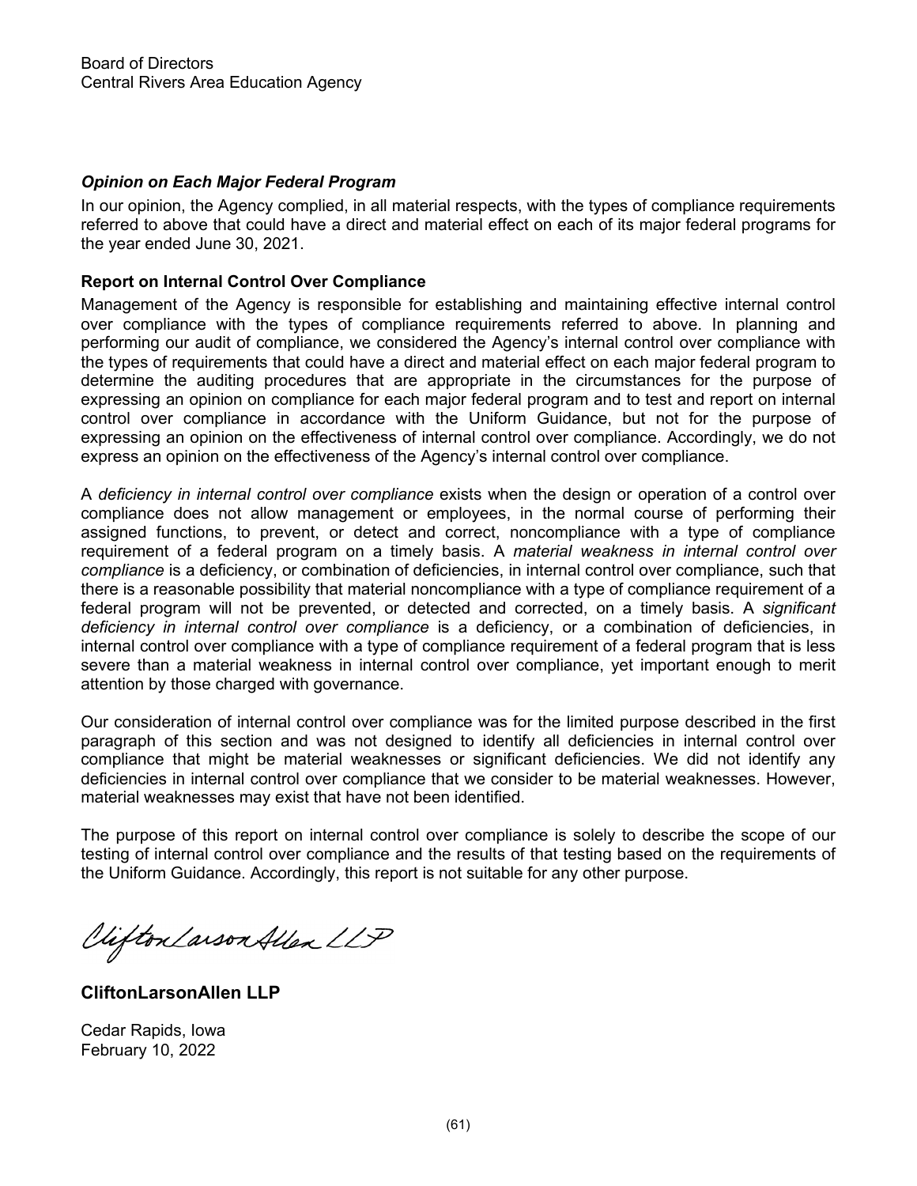#### *Opinion on Each Major Federal Program*

In our opinion, the Agency complied, in all material respects, with the types of compliance requirements referred to above that could have a direct and material effect on each of its major federal programs for the year ended June 30, 2021.

#### **Report on Internal Control Over Compliance**

Management of the Agency is responsible for establishing and maintaining effective internal control over compliance with the types of compliance requirements referred to above. In planning and performing our audit of compliance, we considered the Agency's internal control over compliance with the types of requirements that could have a direct and material effect on each major federal program to determine the auditing procedures that are appropriate in the circumstances for the purpose of expressing an opinion on compliance for each major federal program and to test and report on internal control over compliance in accordance with the Uniform Guidance, but not for the purpose of expressing an opinion on the effectiveness of internal control over compliance. Accordingly, we do not express an opinion on the effectiveness of the Agency's internal control over compliance.

A *deficiency in internal control over compliance* exists when the design or operation of a control over compliance does not allow management or employees, in the normal course of performing their assigned functions, to prevent, or detect and correct, noncompliance with a type of compliance requirement of a federal program on a timely basis. A *material weakness in internal control over compliance* is a deficiency, or combination of deficiencies, in internal control over compliance, such that there is a reasonable possibility that material noncompliance with a type of compliance requirement of a federal program will not be prevented, or detected and corrected, on a timely basis. A *significant deficiency in internal control over compliance* is a deficiency, or a combination of deficiencies, in internal control over compliance with a type of compliance requirement of a federal program that is less severe than a material weakness in internal control over compliance, yet important enough to merit attention by those charged with governance.

Our consideration of internal control over compliance was for the limited purpose described in the first paragraph of this section and was not designed to identify all deficiencies in internal control over compliance that might be material weaknesses or significant deficiencies. We did not identify any deficiencies in internal control over compliance that we consider to be material weaknesses. However, material weaknesses may exist that have not been identified.

The purpose of this report on internal control over compliance is solely to describe the scope of our testing of internal control over compliance and the results of that testing based on the requirements of the Uniform Guidance. Accordingly, this report is not suitable for any other purpose.

Viifton Larson Allen LLP

**CliftonLarsonAllen LLP**

Cedar Rapids, Iowa February 10, 2022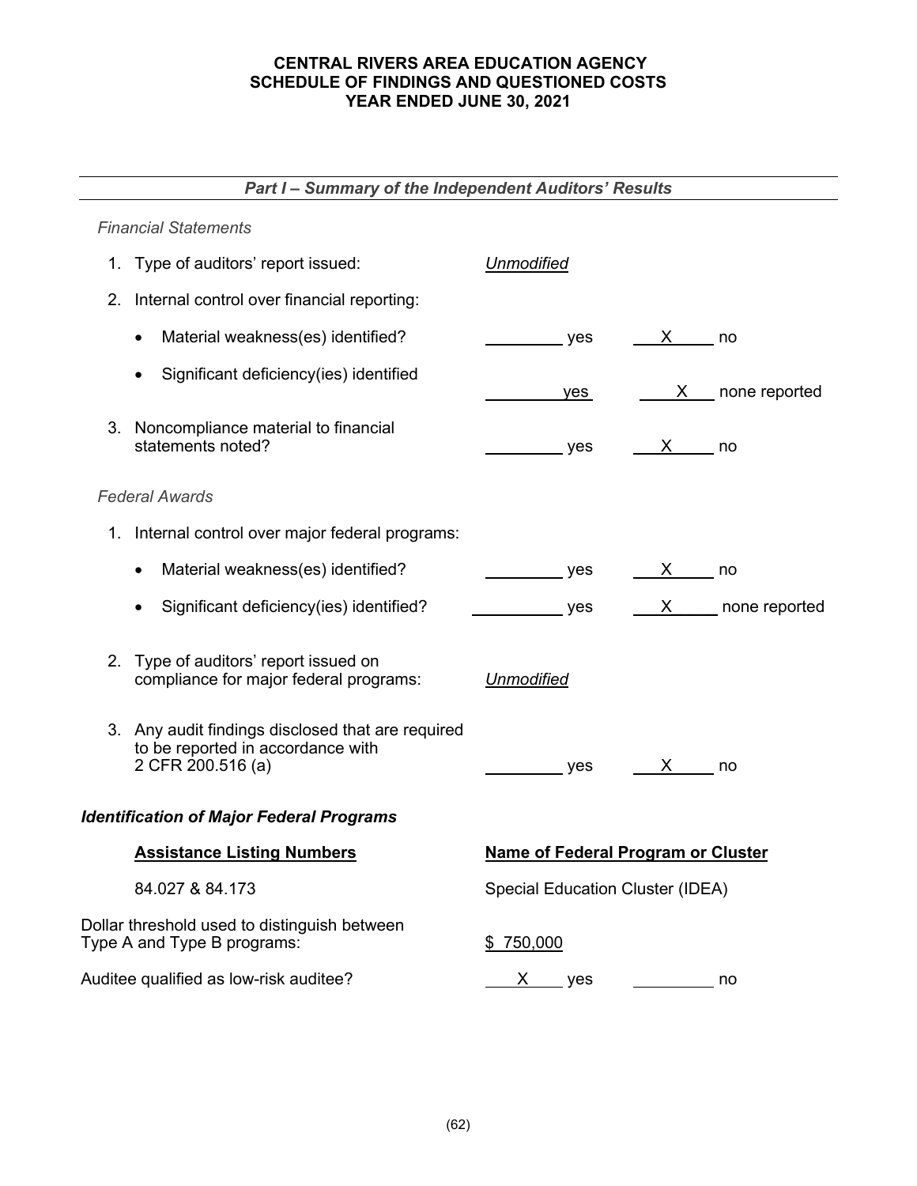# **CENTRAL RIVERS AREA EDUCATION AGENCY SCHEDULE OF FINDINGS AND QUESTIONED COSTS YEAR ENDED JUNE 30, 2021**

# *Part I – Summary of the Independent Auditors' Results*

# *Financial Statements*

|    | 1. Type of auditors' report issued:                                                                         | <b>Unmodified</b>                                                 |
|----|-------------------------------------------------------------------------------------------------------------|-------------------------------------------------------------------|
| 2. | Internal control over financial reporting:                                                                  |                                                                   |
|    | Material weakness(es) identified?<br>$\bullet$                                                              | $X \qquad \qquad$ no<br>yes                                       |
|    | Significant deficiency(ies) identified<br>$\bullet$                                                         | $X$ none reported<br>yes                                          |
|    | 3. Noncompliance material to financial<br>statements noted?                                                 | $X$ no<br>yes                                                     |
|    | <b>Federal Awards</b>                                                                                       |                                                                   |
|    | 1. Internal control over major federal programs:                                                            |                                                                   |
|    | Material weakness(es) identified?<br>$\bullet$                                                              | $\rule{1em}{0.15mm}$ yes<br>$\frac{\mathsf{X}}{\mathsf{X}}$<br>no |
|    | Significant deficiency(ies) identified?<br>$\bullet$                                                        | X _____ none reported<br>$\rule{1em}{0.15mm}$ yes                 |
|    | 2. Type of auditors' report issued on<br>compliance for major federal programs:                             | <b>Unmodified</b>                                                 |
|    | 3. Any audit findings disclosed that are required<br>to be reported in accordance with<br>2 CFR 200.516 (a) | X no<br>$_y$ yes                                                  |
|    | <b>Identification of Major Federal Programs</b>                                                             |                                                                   |
|    | <b>Assistance Listing Numbers</b>                                                                           | <b>Name of Federal Program or Cluster</b>                         |
|    | 84.027 & 84.173                                                                                             | <b>Special Education Cluster (IDEA)</b>                           |
|    | Dollar threshold used to distinguish between<br>Type A and Type B programs:                                 | \$750,000                                                         |
|    | Auditee qualified as low-risk auditee?                                                                      | $X \sim$<br>yes<br>no                                             |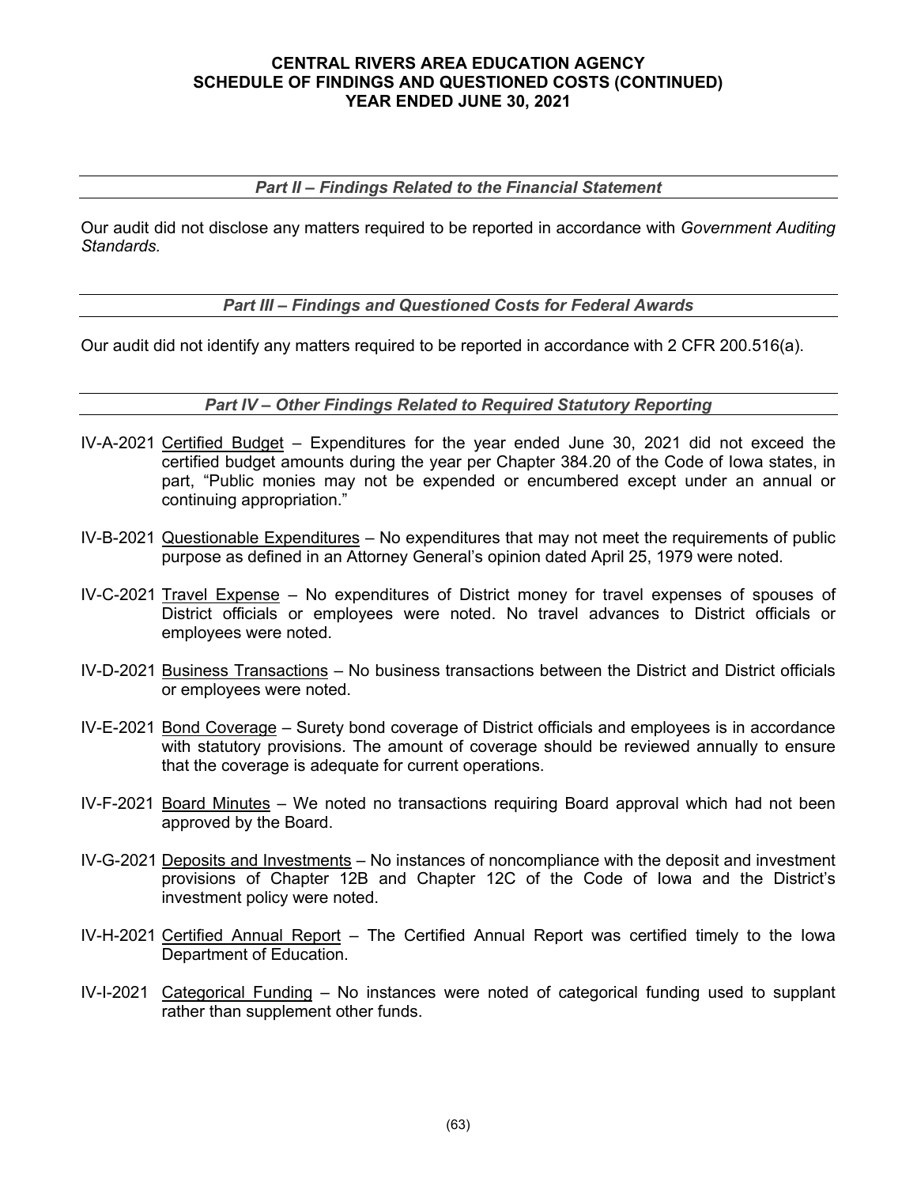#### **CENTRAL RIVERS AREA EDUCATION AGENCY SCHEDULE OF FINDINGS AND QUESTIONED COSTS (CONTINUED) YEAR ENDED JUNE 30, 2021**

#### *Part II – Findings Related to the Financial Statement*

Our audit did not disclose any matters required to be reported in accordance with *Government Auditing Standards.*

*Part III – Findings and Questioned Costs for Federal Awards*

Our audit did not identify any matters required to be reported in accordance with 2 CFR 200.516(a).

#### *Part IV – Other Findings Related to Required Statutory Reporting*

- IV-A-2021 Certified Budget Expenditures for the year ended June 30, 2021 did not exceed the certified budget amounts during the year per Chapter 384.20 of the Code of Iowa states, in part, "Public monies may not be expended or encumbered except under an annual or continuing appropriation."
- IV-B-2021 Questionable Expenditures No expenditures that may not meet the requirements of public purpose as defined in an Attorney General's opinion dated April 25, 1979 were noted.
- IV-C-2021 Travel Expense No expenditures of District money for travel expenses of spouses of District officials or employees were noted. No travel advances to District officials or employees were noted.
- IV-D-2021 Business Transactions No business transactions between the District and District officials or employees were noted.
- IV-E-2021 Bond Coverage Surety bond coverage of District officials and employees is in accordance with statutory provisions. The amount of coverage should be reviewed annually to ensure that the coverage is adequate for current operations.
- IV-F-2021 Board Minutes We noted no transactions requiring Board approval which had not been approved by the Board.
- IV-G-2021 Deposits and Investments No instances of noncompliance with the deposit and investment provisions of Chapter 12B and Chapter 12C of the Code of Iowa and the District's investment policy were noted.
- IV-H-2021 Certified Annual Report The Certified Annual Report was certified timely to the Iowa Department of Education.
- IV-I-2021 Categorical Funding No instances were noted of categorical funding used to supplant rather than supplement other funds.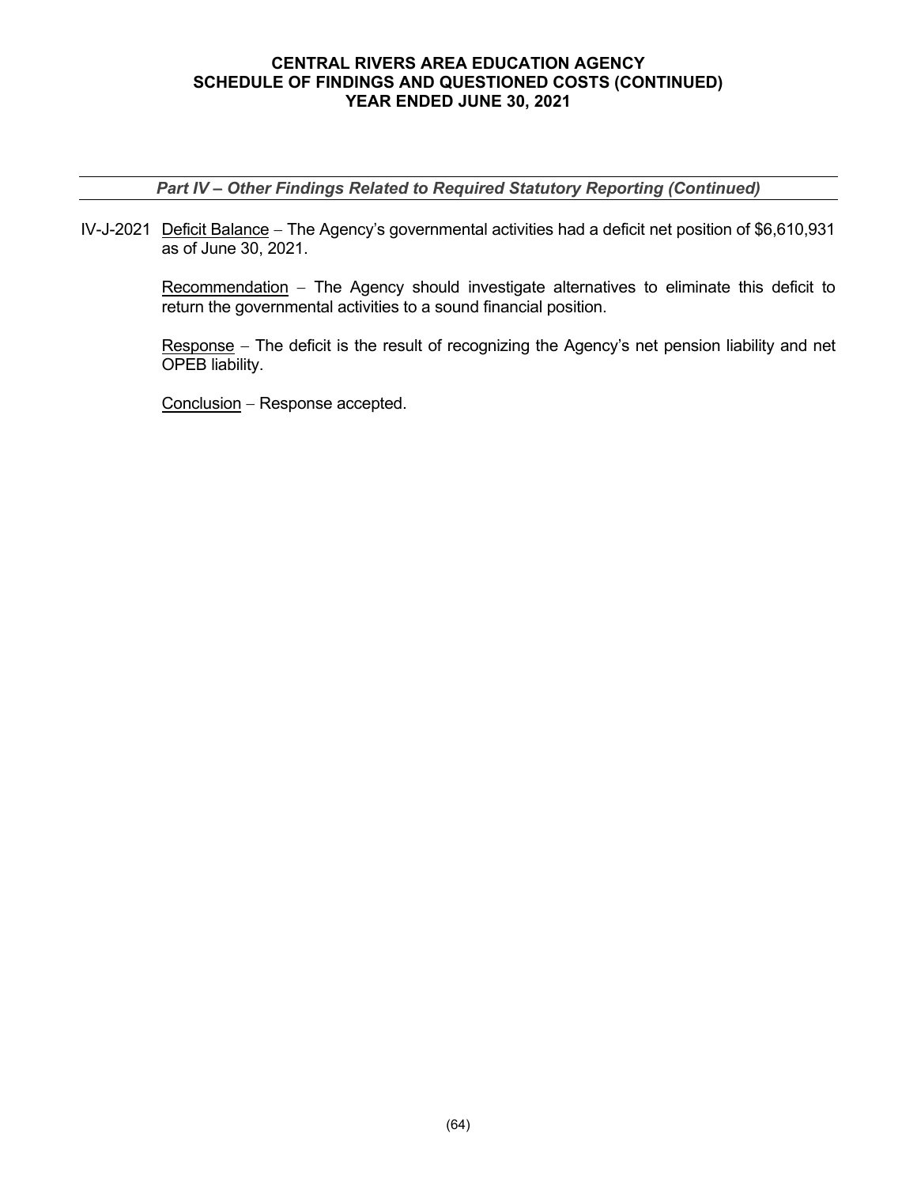# **CENTRAL RIVERS AREA EDUCATION AGENCY SCHEDULE OF FINDINGS AND QUESTIONED COSTS (CONTINUED) YEAR ENDED JUNE 30, 2021**

*Part IV – Other Findings Related to Required Statutory Reporting (Continued)*

IV-J-2021 Deficit Balance – The Agency's governmental activities had a deficit net position of \$6,610,931 as of June 30, 2021.

> Recommendation  $-$  The Agency should investigate alternatives to eliminate this deficit to return the governmental activities to a sound financial position.

> $Response$  – The deficit is the result of recognizing the Agency's net pension liability and net OPEB liability.

Conclusion - Response accepted.